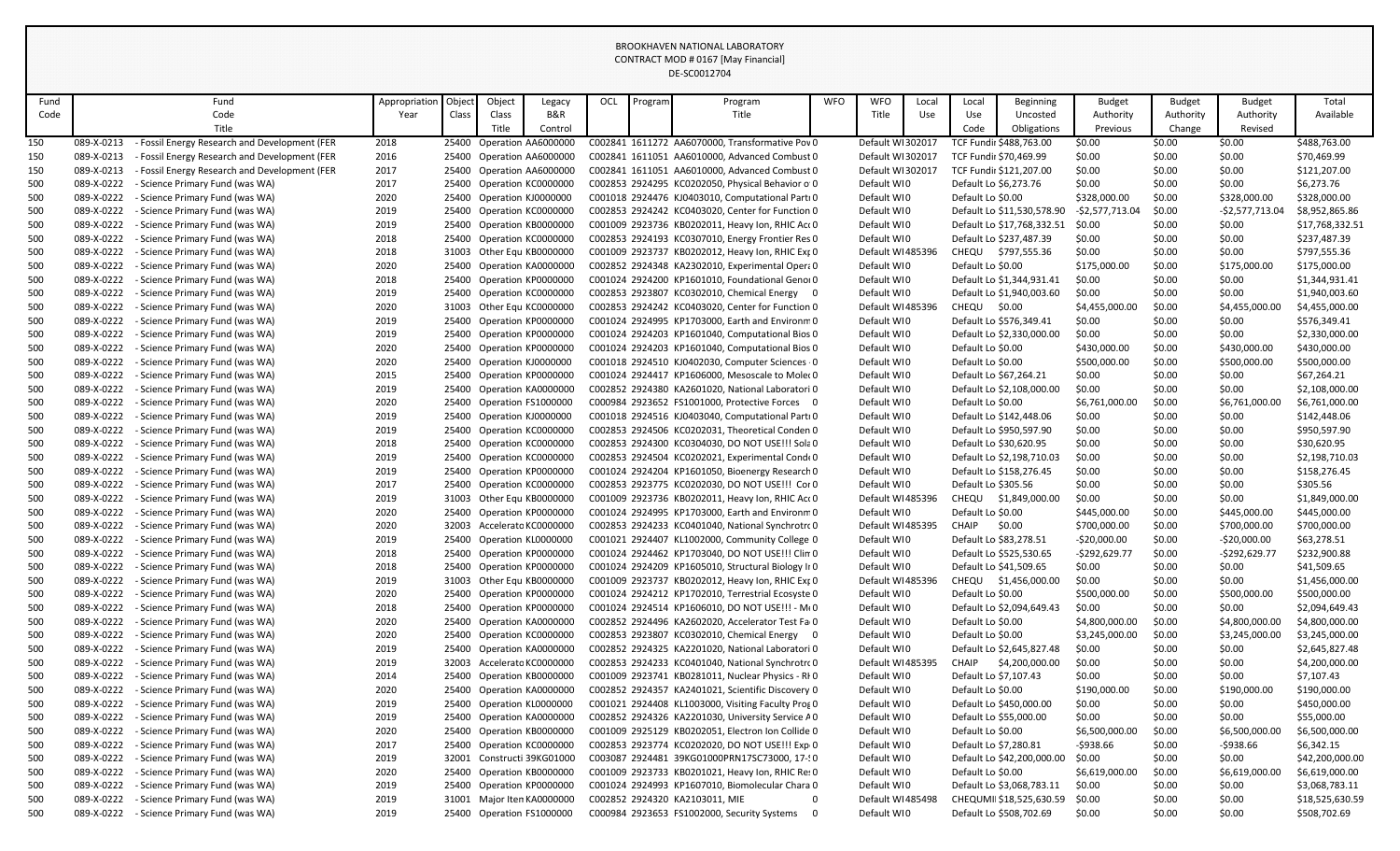| Fund       |                          | Fund                                                               | Appropriation | Object | Object | Legacy                                                 | OCL | Program | Program                                                                                            | <b>WFO</b> | <b>WFO</b>                 | Local | Local                 | Beginning                                         | <b>Budget</b>                   | <b>Budget</b>    | Budget                          | Total                       |
|------------|--------------------------|--------------------------------------------------------------------|---------------|--------|--------|--------------------------------------------------------|-----|---------|----------------------------------------------------------------------------------------------------|------------|----------------------------|-------|-----------------------|---------------------------------------------------|---------------------------------|------------------|---------------------------------|-----------------------------|
| Code       |                          | Code                                                               | Year          | Class  | Class  | B&R                                                    |     |         | Title                                                                                              |            | Title                      | Use   | Use                   | Uncosted                                          | Authority                       | Authority        | Authority                       | Available                   |
|            |                          | Title                                                              |               |        | Title  | Control                                                |     |         |                                                                                                    |            |                            |       | Code                  | Obligations                                       | Previous                        | Change           | Revised                         |                             |
| 150        | 089-X-0213               | - Fossil Energy Research and Development (FER                      | 2018          |        |        | 25400 Operation AA6000000                              |     |         | C002841 1611272 AA6070000, Transformative Pov 0                                                    |            | Default WI302017           |       |                       | TCF Fundir \$488,763.00                           | \$0.00                          | \$0.00           | \$0.00                          | \$488,763.00                |
| 150        | 089-X-0213               | - Fossil Energy Research and Development (FER                      | 2016          |        |        | 25400 Operation AA6000000                              |     |         | C002841 1611051 AA6010000, Advanced Combust 0                                                      |            | Default WI302017           |       |                       | TCF Fundir \$70,469.99                            | \$0.00                          | \$0.00           | \$0.00                          | \$70,469.99                 |
| 150        | 089-X-0213               | - Fossil Energy Research and Development (FER                      | 2017          |        |        | 25400 Operation AA6000000                              |     |         | C002841 1611051 AA6010000, Advanced Combust 0                                                      |            | Default WI302017           |       |                       | TCF Fundir \$121,207.00                           | \$0.00                          | \$0.00           | \$0.00                          | \$121,207.00                |
| 500        | 089-X-0222               | - Science Primary Fund (was WA)                                    | 2017          |        |        | 25400 Operation KC0000000                              |     |         | C002853 2924295 KC0202050, Physical Behavior o 0                                                   |            | Default WI0                |       | Default Lo \$6,273.76 |                                                   | \$0.00                          | \$0.00           | \$0.00                          | \$6,273.76                  |
| 500        | 089-X-0222               | - Science Primary Fund (was WA)                                    | 2020          |        |        | 25400 Operation KJ0000000                              |     |         | C001018 2924476 KJ0403010, Computational Parti 0                                                   |            | Default WI0                |       | Default Lo \$0.00     |                                                   | \$328,000.00                    | \$0.00           | \$328,000.00                    | \$328,000.00                |
| 500        | 089-X-0222               | - Science Primary Fund (was WA)                                    | 2019          |        |        | 25400 Operation KC0000000                              |     |         | C002853 2924242 KC0403020, Center for Function 0                                                   |            | Default WI0                |       |                       | Default Lo \$11,530,578.90                        | $-$2,577,713.04$                | \$0.00           | $-$2,577,713.04$                | \$8,952,865.86              |
| 500        | 089-X-0222               | - Science Primary Fund (was WA)                                    | 2019          |        |        | 25400 Operation KB0000000                              |     |         | C001009 2923736 KB0202011, Heavy Ion, RHIC Act 0                                                   |            | Default WI0                |       |                       | Default Lo \$17,768,332.51                        | \$0.00                          | \$0.00           | \$0.00                          | \$17,768,332.51             |
| 500        | 089-X-0222               | - Science Primary Fund (was WA)                                    | 2018          |        |        | 25400 Operation KC0000000                              |     |         | C002853 2924193 KC0307010, Energy Frontier Res 0                                                   |            | Default WI0                |       |                       | Default Lo \$237,487.39                           | \$0.00                          | \$0.00           | \$0.00                          | \$237,487.39                |
| 500        | 089-X-0222               | - Science Primary Fund (was WA)                                    | 2018          |        |        | 31003 Other Equ KB0000000                              |     |         | C001009 2923737 KB0202012, Heavy Ion, RHIC Ext 0                                                   |            | Default WI485396           |       |                       | CHEQU \$797,555.36                                | \$0.00                          | \$0.00           | \$0.00                          | \$797,555.36                |
| 500        | 089-X-0222               | - Science Primary Fund (was WA)                                    | 2020          |        |        | 25400 Operation KA0000000                              |     |         | C002852 2924348 KA2302010, Experimental Opera 0                                                    |            | Default WI0                |       | Default Lo \$0.00     |                                                   | \$175,000.00                    | \$0.00           | \$175,000.00                    | \$175,000.00                |
| 500        | 089-X-0222               | - Science Primary Fund (was WA)                                    | 2018          |        |        | 25400 Operation KP0000000                              |     |         | C001024 2924200 KP1601010, Foundational Genoi 0                                                    |            | Default WI0                |       |                       | Default Lo \$1,344,931.41                         | \$0.00                          | \$0.00           | \$0.00                          | \$1,344,931.41              |
| 500        | 089-X-0222               | - Science Primary Fund (was WA)                                    | 2019          |        |        | 25400 Operation KC0000000                              |     |         | C002853 2923807 KC0302010, Chemical Energy 0                                                       |            | Default WI0                |       |                       | Default Lo \$1,940,003.60                         | \$0.00                          | \$0.00           | \$0.00                          | \$1,940,003.60              |
| 500        | 089-X-0222               | - Science Primary Fund (was WA)                                    | 2020          |        |        | 31003 Other Equ KC0000000                              |     |         | C002853 2924242 KC0403020, Center for Function 0                                                   |            | Default WI485396           |       | CHEQU \$0.00          |                                                   | \$4,455,000.00                  | \$0.00           | \$4,455,000.00                  | \$4,455,000.00              |
| 500        | 089-X-0222               | - Science Primary Fund (was WA)                                    | 2019          |        |        | 25400 Operation KP0000000                              |     |         | C001024 2924995 KP1703000, Earth and Environm 0                                                    |            | Default WI0                |       |                       | Default Lo \$576,349.41                           | \$0.00                          | \$0.00           | \$0.00                          | \$576,349.41                |
| 500        | 089-X-0222               | - Science Primary Fund (was WA)                                    | 2019          |        |        | 25400 Operation KP0000000                              |     |         | C001024 2924203 KP1601040, Computational Bios 0                                                    |            | Default WI0                |       |                       | Default Lo \$2,330,000.00                         | \$0.00                          | \$0.00           | \$0.00                          | \$2,330,000.00              |
| 500        | 089-X-0222               | - Science Primary Fund (was WA)                                    | 2020          |        |        | 25400 Operation KP0000000                              |     |         | C001024 2924203 KP1601040, Computational Bios 0                                                    |            | Default WI0                |       | Default Lo \$0.00     |                                                   | \$430,000.00                    | \$0.00           | \$430,000.00                    | \$430,000.00                |
| 500        | 089-X-0222               | - Science Primary Fund (was WA)                                    | 2020          |        |        | 25400 Operation KJ0000000                              |     |         | C001018 2924510 KJ0402030, Computer Sciences 0                                                     |            | Default WI0                |       | Default Lo \$0.00     |                                                   | \$500,000.00                    | \$0.00           | \$500,000.00                    | \$500,000.00                |
| 500        | 089-X-0222               | - Science Primary Fund (was WA)                                    | 2015          |        |        | 25400 Operation KP0000000                              |     |         | C001024 2924417 KP1606000. Mesoscale to Moler 0                                                    |            | Default WI0                |       |                       | Default Lo \$67,264.21                            | \$0.00                          | \$0.00           | \$0.00                          | \$67,264.21                 |
| 500        | 089-X-0222               | - Science Primary Fund (was WA)                                    | 2019          |        |        | 25400 Operation KA0000000                              |     |         | C002852 2924380 KA2601020, National Laboratori 0                                                   |            | Default WI0                |       |                       | Default Lo \$2,108,000.00                         | \$0.00                          | \$0.00           | \$0.00                          | \$2,108,000.00              |
| 500        | 089-X-0222               | - Science Primary Fund (was WA)                                    | 2020          |        |        | 25400 Operation FS1000000                              |     |         | C000984 2923652 FS1001000, Protective Forces 0                                                     |            | Default WI0                |       | Default Lo \$0.00     |                                                   | \$6,761,000.00                  | \$0.00           | \$6,761,000.00                  | \$6,761,000.00              |
| 500        | 089-X-0222               | - Science Primary Fund (was WA)                                    | 2019          |        |        | 25400 Operation KJ0000000                              |     |         | C001018 2924516 KJ0403040, Computational Parti 0                                                   |            | Default WI0                |       |                       | Default Lo \$142,448.06                           | \$0.00                          | \$0.00           | \$0.00                          | \$142,448.06                |
| 500        | 089-X-0222               | - Science Primary Fund (was WA)                                    | 2019          |        |        | 25400 Operation KC0000000                              |     |         | C002853 2924506 KC0202031, Theoretical Conden 0                                                    |            | Default WI0                |       |                       | Default Lo \$950,597.90                           | \$0.00                          | \$0.00           | \$0.00                          | \$950,597.90                |
| 500        | 089-X-0222               | - Science Primary Fund (was WA)                                    | 2018          |        |        | 25400 Operation KC0000000                              |     |         | C002853 2924300 KC0304030, DO NOT USE !!! Sola 0                                                   |            | Default WI0                |       |                       | Default Lo \$30,620.95                            | \$0.00                          | \$0.00           | \$0.00                          | \$30,620.95                 |
| 500        | 089-X-0222               | - Science Primary Fund (was WA)                                    | 2019          |        |        | 25400 Operation KC0000000                              |     |         | C002853 2924504 KC0202021, Experimental Cond(0                                                     |            | Default WI0                |       |                       | Default Lo \$2,198,710.03                         | \$0.00                          | \$0.00           | \$0.00                          | \$2,198,710.03              |
| 500        | 089-X-0222               | - Science Primary Fund (was WA)                                    | 2019          |        |        | 25400 Operation KP0000000                              |     |         | C001024 2924204 KP1601050, Bioenergy Research 0                                                    |            | Default WI0                |       |                       | Default Lo \$158,276.45                           | \$0.00                          | \$0.00           | \$0.00                          | \$158,276.45                |
| 500        | 089-X-0222               | - Science Primary Fund (was WA)                                    | 2017          |        |        | 25400 Operation KC0000000                              |     |         | C002853 2923775 KC0202030, DO NOT USE !!! Cor 0                                                    |            | Default WI0                |       | Default Lo \$305.56   |                                                   | \$0.00                          | \$0.00           | \$0.00                          | \$305.56                    |
| 500        | 089-X-0222               | - Science Primary Fund (was WA)                                    | 2019          |        |        | 31003 Other Equ KB0000000                              |     |         | C001009 2923736 KB0202011, Heavy Ion, RHIC Act 0                                                   |            | Default WI485396           |       | CHEQU                 | \$1,849,000.00                                    | \$0.00                          | \$0.00           | \$0.00                          | \$1,849,000.00              |
| 500        | 089-X-0222               | - Science Primary Fund (was WA)                                    | 2020          |        |        | 25400 Operation KP0000000                              |     |         | C001024 2924995 KP1703000, Earth and Environm 0                                                    |            | Default WI0                |       | Default Lo \$0.00     |                                                   | \$445,000.00                    | \$0.00           | \$445,000.00                    | \$445,000.00                |
| 500        | 089-X-0222<br>089-X-0222 | - Science Primary Fund (was WA)                                    | 2020          |        |        | 32003 Accelerato KC0000000                             |     |         | C002853 2924233 KC0401040, National Synchrotro 0                                                   |            | Default WI485395           |       | <b>CHAIP</b>          | \$0.00                                            | \$700,000.00                    | \$0.00           | \$700,000.00                    | \$700,000.00                |
| 500<br>500 | 089-X-0222               | - Science Primary Fund (was WA)                                    | 2019<br>2018  |        |        | 25400 Operation KL0000000<br>25400 Operation KP0000000 |     |         | C001021 2924407 KL1002000, Community College 0<br>C001024 2924462 KP1703040, DO NOT USE !!! Clin 0 |            | Default WI0<br>Default WI0 |       |                       | Default Lo \$83,278.51<br>Default Lo \$525,530.65 | $-$20,000.00$<br>$-$292,629.77$ | \$0.00<br>\$0.00 | $-$20,000.00$<br>$-$292,629.77$ | \$63,278.51<br>\$232,900.88 |
| 500        | 089-X-0222               | - Science Primary Fund (was WA)<br>- Science Primary Fund (was WA) | 2018          |        |        | 25400 Operation KP0000000                              |     |         | C001024 2924209 KP1605010, Structural Biology II 0                                                 |            | Default WI0                |       |                       | Default Lo \$41,509.65                            | \$0.00                          | \$0.00           | \$0.00                          | \$41,509.65                 |
| 500        | 089-X-0222               | - Science Primary Fund (was WA)                                    | 2019          |        |        | 31003 Other Equ KB0000000                              |     |         | C001009 2923737 KB0202012, Heavy Ion, RHIC Ext 0                                                   |            | Default WI485396           |       |                       | CHEQU \$1,456,000.00                              | \$0.00                          | \$0.00           | \$0.00                          | \$1,456,000.00              |
| 500        | 089-X-0222               | - Science Primary Fund (was WA)                                    | 2020          |        |        | 25400 Operation KP0000000                              |     |         | C001024 2924212 KP1702010, Terrestrial Ecosyste 0                                                  |            | Default WI0                |       | Default Lo \$0.00     |                                                   | \$500,000.00                    | \$0.00           | \$500,000.00                    | \$500,000.00                |
| 500        | 089-X-0222               | - Science Primary Fund (was WA)                                    | 2018          |        |        | 25400 Operation KP0000000                              |     |         | C001024 2924514 KP1606010, DO NOT USE !!! - M(0                                                    |            | Default WI0                |       |                       | Default Lo \$2,094,649.43                         | \$0.00                          | \$0.00           | \$0.00                          | \$2,094,649.43              |
| 500        | 089-X-0222               | - Science Primary Fund (was WA)                                    | 2020          |        |        | 25400 Operation KA0000000                              |     |         | C002852 2924496 KA2602020, Accelerator Test Fa 0                                                   |            | Default WI0                |       | Default Lo \$0.00     |                                                   | \$4,800,000.00                  | \$0.00           | \$4,800,000.00                  | \$4,800,000.00              |
| 500        | 089-X-0222               | - Science Primary Fund (was WA)                                    | 2020          |        |        | 25400 Operation KC0000000                              |     |         | C002853 2923807 KC0302010, Chemical Energy 0                                                       |            | Default WI0                |       | Default Lo \$0.00     |                                                   | \$3,245,000.00                  | \$0.00           | \$3,245,000.00                  | \$3,245,000.00              |
| 500        | 089-X-0222               | - Science Primary Fund (was WA)                                    | 2019          |        |        | 25400 Operation KA0000000                              |     |         | C002852 2924325 KA2201020, National Laboratori 0                                                   |            | Default WI0                |       |                       | Default Lo \$2,645,827.48                         | \$0.00                          | \$0.00           | \$0.00                          | \$2,645,827.48              |
| 500        | 089-X-0222               | - Science Primary Fund (was WA)                                    | 2019          |        |        | 32003 Accelerato KC0000000                             |     |         | C002853 2924233 KC0401040, National Synchrotro 0                                                   |            | Default WI485395           |       | CHAIP                 | \$4,200,000.00                                    | \$0.00                          | \$0.00           | \$0.00                          | \$4,200,000.00              |
| 500        | 089-X-0222               | - Science Primary Fund (was WA)                                    | 2014          |        |        | 25400 Operation KB0000000                              |     |         | C001009 2923741 KB0281011, Nuclear Physics - RIO                                                   |            | Default WI0                |       | Default Lo \$7,107.43 |                                                   | \$0.00                          | \$0.00           | \$0.00                          | \$7,107.43                  |
| 500        | 089-X-0222               | - Science Primary Fund (was WA)                                    | 2020          |        |        | 25400 Operation KA0000000                              |     |         | C002852 2924357 KA2401021, Scientific Discovery 0                                                  |            | Default WI0                |       | Default Lo \$0.00     |                                                   | \$190,000.00                    | \$0.00           | \$190,000.00                    | \$190,000.00                |
| 500        | 089-X-0222               | - Science Primary Fund (was WA)                                    | 2019          |        |        | 25400 Operation KL0000000                              |     |         | C001021 2924408 KL1003000, Visiting Faculty Pros 0                                                 |            | Default WI0                |       |                       | Default Lo \$450,000.00                           | \$0.00                          | \$0.00           | \$0.00                          | \$450,000.00                |
| 500        | 089-X-0222               | - Science Primary Fund (was WA)                                    | 2019          |        |        | 25400 Operation KA0000000                              |     |         | C002852 2924326 KA2201030, University Service A0                                                   |            | Default WIO                |       |                       | Default Lo \$55,000.00                            | \$0.00                          | \$0.00           | \$0.00                          | \$55,000.00                 |
| 500        | 089-X-0222               | - Science Primary Fund (was WA)                                    | 2020          |        |        | 25400 Operation KB0000000                              |     |         | C001009 2925129 KB0202051, Electron Ion Collide 0                                                  |            | Default WI0                |       | Default Lo \$0.00     |                                                   | \$6,500,000.00                  | \$0.00           | \$6,500,000.00                  | \$6,500,000.00              |
| 500        | 089-X-0222               | - Science Primary Fund (was WA)                                    | 2017          |        |        | 25400 Operation KC0000000                              |     |         | C002853 2923774 KC0202020, DO NOT USE !!! Exp 0                                                    |            | Default WI0                |       | Default Lo \$7,280.81 |                                                   | -\$938.66                       | \$0.00           | -\$938.66                       | \$6,342.15                  |
| 500        | 089-X-0222               | - Science Primary Fund (was WA)                                    | 2019          |        |        | 32001 Constructi 39KG01000                             |     |         | C003087 2924481 39KG01000PRN17SC73000, 17-10                                                       |            | Default WI0                |       |                       | Default Lo \$42,200,000.00 \$0.00                 |                                 | \$0.00           | \$0.00                          | \$42,200,000.00             |
| 500        | 089-X-0222               | - Science Primary Fund (was WA)                                    | 2020          |        |        | 25400 Operation KB0000000                              |     |         | C001009 2923733 KB0201021, Heavy Ion, RHIC Re: 0                                                   |            | Default WI0                |       | Default Lo \$0.00     |                                                   | \$6,619,000.00                  | \$0.00           | \$6,619,000.00                  | \$6,619,000.00              |
| 500        | 089-X-0222               | - Science Primary Fund (was WA)                                    | 2019          |        |        | 25400 Operation KP0000000                              |     |         | C001024 2924993 KP1607010, Biomolecular Chara 0                                                    |            | Default WI0                |       |                       | Default Lo \$3,068,783.11                         | \$0.00                          | \$0.00           | \$0.00                          | \$3,068,783.11              |
| 500        | 089-X-0222               | - Science Primary Fund (was WA)                                    | 2019          |        |        | 31001 Major Iten KA0000000                             |     |         | C002852 2924320 KA2103011, MIE                                                                     | 0          | Default WI485498           |       |                       | CHEQUMII \$18,525,630.59                          | \$0.00                          | \$0.00           | \$0.00                          | \$18,525,630.59             |
| 500        | 089-X-0222               | - Science Primary Fund (was WA)                                    | 2019          |        |        | 25400 Operation FS1000000                              |     |         | C000984 2923653 FS1002000, Security Systems 0                                                      |            | Default WI0                |       |                       | Default Lo \$508,702.69                           | \$0.00                          | \$0.00           | \$0.00                          | \$508,702.69                |
|            |                          |                                                                    |               |        |        |                                                        |     |         |                                                                                                    |            |                            |       |                       |                                                   |                                 |                  |                                 |                             |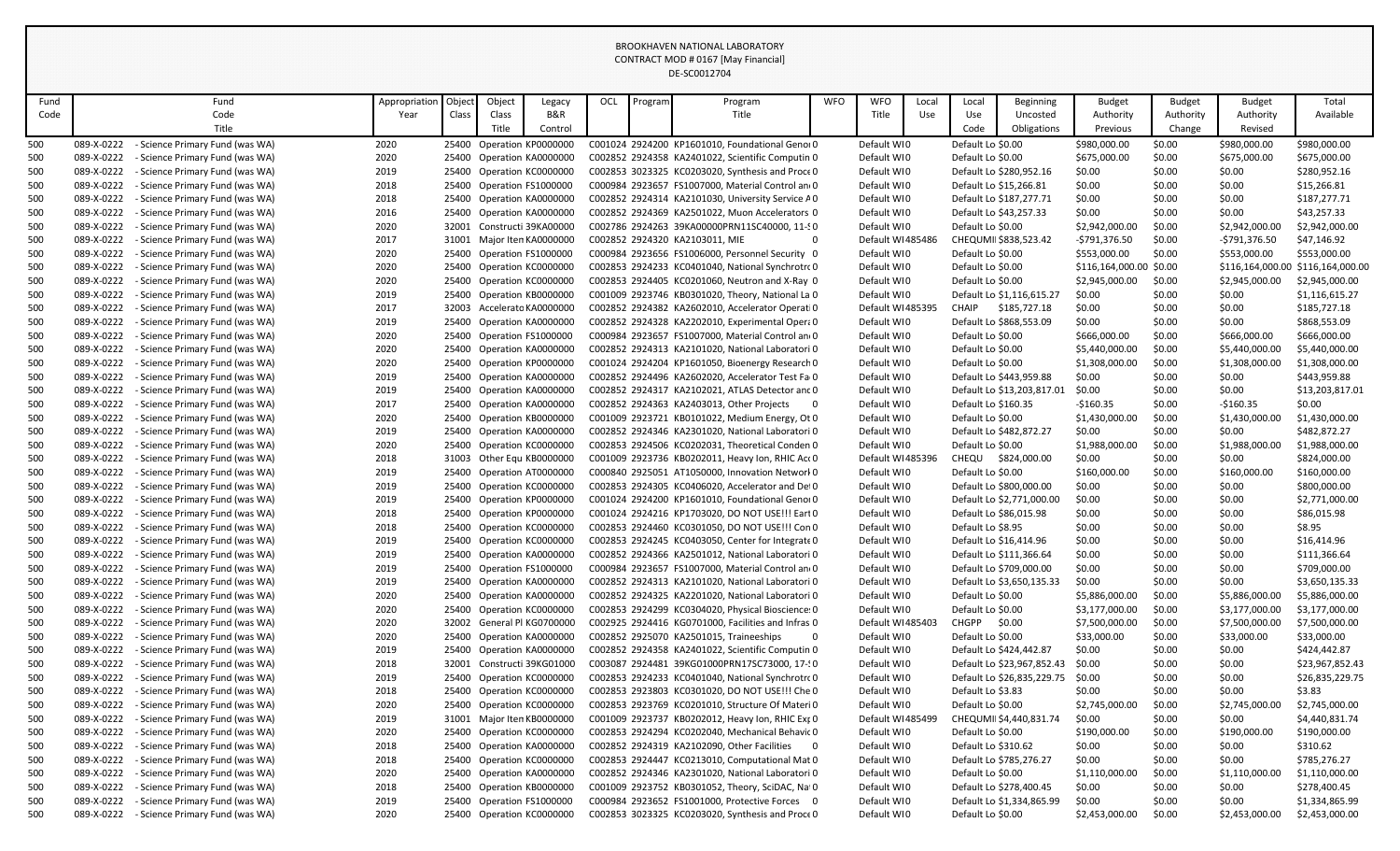| Fund       |                          | Fund                                                               | Appropriation | Object | Object | Legacy                                                  | OCL | Program | Program                                                                                             | <b>WFO</b> | <b>WFO</b>                      | Local | Local               | Beginning                  | <b>Budget</b>    | <b>Budget</b>    | <b>Budget</b>          | Total                             |
|------------|--------------------------|--------------------------------------------------------------------|---------------|--------|--------|---------------------------------------------------------|-----|---------|-----------------------------------------------------------------------------------------------------|------------|---------------------------------|-------|---------------------|----------------------------|------------------|------------------|------------------------|-----------------------------------|
| Code       |                          | Code                                                               | Year          | Class  | Class  | B&R                                                     |     |         | Title                                                                                               |            | Title                           | Use   | Use                 | Uncosted                   | Authority        | Authority        | Authority              | Available                         |
|            |                          | Title                                                              |               |        | Title  | Control                                                 |     |         |                                                                                                     |            |                                 |       | Code                | Obligations                | Previous         | Change           | Revised                |                                   |
| 500        | 089-X-0222               | - Science Primary Fund (was WA)                                    | 2020          |        |        | 25400 Operation KP0000000                               |     |         | C001024 2924200 KP1601010, Foundational Genoi 0                                                     |            | Default WI0                     |       | Default Lo \$0.00   |                            | \$980,000.00     | \$0.00           | \$980,000.00           | \$980,000.00                      |
| 500        | 089-X-0222               | - Science Primary Fund (was WA)                                    | 2020          |        |        | 25400 Operation KA0000000                               |     |         | C002852 2924358 KA2401022, Scientific Computin 0                                                    |            | Default WI0                     |       | Default Lo \$0.00   |                            | \$675,000.00     | \$0.00           | \$675,000.00           | \$675,000.00                      |
| 500        | 089-X-0222               | - Science Primary Fund (was WA)                                    | 2019          |        |        | 25400 Operation KC0000000                               |     |         | C002853 3023325 KC0203020, Synthesis and Proce 0                                                    |            | Default WI0                     |       |                     | Default Lo \$280,952.16    | \$0.00           | \$0.00           | \$0.00                 | \$280,952.16                      |
| 500        | 089-X-0222               | - Science Primary Fund (was WA)                                    | 2018          |        |        | 25400 Operation FS1000000                               |     |         | C000984 2923657 FS1007000, Material Control an 0                                                    |            | Default WI0                     |       |                     | Default Lo \$15,266.81     | \$0.00           | \$0.00           | \$0.00                 | \$15,266.81                       |
| 500        | 089-X-0222               | - Science Primary Fund (was WA)                                    | 2018          |        |        | 25400 Operation KA0000000                               |     |         | C002852 2924314 KA2101030, University Service A0                                                    |            | Default WI0                     |       |                     | Default Lo \$187,277.71    | \$0.00           | \$0.00           | \$0.00                 | \$187,277.71                      |
| 500        | 089-X-0222               | - Science Primary Fund (was WA)                                    | 2016          |        |        | 25400 Operation KA0000000                               |     |         | C002852 2924369 KA2501022, Muon Accelerators 0                                                      |            | Default WI0                     |       |                     | Default Lo \$43,257.33     | \$0.00           | \$0.00           | \$0.00                 | \$43,257.33                       |
| 500        | 089-X-0222               | - Science Primary Fund (was WA)                                    | 2020          |        |        | 32001 Constructi 39KA00000                              |     |         | C002786 2924263 39KA00000PRN11SC40000, 11-90                                                        |            | Default WI0                     |       | Default Lo \$0.00   |                            | \$2,942,000.00   | \$0.00           | \$2,942,000.00         | \$2,942,000.00                    |
| 500        | 089-X-0222               | - Science Primary Fund (was WA)                                    | 2017          |        |        | 31001 Major Iten KA0000000                              |     |         | C002852 2924320 KA2103011, MIE                                                                      |            | Default WI485486                |       |                     | CHEQUMII \$838,523.42      | -\$791,376.50    | \$0.00           | -\$791,376.50          | \$47,146.92                       |
| 500        | 089-X-0222               | - Science Primary Fund (was WA)                                    | 2020          |        |        | 25400 Operation FS1000000                               |     |         | C000984 2923656 FS1006000, Personnel Security 0                                                     |            | Default WI0                     |       | Default Lo \$0.00   |                            | \$553,000.00     | \$0.00           | \$553,000.00           | \$553,000.00                      |
| 500        | 089-X-0222               | - Science Primary Fund (was WA)                                    | 2020          |        |        | 25400 Operation KC0000000                               |     |         | C002853 2924233 KC0401040, National Synchrotro 0                                                    |            | Default WI0                     |       | Default Lo \$0.00   |                            | \$116,164,000.00 | \$0.00           |                        | \$116,164,000.00 \$116,164,000.00 |
| 500        | 089-X-0222               | - Science Primary Fund (was WA)                                    | 2020          |        |        | 25400 Operation KC0000000                               |     |         | C002853 2924405 KC0201060, Neutron and X-Ray 0                                                      |            | Default WI0                     |       | Default Lo \$0.00   |                            | \$2,945,000.00   | \$0.00           | \$2,945,000.00         | \$2,945,000.00                    |
| 500        | 089-X-0222               | - Science Primary Fund (was WA)                                    | 2019          |        |        | 25400 Operation KB0000000                               |     |         | C001009 2923746 KB0301020, Theory, National La 0                                                    |            | Default WI0                     |       |                     | Default Lo \$1,116,615.27  | \$0.00           | \$0.00           | \$0.00                 | \$1,116,615.27                    |
| 500        | 089-X-0222               | - Science Primary Fund (was WA)                                    | 2017          |        |        | 32003 Accelerato KA0000000                              |     |         | C002852 2924382 KA2602010, Accelerator Operati 0                                                    |            | Default WI485395                |       | CHAIP               | \$185,727.18               | \$0.00           | \$0.00           | \$0.00                 | \$185,727.18                      |
| 500        | 089-X-0222               | - Science Primary Fund (was WA)                                    | 2019          |        |        | 25400 Operation KA0000000                               |     |         | C002852 2924328 KA2202010, Experimental Opera 0                                                     |            | Default WI0                     |       |                     | Default Lo \$868,553.09    | \$0.00           | \$0.00           | \$0.00                 | \$868,553.09                      |
| 500        | 089-X-0222               | - Science Primary Fund (was WA)                                    | 2020          |        |        | 25400 Operation FS1000000                               |     |         | C000984 2923657 FS1007000, Material Control an 0                                                    |            | Default WI0                     |       | Default Lo \$0.00   |                            | \$666,000.00     | \$0.00           | \$666,000.00           | \$666,000.00                      |
| 500        | 089-X-0222               | - Science Primary Fund (was WA)                                    | 2020          |        |        | 25400 Operation KA0000000                               |     |         | C002852 2924313 KA2101020, National Laboratori 0                                                    |            | Default WI0                     |       | Default Lo \$0.00   |                            | \$5,440,000.00   | \$0.00           | \$5,440,000.00         | \$5,440,000.00                    |
| 500        | 089-X-0222               | - Science Primary Fund (was WA)                                    | 2020          |        |        | 25400 Operation KP0000000                               |     |         | C001024 2924204 KP1601050, Bioenergy Research 0                                                     |            | Default WI0                     |       | Default Lo \$0.00   |                            | \$1,308,000.00   | \$0.00           | \$1,308,000.00         | \$1,308,000.00                    |
| 500        | 089-X-0222               | - Science Primary Fund (was WA)                                    | 2019          |        |        | 25400 Operation KA0000000                               |     |         | C002852 2924496 KA2602020, Accelerator Test Fa 0                                                    |            | Default WI0                     |       |                     | Default Lo \$443,959.88    | \$0.00           | \$0.00           | \$0.00                 | \$443,959.88                      |
| 500        | 089-X-0222               | - Science Primary Fund (was WA)                                    | 2019          |        |        | 25400 Operation KA0000000                               |     |         | C002852 2924317 KA2102021. ATLAS Detector and 0                                                     |            | Default WI0                     |       |                     | Default Lo \$13,203,817.01 | \$0.00           | \$0.00           | \$0.00                 | \$13,203,817.01                   |
| 500        | 089-X-0222               | - Science Primary Fund (was WA)                                    | 2017          |        |        | 25400 Operation KA0000000                               |     |         | C002852 2924363 KA2403013, Other Projects<br>$\overline{\phantom{0}}$                               |            | Default WI0                     |       | Default Lo \$160.35 |                            | $-$160.35$       | \$0.00           | $-$160.35$             | \$0.00                            |
| 500        | 089-X-0222               | - Science Primary Fund (was WA)                                    | 2020          |        |        | 25400 Operation KB0000000                               |     |         | C001009 2923721 KB0101022, Medium Energy, Ot 0                                                      |            | Default WI0                     |       | Default Lo \$0.00   |                            | \$1,430,000.00   | \$0.00           | \$1,430,000.00         | \$1,430,000.00                    |
| 500        | 089-X-0222               | - Science Primary Fund (was WA)                                    | 2019          |        |        | 25400 Operation KA0000000                               |     |         | C002852 2924346 KA2301020, National Laboratori 0                                                    |            | Default WI0                     |       |                     | Default Lo \$482,872.27    | \$0.00           | \$0.00           | \$0.00                 | \$482,872.27                      |
| 500        | 089-X-0222               | - Science Primary Fund (was WA)                                    | 2020          |        |        | 25400 Operation KC0000000                               |     |         | C002853 2924506 KC0202031, Theoretical Conden 0                                                     |            | Default WI0                     |       | Default Lo \$0.00   |                            | \$1,988,000.00   | \$0.00           | \$1,988,000.00         | \$1,988,000.00                    |
| 500        | 089-X-0222               | - Science Primary Fund (was WA)                                    | 2018          |        |        | 31003 Other Equ KB0000000                               |     |         | C001009 2923736 KB0202011, Heavy Ion, RHIC Act 0                                                    |            | Default WI485396                |       | CHEQU               | \$824,000.00               | \$0.00           | \$0.00           | \$0.00                 | \$824,000.00                      |
| 500        | 089-X-0222               | - Science Primary Fund (was WA)                                    | 2019          |        |        | 25400 Operation AT0000000                               |     |         | C000840 2925051 AT1050000, Innovation Networl 0                                                     |            | Default WI0                     |       | Default Lo \$0.00   |                            | \$160,000.00     | \$0.00           | \$160,000.00           | \$160,000.00                      |
| 500        | 089-X-0222               | - Science Primary Fund (was WA)                                    | 2019          |        |        | 25400 Operation KC0000000                               |     |         | C002853 2924305 KC0406020, Accelerator and Det 0                                                    |            | Default WI0                     |       |                     | Default Lo \$800,000.00    | \$0.00           | \$0.00           | \$0.00                 | \$800,000.00                      |
| 500        | 089-X-0222               | - Science Primary Fund (was WA)                                    | 2019          |        |        | 25400 Operation KP0000000                               |     |         | C001024 2924200 KP1601010, Foundational Genoi 0                                                     |            | Default WI0                     |       |                     | Default Lo \$2,771,000.00  | \$0.00           | \$0.00           | \$0.00                 | \$2,771,000.00                    |
| 500        | 089-X-0222               | - Science Primary Fund (was WA)                                    | 2018          |        |        | 25400 Operation KP0000000                               |     |         | C001024 2924216 KP1703020, DO NOT USE !!! Eart 0                                                    |            | Default WI0                     |       |                     | Default Lo \$86,015.98     | \$0.00           | \$0.00           | \$0.00                 | \$86,015.98                       |
| 500        | 089-X-0222               | - Science Primary Fund (was WA)                                    | 2018          |        |        | 25400 Operation KC0000000                               |     |         | C002853 2924460 KC0301050, DO NOT USE !!! Con 0                                                     |            | Default WI0                     |       | Default Lo \$8.95   |                            | \$0.00           | \$0.00           | \$0.00                 | \$8.95                            |
| 500        | 089-X-0222               | - Science Primary Fund (was WA)                                    | 2019          |        |        | 25400 Operation KC0000000                               |     |         | C002853 2924245 KC0403050, Center for Integrate 0                                                   |            | Default WI0                     |       |                     | Default Lo \$16,414.96     | \$0.00           | \$0.00           | \$0.00                 | \$16,414.96                       |
| 500        | 089-X-0222               | - Science Primary Fund (was WA)                                    | 2019          |        |        | 25400 Operation KA0000000                               |     |         | C002852 2924366 KA2501012, National Laboratori 0                                                    |            | Default WI0                     |       |                     | Default Lo \$111,366.64    | \$0.00           | \$0.00           | \$0.00                 | \$111,366.64                      |
| 500        | 089-X-0222               | - Science Primary Fund (was WA)                                    | 2019          |        |        | 25400 Operation FS1000000                               |     |         | C000984 2923657 FS1007000, Material Control an 0                                                    |            | Default WI0                     |       |                     | Default Lo \$709,000.00    | \$0.00           | \$0.00           | \$0.00                 | \$709,000.00                      |
| 500        | 089-X-0222               | - Science Primary Fund (was WA)                                    | 2019          |        |        | 25400 Operation KA0000000                               |     |         | C002852 2924313 KA2101020, National Laboratori 0                                                    |            | Default WI0                     |       |                     | Default Lo \$3,650,135.33  | \$0.00           | \$0.00           | \$0.00                 | \$3,650,135.33                    |
| 500        | 089-X-0222               | - Science Primary Fund (was WA)                                    | 2020          |        |        | 25400 Operation KA0000000                               |     |         | C002852 2924325 KA2201020, National Laboratori 0                                                    |            | Default WI0                     |       | Default Lo \$0.00   |                            | \$5,886,000.00   | \$0.00           | \$5,886,000.00         | \$5,886,000.00                    |
| 500        | 089-X-0222               | - Science Primary Fund (was WA)                                    | 2020          |        |        | 25400 Operation KC0000000                               |     |         | C002853 2924299 KC0304020, Physical Bioscience: 0                                                   |            | Default WI0                     |       | Default Lo \$0.00   |                            | \$3,177,000.00   | \$0.00           | \$3,177,000.00         | \$3,177,000.00                    |
| 500        | 089-X-0222               | - Science Primary Fund (was WA)                                    | 2020          |        |        | 32002 General Pl KG0700000                              |     |         | C002925 2924416 KG0701000, Facilities and Infras 0                                                  |            | Default WI485403                |       | CHGPP               | \$0.00                     | \$7,500,000.00   | \$0.00           | \$7,500,000.00         | \$7,500,000.00                    |
| 500        | 089-X-0222               | - Science Primary Fund (was WA)                                    | 2020          |        |        | 25400 Operation KA0000000                               |     |         | C002852 2925070 KA2501015, Traineeships<br>C002852 2924358 KA2401022, Scientific Computin 0         |            | Default WI0                     |       | Default Lo \$0.00   | Default Lo \$424,442.87    | \$33,000.00      | \$0.00           | \$33,000.00            | \$33,000.00                       |
| 500        | 089-X-0222               | - Science Primary Fund (was WA)                                    | 2019          |        |        | 25400 Operation KA0000000                               |     |         | C003087 2924481 39KG01000PRN17SC73000.17-10                                                         |            | Default WI0                     |       |                     |                            | \$0.00           | \$0.00           | \$0.00                 | \$424,442.87                      |
| 500        | 089-X-0222<br>089-X-0222 | - Science Primary Fund (was WA)                                    | 2018          |        |        | 32001 Constructi 39KG01000<br>25400 Operation KC0000000 |     |         |                                                                                                     |            | Default WI0                     |       |                     | Default Lo \$23,967,852.43 | \$0.00           | \$0.00           | \$0.00                 | \$23,967,852.43                   |
| 500        | 089-X-0222               | - Science Primary Fund (was WA)                                    | 2019          |        |        |                                                         |     |         | C002853 2924233 KC0401040, National Synchrotro 0<br>C002853 2923803 KC0301020, DO NOT USE !!! Che 0 |            | Default WI0                     |       |                     | Default Lo \$26,835,229.75 | \$0.00           | \$0.00<br>\$0.00 | \$0.00<br>\$0.00       | \$26,835,229.75<br>\$3.83         |
| 500<br>500 | 089-X-0222               | - Science Primary Fund (was WA)                                    | 2018<br>2020  |        |        | 25400 Operation KC0000000                               |     |         | C002853 2923769 KC0201010, Structure Of Materi 0                                                    |            | Default WI0<br>Default WI0      |       | Default Lo \$3.83   |                            | \$0.00           | \$0.00           |                        |                                   |
|            |                          | - Science Primary Fund (was WA)                                    |               |        |        | 25400 Operation KC0000000<br>31001 Major Iten KB0000000 |     |         |                                                                                                     |            |                                 |       | Default Lo \$0.00   |                            | \$2,745,000.00   |                  | \$2,745,000.00         | \$2,745,000.00<br>\$4,440,831.74  |
| 500        | 089-X-0222<br>089-X-0222 | - Science Primary Fund (was WA)                                    | 2019<br>2020  |        |        | 25400 Operation KC0000000                               |     |         | C001009 2923737 KB0202012, Heavy Ion, RHIC Ext 0<br>C002853 2924294 KC0202040, Mechanical Behavic 0 |            | Default WI485499<br>Default WIO |       | Default Lo \$0.00   | CHEQUMII \$4,440,831.74    | \$0.00           | \$0.00           | \$0.00<br>\$190,000.00 |                                   |
| 500<br>500 | 089-X-0222               | - Science Primary Fund (was WA)<br>- Science Primary Fund (was WA) | 2018          |        |        | 25400 Operation KA0000000                               |     |         | C002852 2924319 KA2102090, Other Facilities 0                                                       |            | Default WI0                     |       | Default Lo \$310.62 |                            | \$190,000.00     | \$0.00<br>\$0.00 | \$0.00                 | \$190,000.00<br>\$310.62          |
| 500        | 089-X-0222               | - Science Primary Fund (was WA)                                    | 2018          |        |        | 25400 Operation KC0000000                               |     |         | C002853 2924447 KC0213010, Computational Mat 0                                                      |            | Default WI0                     |       |                     | Default Lo \$785,276.27    | \$0.00<br>\$0.00 | \$0.00           | \$0.00                 | \$785,276.27                      |
| 500        | 089-X-0222               | - Science Primary Fund (was WA)                                    | 2020          |        |        | 25400 Operation KA0000000                               |     |         | C002852 2924346 KA2301020, National Laboratori 0                                                    |            | Default WI0                     |       | Default Lo \$0.00   |                            | \$1,110,000.00   | \$0.00           | \$1,110,000.00         | \$1,110,000.00                    |
| 500        | 089-X-0222               | - Science Primary Fund (was WA)                                    | 2018          |        |        | 25400 Operation KB0000000                               |     |         | C001009 2923752 KB0301052, Theory, SciDAC, Na 0                                                     |            | Default WIO                     |       |                     | Default Lo \$278,400.45    | \$0.00           | \$0.00           | \$0.00                 | \$278,400.45                      |
| 500        | 089-X-0222               | - Science Primary Fund (was WA)                                    | 2019          |        |        | 25400 Operation FS1000000                               |     |         | C000984 2923652 FS1001000, Protective Forces 0                                                      |            | Default WI0                     |       |                     | Default Lo \$1,334,865.99  | \$0.00           | \$0.00           | \$0.00                 | \$1,334,865.99                    |
| 500        | 089-X-0222               | - Science Primary Fund (was WA)                                    | 2020          |        |        | 25400 Operation KC0000000                               |     |         | C002853 3023325 KC0203020, Synthesis and Proce 0                                                    |            | Default WIO                     |       | Default Lo \$0.00   |                            | \$2,453,000.00   | \$0.00           | \$2,453,000.00         | \$2,453,000.00                    |
|            |                          |                                                                    |               |        |        |                                                         |     |         |                                                                                                     |            |                                 |       |                     |                            |                  |                  |                        |                                   |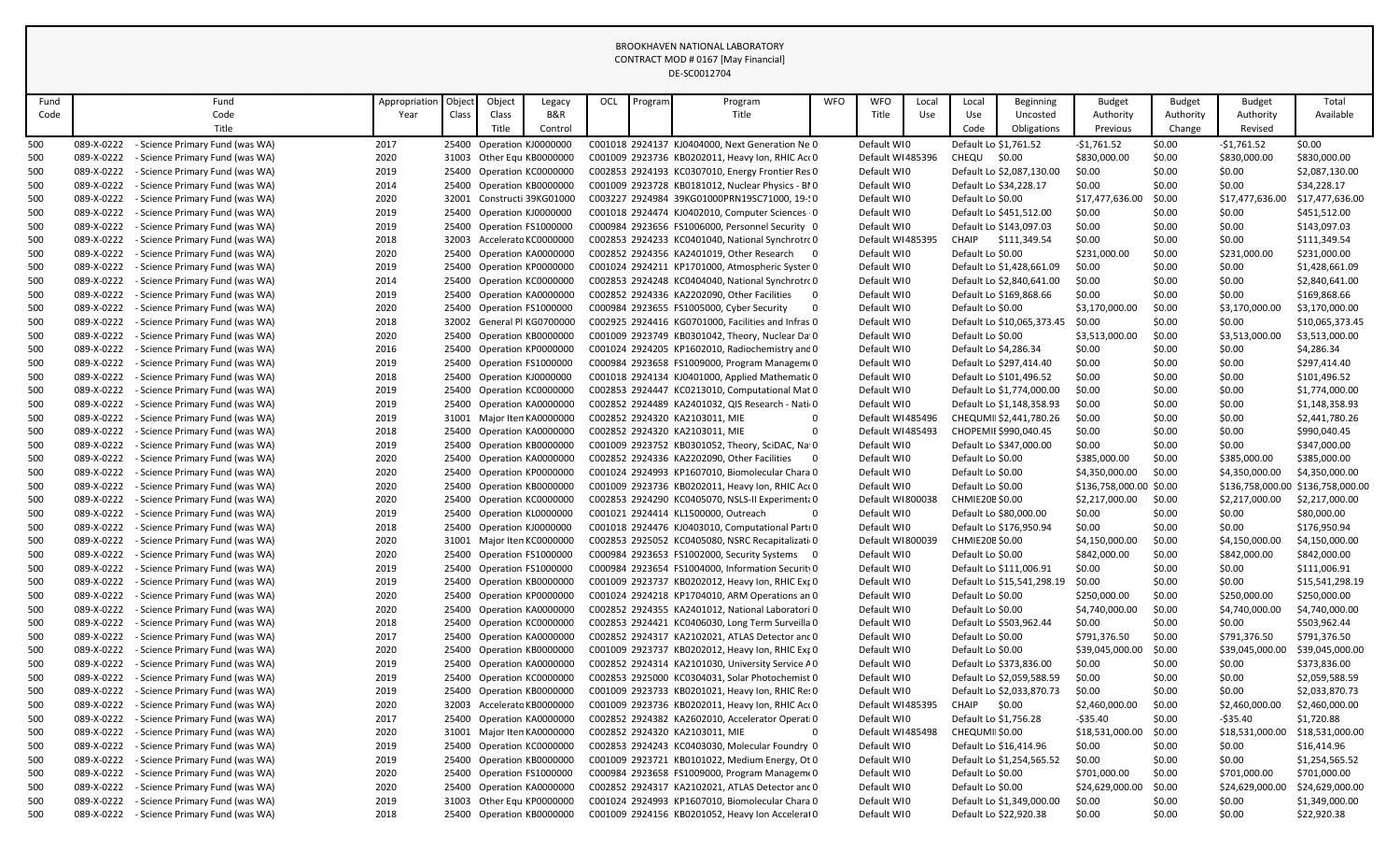| Fund |            | Fund                            | Appropriation | Object | Object | Legacy                     | OCL | Program | Program                                                                | <b>WFO</b> | <b>WFO</b>       | Local | Local                 | Beginning                  | <b>Budget</b>           | <b>Budget</b> | <b>Budget</b>   | Total                             |
|------|------------|---------------------------------|---------------|--------|--------|----------------------------|-----|---------|------------------------------------------------------------------------|------------|------------------|-------|-----------------------|----------------------------|-------------------------|---------------|-----------------|-----------------------------------|
| Code |            | Code                            | Year          | Class  | Class  | B&R                        |     |         | Title                                                                  |            | Title            | Use   | Use                   | Uncosted                   | Authority               | Authority     | Authority       | Available                         |
|      |            | Title                           |               |        | Title  | Control                    |     |         |                                                                        |            |                  |       | Code                  | Obligations                | Previous                | Change        | Revised         |                                   |
| 500  | 089-X-0222 | - Science Primary Fund (was WA) | 2017          |        |        | 25400 Operation KJ0000000  |     |         | C001018 2924137 KJ0404000. Next Generation Ne 0                        |            | Default WI0      |       | Default Lo \$1,761.52 |                            | $-$1,761.52$            | \$0.00        | $-$1,761.52$    | \$0.00                            |
| 500  | 089-X-0222 | - Science Primary Fund (was WA) | 2020          |        |        | 31003 Other Equ KB0000000  |     |         | C001009 2923736 KB0202011, Heavy Ion, RHIC Act 0                       |            | Default WI485396 |       | CHEQU                 | \$0.00                     | \$830,000.00            | \$0.00        | \$830,000.00    | \$830,000.00                      |
| 500  | 089-X-0222 | - Science Primary Fund (was WA) | 2019          |        |        | 25400 Operation KC0000000  |     |         | C002853 2924193 KC0307010, Energy Frontier Res 0                       |            | Default WI0      |       |                       | Default Lo \$2,087,130.00  | \$0.00                  | \$0.00        | \$0.00          | \$2,087,130.00                    |
| 500  | 089-X-0222 | - Science Primary Fund (was WA) | 2014          |        |        | 25400 Operation KB0000000  |     |         | C001009 2923728 KB0181012, Nuclear Physics - BIO                       |            | Default WI0      |       |                       | Default Lo \$34,228.17     | \$0.00                  | \$0.00        | \$0.00          | \$34,228.17                       |
| 500  | 089-X-0222 | - Science Primary Fund (was WA) | 2020          |        |        | 32001 Constructi 39KG01000 |     |         | C003227 2924984 39KG01000PRN19SC71000, 19-10                           |            | Default WI0      |       | Default Lo \$0.00     |                            | \$17,477,636.00         | \$0.00        | \$17,477,636.00 | \$17,477,636.00                   |
| 500  | 089-X-0222 | - Science Primary Fund (was WA) | 2019          |        |        | 25400 Operation KJ0000000  |     |         | C001018 2924474 KJ0402010, Computer Sciences 0                         |            | Default WI0      |       |                       | Default Lo \$451,512.00    | \$0.00                  | \$0.00        | \$0.00          | \$451,512.00                      |
| 500  | 089-X-0222 | - Science Primary Fund (was WA) | 2019          |        |        | 25400 Operation FS1000000  |     |         | C000984 2923656 FS1006000, Personnel Security 0                        |            | Default WI0      |       |                       | Default Lo \$143,097.03    | \$0.00                  | \$0.00        | \$0.00          | \$143,097.03                      |
| 500  | 089-X-0222 | - Science Primary Fund (was WA) | 2018          |        |        | 32003 Accelerato KC0000000 |     |         | C002853 2924233 KC0401040, National Synchrotro 0                       |            | Default WI485395 |       | CHAIP                 | \$111,349.54               | \$0.00                  | \$0.00        | \$0.00          | \$111,349.54                      |
| 500  | 089-X-0222 | - Science Primary Fund (was WA) | 2020          |        |        | 25400 Operation KA0000000  |     |         | C002852 2924356 KA2401019, Other Research 0                            |            | Default WI0      |       | Default Lo \$0.00     |                            | \$231,000.00            | \$0.00        | \$231,000.00    | \$231,000.00                      |
| 500  | 089-X-0222 | - Science Primary Fund (was WA) | 2019          |        |        | 25400 Operation KP0000000  |     |         | C001024 2924211 KP1701000, Atmospheric Syster 0                        |            | Default WI0      |       |                       | Default Lo \$1,428,661.09  | \$0.00                  | \$0.00        | \$0.00          | \$1,428,661.09                    |
| 500  | 089-X-0222 | - Science Primary Fund (was WA) | 2014          |        |        | 25400 Operation KC0000000  |     |         | C002853 2924248 KC0404040, National Synchrotro 0                       |            | Default WI0      |       |                       | Default Lo \$2,840,641.00  | \$0.00                  | \$0.00        | \$0.00          | \$2,840,641.00                    |
| 500  | 089-X-0222 | - Science Primary Fund (was WA) | 2019          |        |        | 25400 Operation KA0000000  |     |         | C002852 2924336 KA2202090, Other Facilities<br>$\overline{\mathbf{0}}$ |            | Default WI0      |       |                       | Default Lo \$169,868.66    | \$0.00                  | \$0.00        | \$0.00          | \$169,868.66                      |
| 500  | 089-X-0222 | - Science Primary Fund (was WA) | 2020          |        |        | 25400 Operation FS1000000  |     |         | C000984 2923655 FS1005000, Cyber Security                              | 0          | Default WI0      |       | Default Lo \$0.00     |                            | \$3,170,000.00          | \$0.00        | \$3,170,000.00  | \$3,170,000.00                    |
| 500  | 089-X-0222 | - Science Primary Fund (was WA) | 2018          |        |        | 32002 General Pl KG0700000 |     |         | C002925 2924416 KG0701000, Facilities and Infras 0                     |            | Default WI0      |       |                       | Default Lo \$10,065,373.45 | \$0.00                  | \$0.00        | \$0.00          | \$10,065,373.45                   |
| 500  | 089-X-0222 | - Science Primary Fund (was WA) | 2020          |        |        | 25400 Operation KB0000000  |     |         | C001009 2923749 KB0301042, Theory, Nuclear Da 0                        |            | Default WI0      |       | Default Lo \$0.00     |                            | \$3,513,000.00          | \$0.00        | \$3,513,000.00  | \$3,513,000.00                    |
| 500  | 089-X-0222 | - Science Primary Fund (was WA) | 2016          |        |        | 25400 Operation KP0000000  |     |         | C001024 2924205 KP1602010, Radiochemistry and 0                        |            | Default WI0      |       | Default Lo \$4,286.34 |                            | \$0.00                  | \$0.00        | \$0.00          | \$4,286.34                        |
| 500  | 089-X-0222 | - Science Primary Fund (was WA) | 2019          |        |        | 25400 Operation FS1000000  |     |         | C000984 2923658 FS1009000, Program Managem 0                           |            | Default WI0      |       |                       | Default Lo \$297,414.40    | \$0.00                  | \$0.00        | \$0.00          | \$297,414.40                      |
| 500  | 089-X-0222 | - Science Primary Fund (was WA) | 2018          |        |        | 25400 Operation KJ0000000  |     |         | C001018 2924134 KJ0401000, Applied Mathematic 0                        |            | Default WI0      |       |                       | Default Lo \$101,496.52    | \$0.00                  | \$0.00        | \$0.00          | \$101,496.52                      |
| 500  | 089-X-0222 | - Science Primary Fund (was WA) | 2019          |        |        | 25400 Operation KC0000000  |     |         | C002853 2924447 KC0213010, Computational Mat 0                         |            | Default WI0      |       |                       | Default Lo \$1,774,000.00  | \$0.00                  | \$0.00        | \$0.00          | \$1,774,000.00                    |
| 500  | 089-X-0222 | - Science Primary Fund (was WA) | 2019          |        |        | 25400 Operation KA0000000  |     |         | C002852 2924489 KA2401032, QIS Research - Nati 0                       |            | Default WI0      |       |                       | Default Lo \$1,148,358.93  | \$0.00                  | \$0.00        | \$0.00          | \$1,148,358.93                    |
| 500  | 089-X-0222 | - Science Primary Fund (was WA) | 2019          |        |        | 31001 Major Iten KA0000000 |     |         | C002852 2924320 KA2103011, MIE                                         | $\Omega$   | Default WI485496 |       |                       | CHEQUMII \$2,441,780.26    | \$0.00                  | \$0.00        | \$0.00          | \$2,441,780.26                    |
| 500  | 089-X-0222 | - Science Primary Fund (was WA) | 2018          |        |        | 25400 Operation KA0000000  |     |         | C002852 2924320 KA2103011, MIE                                         | $\Omega$   | Default WI485493 |       |                       | CHOPEMII \$990,040.45      | \$0.00                  | \$0.00        | \$0.00          | \$990,040.45                      |
| 500  | 089-X-0222 | - Science Primary Fund (was WA) | 2019          |        |        | 25400 Operation KB0000000  |     |         | C001009 2923752 KB0301052, Theory, SciDAC, Nat 0                       |            | Default WI0      |       |                       | Default Lo \$347,000.00    | \$0.00                  | \$0.00        | \$0.00          | \$347,000.00                      |
| 500  | 089-X-0222 | - Science Primary Fund (was WA) | 2020          |        |        | 25400 Operation KA0000000  |     |         | C002852 2924336 KA2202090. Other Facilities                            | 0          | Default WI0      |       | Default Lo \$0.00     |                            | \$385,000.00            | \$0.00        | \$385,000.00    | \$385,000.00                      |
| 500  | 089-X-0222 | - Science Primary Fund (was WA) | 2020          |        |        | 25400 Operation KP0000000  |     |         | C001024 2924993 KP1607010, Biomolecular Chara 0                        |            | Default WI0      |       | Default Lo \$0.00     |                            | \$4,350,000.00          | \$0.00        | \$4,350,000.00  | \$4,350,000.00                    |
| 500  | 089-X-0222 | - Science Primary Fund (was WA) | 2020          |        |        | 25400 Operation KB0000000  |     |         | C001009 2923736 KB0202011, Heavy Ion, RHIC Act 0                       |            | Default WI0      |       | Default Lo \$0.00     |                            | \$136,758,000.00 \$0.00 |               |                 | \$136,758,000.00 \$136,758,000.00 |
| 500  | 089-X-0222 | - Science Primary Fund (was WA) | 2020          |        |        | 25400 Operation KC0000000  |     |         | C002853 2924290 KC0405070, NSLS-II Experiment. 0                       |            | Default WI800038 |       | CHMIE20E \$0.00       |                            | \$2,217,000.00          | \$0.00        | \$2,217,000.00  | \$2,217,000.00                    |
| 500  | 089-X-0222 | - Science Primary Fund (was WA) | 2019          |        |        | 25400 Operation KL0000000  |     |         | C001021 2924414 KL1500000, Outreach                                    | $\Omega$   | Default WI0      |       |                       | Default Lo \$80,000.00     | \$0.00                  | \$0.00        | \$0.00          | \$80,000.00                       |
| 500  | 089-X-0222 | - Science Primary Fund (was WA) | 2018          |        |        | 25400 Operation KJ0000000  |     |         | C001018 2924476 KJ0403010, Computational Parti 0                       |            | Default WI0      |       |                       | Default Lo \$176,950.94    | \$0.00                  | \$0.00        | \$0.00          | \$176,950.94                      |
| 500  | 089-X-0222 | - Science Primary Fund (was WA) | 2020          |        |        | 31001 Major Iten KC0000000 |     |         | C002853 2925052 KC0405080, NSRC Recapitalizati 0                       |            | Default WI800039 |       | CHMIE20E \$0.00       |                            | \$4,150,000.00          | \$0.00        | \$4,150,000.00  | \$4,150,000.00                    |
| 500  | 089-X-0222 | - Science Primary Fund (was WA) | 2020          |        |        | 25400 Operation FS1000000  |     |         | C000984 2923653 FS1002000, Security Systems 0                          |            | Default WI0      |       | Default Lo \$0.00     |                            | \$842,000.00            | \$0.00        | \$842,000.00    | \$842,000.00                      |
| 500  | 089-X-0222 | - Science Primary Fund (was WA) | 2019          |        |        | 25400 Operation FS1000000  |     |         | C000984 2923654 FS1004000, Information Securit 0                       |            | Default WI0      |       |                       | Default Lo \$111,006.91    | \$0.00                  | \$0.00        | \$0.00          | \$111,006.91                      |
| 500  | 089-X-0222 | - Science Primary Fund (was WA) | 2019          |        |        | 25400 Operation KB0000000  |     |         | C001009 2923737 KB0202012, Heavy Ion, RHIC Ext 0                       |            | Default WI0      |       |                       | Default Lo \$15,541,298.19 | \$0.00                  | \$0.00        | \$0.00          | \$15,541,298.19                   |
| 500  | 089-X-0222 | - Science Primary Fund (was WA) | 2020          |        |        | 25400 Operation KP0000000  |     |         | C001024 2924218 KP1704010, ARM Operations an 0                         |            | Default WI0      |       | Default Lo \$0.00     |                            | \$250,000.00            | \$0.00        | \$250,000.00    | \$250,000.00                      |
| 500  | 089-X-0222 | - Science Primary Fund (was WA) | 2020          |        |        | 25400 Operation KA0000000  |     |         | C002852 2924355 KA2401012, National Laboratori 0                       |            | Default WI0      |       | Default Lo \$0.00     |                            | \$4,740,000.00          | \$0.00        | \$4,740,000.00  | \$4,740,000.00                    |
| 500  | 089-X-0222 | - Science Primary Fund (was WA) | 2018          |        |        | 25400 Operation KC0000000  |     |         | C002853 2924421 KC0406030, Long Term Surveilla 0                       |            | Default WI0      |       |                       | Default Lo \$503,962.44    | \$0.00                  | \$0.00        | \$0.00          | \$503,962.44                      |
| 500  | 089-X-0222 | - Science Primary Fund (was WA) | 2017          |        |        | 25400 Operation KA0000000  |     |         | C002852 2924317 KA2102021, ATLAS Detector and 0                        |            | Default WI0      |       | Default Lo \$0.00     |                            | \$791,376.50            | \$0.00        | \$791,376.50    | \$791,376.50                      |
| 500  | 089-X-0222 | - Science Primary Fund (was WA) | 2020          |        |        | 25400 Operation KB0000000  |     |         | C001009 2923737 KB0202012, Heavy Ion, RHIC Ext 0                       |            | Default WI0      |       | Default Lo \$0.00     |                            | \$39,045,000.00         | \$0.00        | \$39,045,000.00 | \$39,045,000.00                   |
| 500  | 089-X-0222 | - Science Primary Fund (was WA) | 2019          |        |        | 25400 Operation KA0000000  |     |         | C002852 2924314 KA2101030, University Service A0                       |            | Default WI0      |       |                       | Default Lo \$373,836.00    | \$0.00                  | \$0.00        | \$0.00          | \$373,836.00                      |
| 500  | 089-X-0222 | - Science Primary Fund (was WA) | 2019          |        |        | 25400 Operation KC0000000  |     |         | C002853 2925000 KC0304031, Solar Photochemist 0                        |            | Default WI0      |       |                       | Default Lo \$2,059,588.59  | \$0.00                  | \$0.00        | \$0.00          | \$2,059,588.59                    |
| 500  | 089-X-0222 | - Science Primary Fund (was WA) | 2019          |        |        | 25400 Operation KB0000000  |     |         | C001009 2923733 KB0201021, Heavy Ion, RHIC Re: 0                       |            | Default WI0      |       |                       | Default Lo \$2,033,870.73  | \$0.00                  | \$0.00        | \$0.00          | \$2,033,870.73                    |
| 500  | 089-X-0222 | - Science Primary Fund (was WA) | 2020          |        |        | 32003 Accelerato KB0000000 |     |         | C001009 2923736 KB0202011, Heavy Ion, RHIC Act 0                       |            | Default WI485395 |       | CHAIP                 | \$0.00                     | \$2,460,000.00          | \$0.00        | \$2,460,000.00  | \$2.460.000.00                    |
| 500  | 089-X-0222 | - Science Primary Fund (was WA) | 2017          |        |        | 25400 Operation KA0000000  |     |         | C002852 2924382 KA2602010, Accelerator Operati 0                       |            | Default WI0      |       | Default Lo \$1,756.28 |                            | -\$35.40                | \$0.00        | -\$35.40        | \$1,720.88                        |
| 500  | 089-X-0222 | - Science Primary Fund (was WA) | 2020          |        |        | 31001 Major Iten KA0000000 |     |         | C002852 2924320 KA2103011, MIE                                         | 0          | Default WI485498 |       | CHEQUMII \$0.00       |                            | \$18,531,000.00         | \$0.00        | \$18,531,000.00 | \$18,531,000.00                   |
| 500  | 089-X-0222 | - Science Primary Fund (was WA) | 2019          |        |        | 25400 Operation KC0000000  |     |         | C002853 2924243 KC0403030, Molecular Foundry 0                         |            | Default WI0      |       |                       | Default Lo \$16,414.96     | \$0.00                  | \$0.00        | \$0.00          | \$16,414.96                       |
| 500  | 089-X-0222 | - Science Primary Fund (was WA) | 2019          |        |        | 25400 Operation KB0000000  |     |         | C001009 2923721 KB0101022, Medium Energy, Ot 0                         |            | Default WIO      |       |                       | Default Lo \$1,254,565.52  | \$0.00                  | \$0.00        | \$0.00          | \$1,254,565.52                    |
| 500  | 089-X-0222 | - Science Primary Fund (was WA) | 2020          |        |        | 25400 Operation FS1000000  |     |         | C000984 2923658 FS1009000, Program Managem 0                           |            | Default WIO      |       | Default Lo \$0.00     |                            | \$701,000.00            | \$0.00        | \$701,000.00    | \$701,000.00                      |
| 500  | 089-X-0222 | - Science Primary Fund (was WA) | 2020          |        |        | 25400 Operation KA0000000  |     |         | C002852 2924317 KA2102021, ATLAS Detector and 0                        |            | Default WI0      |       | Default Lo \$0.00     |                            | \$24,629,000.00         | \$0.00        | \$24,629,000.00 | \$24,629,000.00                   |
| 500  | 089-X-0222 | - Science Primary Fund (was WA) | 2019          |        |        | 31003 Other Equ KP0000000  |     |         | C001024 2924993 KP1607010, Biomolecular Chara 0                        |            | Default WI0      |       |                       | Default Lo \$1,349,000.00  | \$0.00                  | \$0.00        | \$0.00          | \$1,349,000.00                    |
| 500  | 089-X-0222 | - Science Primary Fund (was WA) | 2018          |        |        | 25400 Operation KB0000000  |     |         | C001009 2924156 KB0201052, Heavy Ion Acceleral 0                       |            | Default WI0      |       |                       | Default Lo \$22,920.38     | \$0.00                  | \$0.00        | \$0.00          | \$22,920.38                       |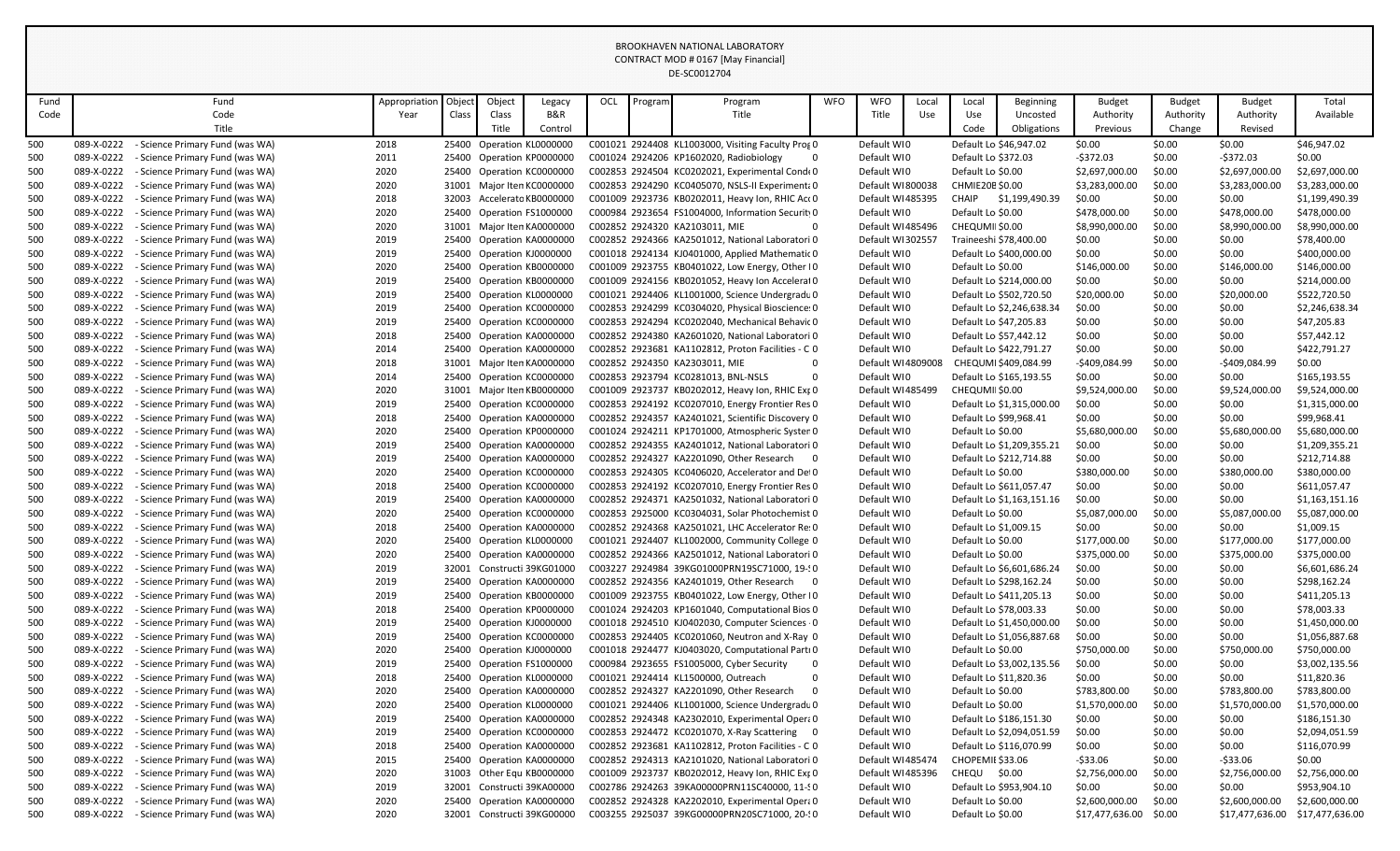| Fund |            | Fund                                       | Appropriation | Object | Object | Legacy                                                 | OCL | Program | Program                                                  | <b>WFO</b> | <b>WFO</b>        | Local | Local               | <b>Beginning</b>          | <b>Budget</b>          | Budget    | Budget         | Total                           |
|------|------------|--------------------------------------------|---------------|--------|--------|--------------------------------------------------------|-----|---------|----------------------------------------------------------|------------|-------------------|-------|---------------------|---------------------------|------------------------|-----------|----------------|---------------------------------|
| Code |            | Code                                       | Year          | Class  | Class  | B&R                                                    |     |         | Title                                                    |            | Title             | Use   | Use                 | Uncosted                  | Authority              | Authority | Authority      | Available                       |
|      |            | Title                                      |               |        | Title  | Control                                                |     |         |                                                          |            |                   |       | Code                | Obligations               | Previous               | Change    | Revised        |                                 |
| 500  | 089-X-0222 | - Science Primary Fund (was WA)            | 2018          |        |        | 25400 Operation KL0000000                              |     |         | C001021 2924408 KL1003000, Visiting Faculty Pros 0       |            | Default WI0       |       |                     | Default Lo \$46,947.02    | \$0.00                 | \$0.00    | \$0.00         | \$46,947.02                     |
| 500  | 089-X-0222 | - Science Primary Fund (was WA)            | 2011          |        |        | 25400 Operation KP0000000                              |     |         | C001024 2924206 KP1602020, Radiobiology<br>$\mathbf 0$   |            | Default WI0       |       | Default Lo \$372.03 |                           | $-$372.03$             | \$0.00    | $-5372.03$     | \$0.00                          |
| 500  | 089-X-0222 | - Science Primary Fund (was WA)            | 2020          |        |        | 25400 Operation KC0000000                              |     |         | C002853 2924504 KC0202021, Experimental Conde 0          |            | Default WI0       |       | Default Lo \$0.00   |                           | \$2,697,000.00         | \$0.00    | \$2,697,000.00 | \$2,697,000.00                  |
| 500  | 089-X-0222 | - Science Primary Fund (was WA)            | 2020          |        |        | 31001 Major Iten KC0000000                             |     |         | C002853 2924290 KC0405070, NSLS-II Experiment; 0         |            | Default WI800038  |       | CHMIE20E \$0.00     |                           | \$3,283,000.00         | \$0.00    | \$3,283,000.00 | \$3,283,000.00                  |
| 500  | 089-X-0222 | - Science Primary Fund (was WA)            | 2018          |        |        | 32003 Accelerato KB0000000                             |     |         | C001009 2923736 KB0202011, Heavy Ion, RHIC Act 0         |            | Default WI485395  |       | <b>CHAIP</b>        | \$1,199,490.39            | \$0.00                 | \$0.00    | \$0.00         | \$1,199,490.39                  |
| 500  | 089-X-0222 | - Science Primary Fund (was WA)            | 2020          |        |        | 25400 Operation FS1000000                              |     |         | C000984 2923654 FS1004000, Information Securit 0         |            | Default WI0       |       | Default Lo \$0.00   |                           | \$478,000.00           | \$0.00    | \$478,000.00   | \$478,000.00                    |
| 500  | 089-X-0222 | - Science Primary Fund (was WA)            | 2020          |        |        | 31001 Major Iten KA0000000                             |     |         | C002852 2924320 KA2103011, MIE<br>$\Omega$               |            | Default WI485496  |       | CHEQUMII \$0.00     |                           | \$8,990,000.00         | \$0.00    | \$8,990,000.00 | \$8,990,000.00                  |
| 500  | 089-X-0222 | - Science Primary Fund (was WA)            | 2019          |        |        | 25400 Operation KA0000000                              |     |         | C002852 2924366 KA2501012, National Laboratori 0         |            | Default WI302557  |       |                     | Traineeshi \$78,400.00    | \$0.00                 | \$0.00    | \$0.00         | \$78,400.00                     |
| 500  | 089-X-0222 | - Science Primary Fund (was WA)            | 2019          |        |        | 25400 Operation KJ0000000                              |     |         | C001018 2924134 KJ0401000, Applied Mathematic 0          |            | Default WI0       |       |                     | Default Lo \$400,000.00   | \$0.00                 | \$0.00    | \$0.00         | \$400,000.00                    |
| 500  | 089-X-0222 | - Science Primary Fund (was WA)            | 2020          |        |        | 25400 Operation KB0000000                              |     |         | C001009 2923755 KB0401022, Low Energy, Other IO          |            | Default WI0       |       | Default Lo \$0.00   |                           | \$146,000.00           | \$0.00    | \$146,000.00   | \$146,000.00                    |
| 500  | 089-X-0222 | - Science Primary Fund (was WA)            | 2019          |        |        | 25400 Operation KB0000000                              |     |         | C001009 2924156 KB0201052, Heavy Ion Accelerat 0         |            | Default WI0       |       |                     | Default Lo \$214,000.00   | \$0.00                 | \$0.00    | \$0.00         | \$214,000.00                    |
| 500  | 089-X-0222 | - Science Primary Fund (was WA)            | 2019          |        |        | 25400 Operation KL0000000                              |     |         | C001021 2924406 KL1001000, Science Undergradu 0          |            | Default WI0       |       |                     | Default Lo \$502,720.50   | \$20,000.00            | \$0.00    | \$20,000.00    | \$522,720.50                    |
| 500  | 089-X-0222 | - Science Primary Fund (was WA)            | 2019          |        |        | 25400 Operation KC0000000                              |     |         | C002853 2924299 KC0304020, Physical Bioscience: 0        |            | Default WI0       |       |                     | Default Lo \$2,246,638.34 | \$0.00                 | \$0.00    | \$0.00         | \$2,246,638.34                  |
| 500  | 089-X-0222 | - Science Primary Fund (was WA)            | 2019          |        |        | 25400 Operation KC0000000                              |     |         | C002853 2924294 KC0202040, Mechanical Behavic 0          |            | Default WI0       |       |                     | Default Lo \$47,205.83    | \$0.00                 | \$0.00    | \$0.00         | \$47,205.83                     |
| 500  | 089-X-0222 | - Science Primary Fund (was WA)            | 2018          |        |        | 25400 Operation KA0000000                              |     |         | C002852 2924380 KA2601020, National Laboratori 0         |            | Default WI0       |       |                     | Default Lo \$57,442.12    | \$0.00                 | \$0.00    | \$0.00         | \$57,442.12                     |
| 500  | 089-X-0222 | - Science Primary Fund (was WA)            | 2014          |        |        | 25400 Operation KA0000000                              |     |         | C002852 2923681 KA1102812, Proton Facilities - C 0       |            | Default WI0       |       |                     | Default Lo \$422,791.27   | \$0.00                 | \$0.00    | \$0.00         | \$422,791.27                    |
| 500  | 089-X-0222 | - Science Primary Fund (was WA)            | 2018          |        |        | 31001 Major Iten KA0000000                             |     |         | C002852 2924350 KA2303011, MIE<br>$\mathbf 0$            |            | Default WI4809008 |       |                     | CHEQUMI \$409,084.99      | -\$409,084.99          | \$0.00    | $-$409,084.99$ | \$0.00                          |
| 500  | 089-X-0222 | - Science Primary Fund (was WA)            | 2014          |        |        | 25400 Operation KC0000000                              |     |         | C002853 2923794 KC0281013, BNL-NSLS<br>$\mathbf 0$       |            | Default WI0       |       |                     | Default Lo \$165,193.55   | \$0.00                 | \$0.00    | \$0.00         | \$165,193.55                    |
| 500  | 089-X-0222 | - Science Primary Fund (was WA)            | 2020          |        |        | 31001 Major Iten KB0000000                             |     |         | C001009 2923737 KB0202012, Heavy Ion, RHIC Ext 0         |            | Default WI485499  |       | CHEQUMII \$0.00     |                           | \$9,524,000.00         | \$0.00    | \$9,524,000.00 | \$9,524,000.00                  |
| 500  | 089-X-0222 | - Science Primary Fund (was WA)            | 2019          |        |        | 25400 Operation KC0000000                              |     |         | C002853 2924192 KC0207010, Energy Frontier Res 0         |            | Default WI0       |       |                     | Default Lo \$1,315,000.00 | \$0.00                 | \$0.00    | \$0.00         | \$1,315,000.00                  |
| 500  | 089-X-0222 | - Science Primary Fund (was WA)            | 2018          |        |        | 25400 Operation KA0000000                              |     |         | C002852 2924357 KA2401021, Scientific Discovery 0        |            | Default WI0       |       |                     | Default Lo \$99,968.41    | \$0.00                 | \$0.00    | \$0.00         | \$99,968.41                     |
| 500  | 089-X-0222 | - Science Primary Fund (was WA)            | 2020          |        |        | 25400 Operation KP0000000                              |     |         | C001024 2924211 KP1701000, Atmospheric Syster 0          |            | Default WI0       |       | Default Lo \$0.00   |                           | \$5,680,000.00         | \$0.00    | \$5,680,000.00 | \$5,680,000.00                  |
| 500  | 089-X-0222 | - Science Primary Fund (was WA)            | 2019          |        |        | 25400 Operation KA0000000                              |     |         | C002852 2924355 KA2401012, National Laboratori 0         |            | Default WI0       |       |                     | Default Lo \$1,209,355.21 | \$0.00                 | \$0.00    | \$0.00         | \$1,209,355.21                  |
| 500  | 089-X-0222 | - Science Primary Fund (was WA)            | 2019          |        |        | 25400 Operation KA0000000                              |     |         | C002852 2924327 KA2201090. Other Research 0              |            | Default WI0       |       |                     | Default Lo \$212,714.88   | \$0.00                 | \$0.00    | \$0.00         | \$212,714.88                    |
| 500  | 089-X-0222 | - Science Primary Fund (was WA)            | 2020          |        |        | 25400 Operation KC0000000                              |     |         | C002853 2924305 KC0406020, Accelerator and Det 0         |            | Default WI0       |       | Default Lo \$0.00   |                           | \$380,000.00           | \$0.00    | \$380,000.00   | \$380,000.00                    |
| 500  | 089-X-0222 | - Science Primary Fund (was WA)            | 2018          |        |        | 25400 Operation KC0000000                              |     |         | C002853 2924192 KC0207010, Energy Frontier Res 0         |            | Default WI0       |       |                     | Default Lo \$611,057.47   | \$0.00                 | \$0.00    | \$0.00         | \$611,057.47                    |
| 500  | 089-X-0222 | - Science Primary Fund (was WA)            | 2019          |        |        | 25400 Operation KA0000000                              |     |         | C002852 2924371 KA2501032, National Laboratori 0         |            | Default WI0       |       |                     | Default Lo \$1,163,151.16 | \$0.00                 | \$0.00    | \$0.00         | \$1,163,151.16                  |
| 500  | 089-X-0222 |                                            | 2020          |        |        |                                                        |     |         | C002853 2925000 KC0304031, Solar Photochemist 0          |            | Default WI0       |       |                     |                           | \$5,087,000.00         | \$0.00    | \$5,087,000.00 | \$5,087,000.00                  |
| 500  | 089-X-0222 | - Science Primary Fund (was WA)            | 2018          |        |        | 25400 Operation KC0000000<br>25400 Operation KA0000000 |     |         | C002852 2924368 KA2501021, LHC Accelerator Re: 0         |            | Default WI0       |       | Default Lo \$0.00   | Default Lo \$1,009.15     | \$0.00                 | \$0.00    | \$0.00         | \$1,009.15                      |
|      | 089-X-0222 | - Science Primary Fund (was WA)            | 2020          |        |        |                                                        |     |         |                                                          |            |                   |       |                     |                           |                        | \$0.00    |                |                                 |
| 500  |            | - Science Primary Fund (was WA)            |               |        |        | 25400 Operation KL0000000                              |     |         | C001021 2924407 KL1002000, Community College 0           |            | Default WI0       |       | Default Lo \$0.00   |                           | \$177,000.00           |           | \$177,000.00   | \$177,000.00                    |
| 500  | 089-X-0222 | - Science Primary Fund (was WA)            | 2020          |        |        | 25400 Operation KA0000000                              |     |         | C002852 2924366 KA2501012, National Laboratori 0         |            | Default WI0       |       | Default Lo \$0.00   |                           | \$375,000.00           | \$0.00    | \$375,000.00   | \$375,000.00                    |
| 500  | 089-X-0222 | - Science Primary Fund (was WA)            | 2019          |        |        | 32001 Constructi 39KG01000                             |     |         | C003227 2924984 39KG01000PRN19SC71000, 19-10             |            | Default WI0       |       |                     | Default Lo \$6,601,686.24 | \$0.00                 | \$0.00    | \$0.00         | \$6,601,686.24                  |
| 500  | 089-X-0222 | - Science Primary Fund (was WA)            | 2019          |        |        | 25400 Operation KA0000000                              |     |         | C002852 2924356 KA2401019, Other Research 0              |            | Default WI0       |       |                     | Default Lo \$298,162.24   | \$0.00                 | \$0.00    | \$0.00         | \$298,162.24                    |
| 500  | 089-X-0222 | - Science Primary Fund (was WA)            | 2019          |        |        | 25400 Operation KB0000000                              |     |         | C001009 2923755 KB0401022, Low Energy, Other IO          |            | Default WI0       |       |                     | Default Lo \$411,205.13   | \$0.00                 | \$0.00    | \$0.00         | \$411,205.13                    |
| 500  | 089-X-0222 | - Science Primary Fund (was WA)            | 2018          |        |        | 25400 Operation KP0000000                              |     |         | C001024 2924203 KP1601040, Computational Bios 0          |            | Default WI0       |       |                     | Default Lo \$78,003.33    | \$0.00                 | \$0.00    | \$0.00         | \$78,003.33                     |
| 500  | 089-X-0222 | - Science Primary Fund (was WA)            | 2019          |        |        | 25400 Operation KJ0000000                              |     |         | C001018 2924510 KJ0402030, Computer Sciences 0           |            | Default WI0       |       |                     | Default Lo \$1,450,000.00 | \$0.00                 | \$0.00    | \$0.00         | \$1,450,000.00                  |
| 500  | 089-X-0222 | - Science Primary Fund (was WA)            | 2019          |        |        | 25400 Operation KC0000000                              |     |         | C002853 2924405 KC0201060, Neutron and X-Ray 0           |            | Default WI0       |       |                     | Default Lo \$1,056,887.68 | \$0.00                 | \$0.00    | \$0.00         | \$1,056,887.68                  |
| 500  | 089-X-0222 | - Science Primary Fund (was WA)            | 2020          |        |        | 25400 Operation KJ0000000                              |     |         | C001018 2924477 KJ0403020, Computational Parti 0         |            | Default WI0       |       | Default Lo \$0.00   |                           | \$750,000.00           | \$0.00    | \$750,000.00   | \$750,000.00                    |
| 500  | 089-X-0222 | - Science Primary Fund (was WA)            | 2019          |        |        | 25400 Operation FS1000000                              |     |         | C000984 2923655 FS1005000, Cyber Security<br>$\mathbf 0$ |            | Default WI0       |       |                     | Default Lo \$3,002,135.56 | \$0.00                 | \$0.00    | \$0.00         | \$3,002,135.56                  |
| 500  | 089-X-0222 | - Science Primary Fund (was WA)            | 2018          |        |        | 25400 Operation KL0000000                              |     |         | C001021 2924414 KL1500000, Outreach<br>$\Omega$          |            | Default WI0       |       |                     | Default Lo \$11,820.36    | \$0.00                 | \$0.00    | \$0.00         | \$11,820.36                     |
| 500  | 089-X-0222 | - Science Primary Fund (was WA)            | 2020          |        |        | 25400 Operation KA0000000                              |     |         | C002852 2924327 KA2201090, Other Research<br>$\Omega$    |            | Default WI0       |       | Default Lo \$0.00   |                           | \$783,800.00           | \$0.00    | \$783,800.00   | \$783,800.00                    |
| 500  | 089-X-0222 | - Science Primary Fund (was WA)            | 2020          |        |        | 25400 Operation KL0000000                              |     |         | C001021 2924406 KL1001000, Science Undergradu 0          |            | Default WI0       |       | Default Lo \$0.00   |                           | \$1,570,000.00         | \$0.00    | \$1,570,000.00 | \$1,570,000.00                  |
| 500  | 089-X-0222 | - Science Primary Fund (was WA)            | 2019          |        |        | 25400 Operation KA0000000                              |     |         | C002852 2924348 KA2302010, Experimental Opera 0          |            | Default WIO       |       |                     | Default Lo \$186,151.30   | \$0.00                 | \$0.00    | \$0.00         | \$186,151.30                    |
| 500  | 089-X-0222 | - Science Primary Fund (was WA)            | 2019          |        |        | 25400 Operation KC0000000                              |     |         | C002853 2924472 KC0201070, X-Ray Scattering 0            |            | Default WI0       |       |                     | Default Lo \$2,094,051.59 | \$0.00                 | \$0.00    | \$0.00         | \$2,094,051.59                  |
| 500  | 089-X-0222 | - Science Primary Fund (was WA)            | 2018          |        |        | 25400 Operation KA0000000                              |     |         | C002852 2923681 KA1102812, Proton Facilities - C 0       |            | Default WI0       |       |                     | Default Lo \$116,070.99   | \$0.00                 | \$0.00    | \$0.00         | \$116,070.99                    |
| 500  | 089-X-0222 | - Science Primary Fund (was WA)            | 2015          |        |        | 25400 Operation KA0000000                              |     |         | C002852 2924313 KA2101020, National Laboratori 0         |            | Default WI485474  |       | CHOPEMII \$33.06    |                           | -\$33.06               | \$0.00    | $-$ \$33.06    | \$0.00                          |
| 500  | 089-X-0222 | - Science Primary Fund (was WA)            | 2020          |        |        | 31003 Other Equ KB0000000                              |     |         | C001009 2923737 KB0202012, Heavy Ion, RHIC Ext 0         |            | Default WI485396  |       | CHEQU \$0.00        |                           | \$2,756,000.00         | \$0.00    | \$2,756,000.00 | \$2,756,000.00                  |
| 500  | 089-X-0222 | - Science Primary Fund (was WA)            | 2019          |        |        | 32001 Constructi 39KA00000                             |     |         | C002786 2924263 39KA00000PRN11SC40000, 11-90             |            | Default WI0       |       |                     | Default Lo \$953,904.10   | \$0.00                 | \$0.00    | \$0.00         | \$953,904.10                    |
| 500  | 089-X-0222 | - Science Primary Fund (was WA)            | 2020          |        |        | 25400 Operation KA0000000                              |     |         | C002852 2924328 KA2202010, Experimental Opera 0          |            | Default WI0       |       | Default Lo \$0.00   |                           | \$2,600,000.00         | \$0.00    | \$2,600,000.00 | \$2,600,000.00                  |
| 500  |            | 089-X-0222 - Science Primary Fund (was WA) | 2020          |        |        | 32001 Constructi 39KG00000                             |     |         | C003255 2925037 39KG00000PRN20SC71000, 20-50             |            | Default WI0       |       | Default Lo \$0.00   |                           | \$17,477,636.00 \$0.00 |           |                | \$17,477,636.00 \$17,477,636.00 |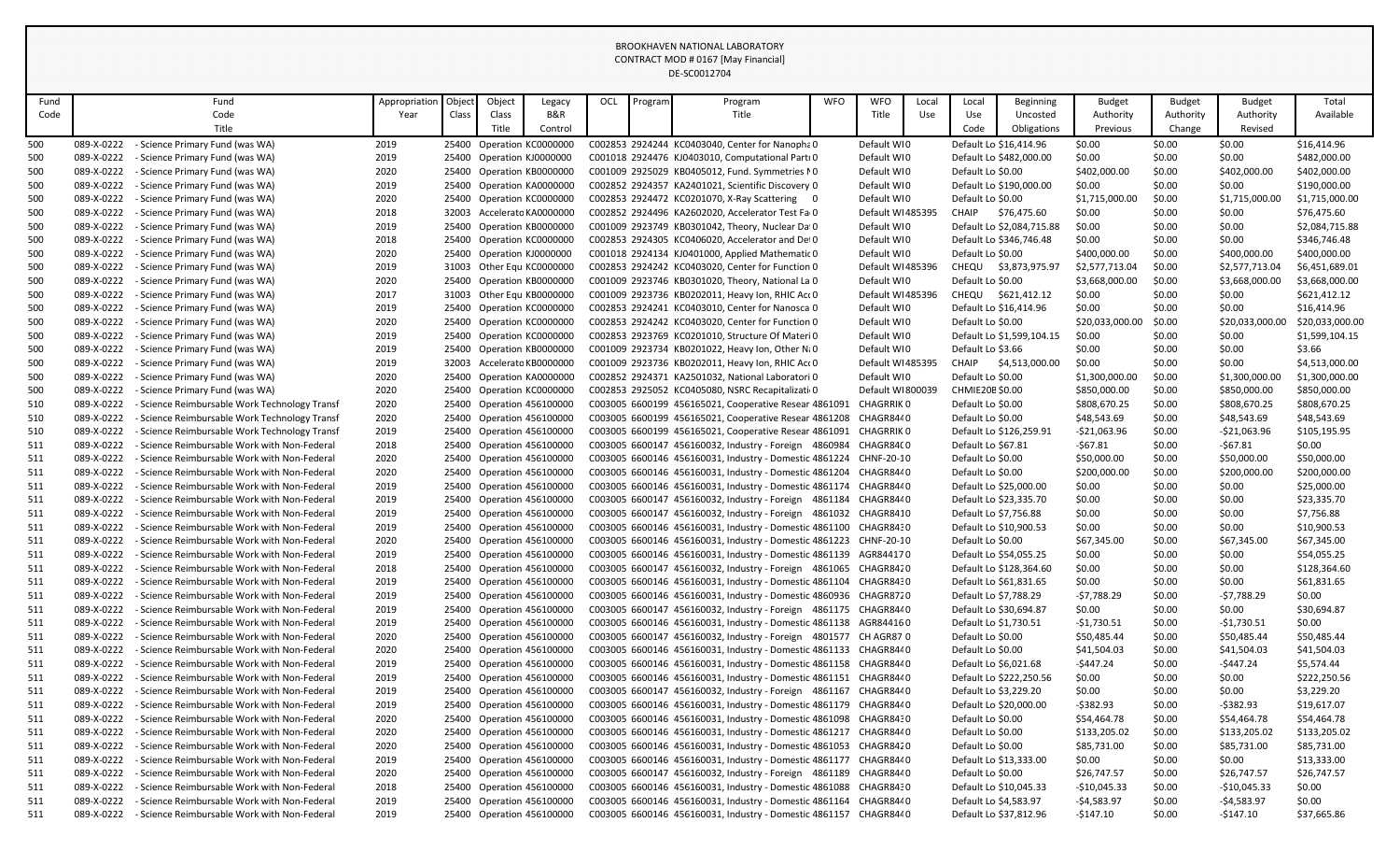| Fund |            | Fund                                          | Appropriation | Object | Object | Legacy                     | OCL | Program | Program                                                           | <b>WFO</b> | <b>WFO</b>        | Local | Local                  | <b>Beginning</b>          | <b>Budget</b>   | <b>Budget</b> | Budget          | Total           |
|------|------------|-----------------------------------------------|---------------|--------|--------|----------------------------|-----|---------|-------------------------------------------------------------------|------------|-------------------|-------|------------------------|---------------------------|-----------------|---------------|-----------------|-----------------|
| Code |            | Code                                          | Year          | Class  | Class  | B&R                        |     |         | Title                                                             |            | Title             | Use   | Use                    | Uncosted                  | Authority       | Authority     | Authority       | Available       |
|      |            | Title                                         |               |        | Title  | Control                    |     |         |                                                                   |            |                   |       | Code                   | Obligations               | Previous        | Change        | Revised         |                 |
| 500  | 089-X-0222 | - Science Primary Fund (was WA)               | 2019          |        |        | 25400 Operation KC0000000  |     |         | C002853 2924244 KC0403040, Center for Nanopha 0                   |            | Default WI0       |       |                        | Default Lo \$16,414.96    | \$0.00          | \$0.00        | \$0.00          | \$16,414.96     |
| 500  | 089-X-0222 | - Science Primary Fund (was WA)               | 2019          |        |        | 25400 Operation KJ0000000  |     |         | C001018 2924476 KJ0403010, Computational Parti 0                  |            | Default WI0       |       |                        | Default Lo \$482,000.00   | \$0.00          | \$0.00        | \$0.00          | \$482,000.00    |
| 500  | 089-X-0222 | - Science Primary Fund (was WA)               | 2020          |        |        | 25400 Operation KB0000000  |     |         | C001009 2925029 KB0405012, Fund. Symmetries MO                    |            | Default WIO       |       | Default Lo \$0.00      |                           | \$402,000.00    | \$0.00        | \$402,000.00    | \$402,000.00    |
| 500  | 089-X-0222 | - Science Primary Fund (was WA)               | 2019          |        |        | 25400 Operation KA0000000  |     |         | C002852 2924357 KA2401021, Scientific Discovery 0                 |            | Default WI0       |       |                        | Default Lo \$190,000.00   | \$0.00          | \$0.00        | \$0.00          | \$190,000.00    |
| 500  | 089-X-0222 | - Science Primary Fund (was WA)               | 2020          |        |        | 25400 Operation KC0000000  |     |         | C002853 2924472 KC0201070, X-Ray Scattering 0                     |            | Default WI0       |       | Default Lo \$0.00      |                           | \$1,715,000.00  | \$0.00        | \$1,715,000.00  | \$1,715,000.00  |
| 500  | 089-X-0222 | - Science Primary Fund (was WA)               | 2018          |        |        | 32003 Accelerato KA0000000 |     |         | C002852 2924496 KA2602020, Accelerator Test Fa 0                  |            | Default WI485395  |       | CHAIP                  | \$76,475.60               | \$0.00          | \$0.00        | \$0.00          | \$76,475.60     |
| 500  | 089-X-0222 | - Science Primary Fund (was WA)               | 2019          |        |        | 25400 Operation KB0000000  |     |         | C001009 2923749 KB0301042, Theory, Nuclear Da 0                   |            | Default WI0       |       |                        | Default Lo \$2,084,715.88 | \$0.00          | \$0.00        | \$0.00          | \$2,084,715.88  |
| 500  | 089-X-0222 | - Science Primary Fund (was WA)               | 2018          |        |        | 25400 Operation KC0000000  |     |         | C002853 2924305 KC0406020, Accelerator and Det 0                  |            | Default WI0       |       |                        | Default Lo \$346,746.48   | \$0.00          | \$0.00        | \$0.00          | \$346,746.48    |
| 500  | 089-X-0222 | - Science Primary Fund (was WA)               | 2020          |        |        | 25400 Operation KJ0000000  |     |         | C001018 2924134 KJ0401000, Applied Mathematic 0                   |            | Default WI0       |       | Default Lo \$0.00      |                           | \$400,000.00    | \$0.00        | \$400,000.00    | \$400,000.00    |
| 500  | 089-X-0222 | - Science Primary Fund (was WA)               | 2019          |        |        | 31003 Other Equ KC0000000  |     |         | C002853 2924242 KC0403020, Center for Function 0                  |            | Default WI485396  |       |                        | CHEQU \$3,873,975.97      | \$2,577,713.04  | \$0.00        | \$2,577,713.04  | \$6,451,689.01  |
| 500  | 089-X-0222 | - Science Primary Fund (was WA)               | 2020          |        |        | 25400 Operation KB0000000  |     |         | C001009 2923746 KB0301020, Theory, National La 0                  |            | Default WI0       |       | Default Lo \$0.00      |                           | \$3,668,000.00  | \$0.00        | \$3,668,000.00  | \$3,668,000.00  |
| 500  | 089-X-0222 | - Science Primary Fund (was WA)               | 2017          |        |        | 31003 Other Equ KB0000000  |     |         | C001009 2923736 KB0202011, Heavy Ion, RHIC Act 0                  |            | Default WI485396  |       |                        | CHEQU \$621,412.12        | \$0.00          | \$0.00        | \$0.00          | \$621,412.12    |
| 500  | 089-X-0222 | - Science Primary Fund (was WA)               | 2019          |        |        | 25400 Operation KC0000000  |     |         | C002853 2924241 KC0403010, Center for Nanosca 0                   |            | Default WI0       |       |                        | Default Lo \$16,414.96    | \$0.00          | \$0.00        | \$0.00          | \$16,414.96     |
| 500  | 089-X-0222 | - Science Primary Fund (was WA)               | 2020          |        |        | 25400 Operation KC0000000  |     |         | C002853 2924242 KC0403020, Center for Function 0                  |            | Default WI0       |       | Default Lo \$0.00      |                           | \$20,033,000.00 | \$0.00        | \$20,033,000.00 | \$20,033,000.00 |
| 500  | 089-X-0222 | - Science Primary Fund (was WA)               | 2019          |        |        | 25400 Operation KC0000000  |     |         | C002853 2923769 KC0201010, Structure Of Materi 0                  |            | Default WIO       |       |                        | Default Lo \$1,599,104.15 | \$0.00          | \$0.00        | \$0.00          | \$1,599,104.15  |
| 500  | 089-X-0222 | - Science Primary Fund (was WA)               | 2019          |        |        | 25400 Operation KB0000000  |     |         | C001009 2923734 KB0201022, Heavy Ion, Other Ni 0                  |            | Default WI0       |       | Default Lo \$3.66      |                           | \$0.00          | \$0.00        | \$0.00          | \$3.66          |
| 500  | 089-X-0222 | - Science Primary Fund (was WA)               | 2019          |        |        | 32003 Accelerato KB0000000 |     |         | C001009 2923736 KB0202011, Heavy Ion, RHIC Act 0                  |            | Default WI485395  |       | CHAIP                  | \$4,513,000.00            | \$0.00          | \$0.00        | \$0.00          | \$4,513,000.00  |
| 500  | 089-X-0222 | - Science Primary Fund (was WA)               | 2020          |        |        | 25400 Operation KA0000000  |     |         | C002852 2924371 KA2501032, National Laboratori 0                  |            | Default WI0       |       | Default Lo \$0.00      |                           | \$1,300,000.00  | \$0.00        | \$1,300,000.00  | \$1,300,000.00  |
| 500  | 089-X-0222 | - Science Primary Fund (was WA)               | 2020          |        |        | 25400 Operation KC0000000  |     |         | C002853 2925052 KC0405080, NSRC Recapitalizati 0                  |            | Default WI800039  |       | <b>CHMIE20E \$0.00</b> |                           | \$850,000.00    | \$0.00        | \$850,000.00    | \$850,000.00    |
| 510  | 089-X-0222 | - Science Reimbursable Work Technology Transf | 2020          |        |        | 25400 Operation 456100000  |     |         | C003005 6600199 456165021, Cooperative Resear 4861091 CHAGRRIK 0  |            |                   |       | Default Lo \$0.00      |                           | \$808,670.25    | \$0.00        | \$808,670.25    | \$808,670.25    |
| 510  | 089-X-0222 | - Science Reimbursable Work Technology Transf | 2020          |        |        | 25400 Operation 456100000  |     |         | C003005 6600199 456165021, Cooperative Resear 4861208             |            | CHAGR8440         |       | Default Lo \$0.00      |                           | \$48,543.69     | \$0.00        | \$48,543.69     | \$48,543.69     |
| 510  | 089-X-0222 | - Science Reimbursable Work Technology Transf | 2019          |        |        | 25400 Operation 456100000  |     |         | C003005 6600199 456165021, Cooperative Resear 4861091             |            | <b>CHAGRRIK 0</b> |       |                        | Default Lo \$126,259.91   | $-$21,063.96$   | \$0.00        | $-$21,063.96$   | \$105,195.95    |
| 511  | 089-X-0222 | - Science Reimbursable Work with Non-Federal  | 2018          |        |        | 25400 Operation 456100000  |     |         | C003005 6600147 456160032, Industry - Foreign 4860984 CHAGR84(0   |            |                   |       | Default Lo \$67.81     |                           | $-567.81$       | \$0.00        | -\$67.81        | \$0.00          |
| 511  | 089-X-0222 | - Science Reimbursable Work with Non-Federal  | 2020          |        |        | 25400 Operation 456100000  |     |         | C003005 6600146 456160031, Industry - Domestic 4861224 CHNF-20-10 |            |                   |       | Default Lo \$0.00      |                           | \$50,000.00     | \$0.00        | \$50,000.00     | \$50,000.00     |
| 511  | 089-X-0222 | - Science Reimbursable Work with Non-Federal  | 2020          |        |        | 25400 Operation 456100000  |     |         | C003005 6600146 456160031, Industry - Domestic 4861204            |            | CHAGR8440         |       | Default Lo \$0.00      |                           | \$200,000.00    | \$0.00        | \$200,000.00    | \$200,000.00    |
| 511  | 089-X-0222 | - Science Reimbursable Work with Non-Federal  | 2019          |        |        | 25400 Operation 456100000  |     |         | C003005 6600146 456160031, Industry - Domestic 4861174 CHAGR8440  |            |                   |       |                        | Default Lo \$25,000.00    | \$0.00          | \$0.00        | \$0.00          | \$25,000.00     |
| 511  | 089-X-0222 | - Science Reimbursable Work with Non-Federal  | 2019          |        |        | 25400 Operation 456100000  |     |         | C003005 6600147 456160032, Industry - Foreign 4861184 CHAGR8440   |            |                   |       |                        | Default Lo \$23,335.70    | \$0.00          | \$0.00        | \$0.00          | \$23,335.70     |
| 511  | 089-X-0222 | - Science Reimbursable Work with Non-Federal  | 2019          |        |        | 25400 Operation 456100000  |     |         | C003005 6600147 456160032, Industry - Foreign 4861032 CHAGR8410   |            |                   |       |                        | Default Lo \$7,756.88     | \$0.00          | \$0.00        | \$0.00          | \$7,756.88      |
| 511  | 089-X-0222 | - Science Reimbursable Work with Non-Federal  | 2019          |        |        | 25400 Operation 456100000  |     |         | C003005 6600146 456160031, Industry - Domestic 4861100 CHAGR8430  |            |                   |       |                        | Default Lo \$10,900.53    | \$0.00          | \$0.00        | \$0.00          | \$10,900.53     |
| 511  | 089-X-0222 | - Science Reimbursable Work with Non-Federal  | 2020          |        |        | 25400 Operation 456100000  |     |         | C003005 6600146 456160031, Industry - Domestic 4861223 CHNF-20-10 |            |                   |       | Default Lo \$0.00      |                           | \$67,345.00     | \$0.00        | \$67,345.00     | \$67,345.00     |
| 511  | 089-X-0222 | - Science Reimbursable Work with Non-Federal  | 2019          |        |        | 25400 Operation 456100000  |     |         | C003005 6600146 456160031, Industry - Domestic 4861139            |            | AGR844170         |       |                        | Default Lo \$54,055.25    | \$0.00          | \$0.00        | \$0.00          | \$54,055.25     |
| 511  | 089-X-0222 | - Science Reimbursable Work with Non-Federal  | 2018          |        |        | 25400 Operation 456100000  |     |         | C003005 6600147 456160032, Industry - Foreign 4861065 CHAGR8420   |            |                   |       |                        | Default Lo \$128,364.60   | \$0.00          | \$0.00        | \$0.00          | \$128,364.60    |
| 511  | 089-X-0222 | - Science Reimbursable Work with Non-Federal  | 2019          |        |        | 25400 Operation 456100000  |     |         | C003005 6600146 456160031, Industry - Domestic 4861104            |            | CHAGR8430         |       |                        | Default Lo \$61,831.65    | \$0.00          | \$0.00        | \$0.00          | \$61,831.65     |
| 511  | 089-X-0222 | - Science Reimbursable Work with Non-Federal  | 2019          |        |        | 25400 Operation 456100000  |     |         | C003005 6600146 456160031, Industry - Domestic 4860936 CHAGR8720  |            |                   |       |                        | Default Lo \$7,788.29     | $-57,788.29$    | \$0.00        | $-57,788.29$    | \$0.00          |
| 511  | 089-X-0222 | - Science Reimbursable Work with Non-Federal  | 2019          |        |        | 25400 Operation 456100000  |     |         | C003005 6600147 456160032, Industry - Foreign 4861175 CHAGR8440   |            |                   |       |                        | Default Lo \$30,694.87    | \$0.00          | \$0.00        | \$0.00          | \$30,694.87     |
| 511  | 089-X-0222 | - Science Reimbursable Work with Non-Federal  | 2019          |        |        | 25400 Operation 456100000  |     |         | C003005 6600146 456160031, Industry - Domestic 4861138            |            | AGR844160         |       |                        | Default Lo \$1,730.51     | $-$1,730.51$    | \$0.00        | $-$1,730.51$    | \$0.00          |
| 511  | 089-X-0222 | - Science Reimbursable Work with Non-Federal  | 2020          |        |        | 25400 Operation 456100000  |     |         | C003005 6600147 456160032, Industry - Foreign 4801577 CH AGR87 0  |            |                   |       | Default Lo \$0.00      |                           | \$50,485.44     | \$0.00        | \$50,485.44     | \$50,485.44     |
| 511  | 089-X-0222 | - Science Reimbursable Work with Non-Federal  | 2020          |        |        | 25400 Operation 456100000  |     |         | C003005 6600146 456160031, Industry - Domestic 4861133 CHAGR8440  |            |                   |       | Default Lo \$0.00      |                           | \$41,504.03     | \$0.00        | \$41,504.03     | \$41,504.03     |
| 511  | 089-X-0222 | - Science Reimbursable Work with Non-Federal  | 2019          |        |        | 25400 Operation 456100000  |     |         | C003005 6600146 456160031, Industry - Domestic 4861158            |            | CHAGR8440         |       |                        | Default Lo \$6,021.68     | -\$447.24       | \$0.00        | $-5447.24$      | \$5,574.44      |
| 511  | 089-X-0222 | - Science Reimbursable Work with Non-Federal  | 2019          |        |        | 25400 Operation 456100000  |     |         | C003005 6600146 456160031, Industry - Domestic 4861151 CHAGR8440  |            |                   |       |                        | Default Lo \$222,250.56   | \$0.00          | \$0.00        | \$0.00          | \$222,250.56    |
| 511  | 089-X-0222 | - Science Reimbursable Work with Non-Federal  | 2019          |        |        | 25400 Operation 456100000  |     |         | C003005 6600147 456160032, Industry - Foreign 4861167             |            | CHAGR8440         |       |                        | Default Lo \$3,229.20     | \$0.00          | \$0.00        | \$0.00          | \$3,229.20      |
| 511  | 089-X-0222 | - Science Reimbursable Work with Non-Federal  | 2019          |        |        | 25400 Operation 456100000  |     |         | C003005 6600146 456160031, Industry - Domestic 4861179 CHAGR8440  |            |                   |       |                        | Default Lo \$20,000.00    | $-5382.93$      | \$0.00        | -\$382.93       | \$19,617.07     |
| 511  | 089-X-0222 | - Science Reimbursable Work with Non-Federal  | 2020          |        |        | 25400 Operation 456100000  |     |         | C003005 6600146 456160031, Industry - Domestic 4861098 CHAGR8430  |            |                   |       | Default Lo \$0.00      |                           | \$54,464.78     | \$0.00        | \$54,464.78     | \$54,464.78     |
| 511  | 089-X-0222 | - Science Reimbursable Work with Non-Federal  | 2020          |        |        | 25400 Operation 456100000  |     |         | C003005 6600146 456160031, Industry - Domestic 4861217 CHAGR8440  |            |                   |       | Default Lo \$0.00      |                           | \$133,205.02    | \$0.00        | \$133,205.02    | \$133,205.02    |
| 511  | 089-X-0222 | - Science Reimbursable Work with Non-Federal  | 2020          |        |        | 25400 Operation 456100000  |     |         | C003005 6600146 456160031, Industry - Domestic 4861053 CHAGR8420  |            |                   |       | Default Lo \$0.00      |                           | \$85,731.00     | \$0.00        | \$85,731.00     | \$85,731.00     |
| 511  | 089-X-0222 | - Science Reimbursable Work with Non-Federal  | 2019          |        |        | 25400 Operation 456100000  |     |         | C003005 6600146 456160031, Industry - Domestic 4861177 CHAGR8440  |            |                   |       |                        | Default Lo \$13,333.00    | \$0.00          | \$0.00        | \$0.00          | \$13,333.00     |
| 511  | 089-X-0222 | - Science Reimbursable Work with Non-Federal  | 2020          |        |        | 25400 Operation 456100000  |     |         | C003005 6600147 456160032, Industry - Foreign 4861189 CHAGR8440   |            |                   |       | Default Lo \$0.00      |                           | \$26,747.57     | \$0.00        | \$26,747.57     | \$26,747.57     |
| 511  | 089-X-0222 | - Science Reimbursable Work with Non-Federal  | 2018          |        |        | 25400 Operation 456100000  |     |         | C003005 6600146 456160031, Industry - Domestic 4861088 CHAGR8430  |            |                   |       |                        | Default Lo \$10,045.33    | $-$10,045.33$   | \$0.00        | $-$10,045.33$   | \$0.00          |
| 511  | 089-X-0222 | - Science Reimbursable Work with Non-Federal  | 2019          |        |        | 25400 Operation 456100000  |     |         | C003005 6600146 456160031, Industry - Domestic 4861164 CHAGR8440  |            |                   |       |                        | Default Lo \$4,583.97     | -\$4,583.97     | \$0.00        | $-54,583.97$    | \$0.00          |
| 511  | 089-X-0222 | - Science Reimbursable Work with Non-Federal  | 2019          |        |        | 25400 Operation 456100000  |     |         | C003005 6600146 456160031, Industry - Domestic 4861157 CHAGR8440  |            |                   |       |                        | Default Lo \$37,812.96    | -\$147.10       | \$0.00        | $-$147.10$      | \$37,665.86     |
|      |            |                                               |               |        |        |                            |     |         |                                                                   |            |                   |       |                        |                           |                 |               |                 |                 |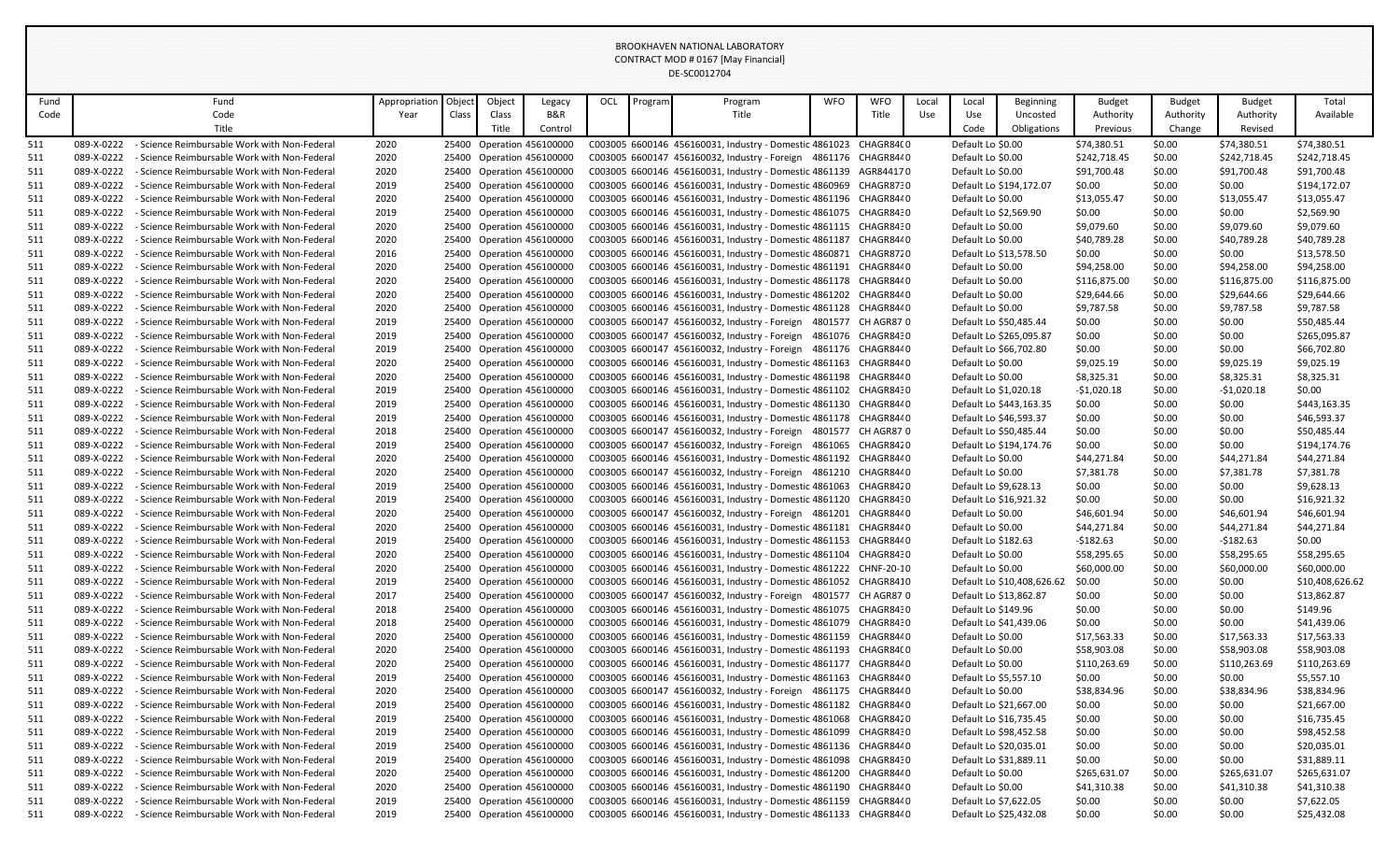| Fund |            | Fund                                         | Appropriation | Object | Object | Legacy                    | OCL | Program | Program                                                           | <b>WFO</b> | <b>WFO</b>        | Local | Local                 | Beginning                  | <b>Budget</b> | Budget    | <b>Budget</b> | Total           |
|------|------------|----------------------------------------------|---------------|--------|--------|---------------------------|-----|---------|-------------------------------------------------------------------|------------|-------------------|-------|-----------------------|----------------------------|---------------|-----------|---------------|-----------------|
| Code |            | Code                                         | Year          | Class  | Class  | B&R                       |     |         | Title                                                             |            | Title             | Use   | Use                   | Uncosted                   | Authority     | Authority | Authority     | Available       |
|      |            | Title                                        |               |        | Title  | Control                   |     |         |                                                                   |            |                   |       | Code                  | Obligations                | Previous      | Change    | Revised       |                 |
| 511  | 089-X-0222 | - Science Reimbursable Work with Non-Federal | 2020          |        |        | 25400 Operation 456100000 |     |         | C003005 6600146 456160031, Industry - Domestic 4861023 CHAGR84(0  |            |                   |       | Default Lo \$0.00     |                            | \$74,380.51   | \$0.00    | \$74,380.51   | \$74,380.51     |
| 511  | 089-X-0222 | - Science Reimbursable Work with Non-Federal | 2020          |        |        | 25400 Operation 456100000 |     |         | C003005 6600147 456160032, Industry - Foreign 4861176 CHAGR8440   |            |                   |       | Default Lo \$0.00     |                            | \$242,718.45  | \$0.00    | \$242,718.45  | \$242,718.45    |
| 511  | 089-X-0222 | - Science Reimbursable Work with Non-Federal | 2020          |        |        | 25400 Operation 456100000 |     |         | C003005 6600146 456160031, Industry - Domestic 4861139 AGR844170  |            |                   |       | Default Lo \$0.00     |                            | \$91,700.48   | \$0.00    | \$91,700.48   | \$91,700.48     |
| 511  | 089-X-0222 | - Science Reimbursable Work with Non-Federal | 2019          |        |        | 25400 Operation 456100000 |     |         | C003005 6600146 456160031, Industry - Domestic 4860969 CHAGR8730  |            |                   |       |                       | Default Lo \$194,172.07    | \$0.00        | \$0.00    | \$0.00        | \$194,172.07    |
| 511  | 089-X-0222 | - Science Reimbursable Work with Non-Federal | 2020          |        |        | 25400 Operation 456100000 |     |         | C003005 6600146 456160031, Industry - Domestic 4861196 CHAGR844 0 |            |                   |       | Default Lo \$0.00     |                            | \$13,055.47   | \$0.00    | \$13,055.47   | \$13,055.47     |
| 511  | 089-X-0222 | - Science Reimbursable Work with Non-Federal | 2019          |        |        | 25400 Operation 456100000 |     |         | C003005 6600146 456160031, Industry - Domestic 4861075 CHAGR8430  |            |                   |       | Default Lo \$2,569.90 |                            | \$0.00        | \$0.00    | \$0.00        | \$2,569.90      |
| 511  | 089-X-0222 | - Science Reimbursable Work with Non-Federal | 2020          |        |        | 25400 Operation 456100000 |     |         | C003005 6600146 456160031, Industry - Domestic 4861115 CHAGR8430  |            |                   |       | Default Lo \$0.00     |                            | \$9,079.60    | \$0.00    | \$9,079.60    | \$9,079.60      |
| 511  | 089-X-0222 | - Science Reimbursable Work with Non-Federal | 2020          |        |        | 25400 Operation 456100000 |     |         | C003005 6600146 456160031, Industry - Domestic 4861187            |            | CHAGR844 0        |       | Default Lo \$0.00     |                            | \$40,789.28   | \$0.00    | \$40,789.28   | \$40,789.28     |
| 511  | 089-X-0222 | - Science Reimbursable Work with Non-Federal | 2016          |        |        | 25400 Operation 456100000 |     |         | C003005 6600146 456160031, Industry - Domestic 4860871 CHAGR8720  |            |                   |       |                       | Default Lo \$13,578.50     | \$0.00        | \$0.00    | \$0.00        | \$13,578.50     |
| 511  | 089-X-0222 | - Science Reimbursable Work with Non-Federal | 2020          |        |        | 25400 Operation 456100000 |     |         | C003005 6600146 456160031, Industry - Domestic 4861191 CHAGR8440  |            |                   |       | Default Lo \$0.00     |                            | \$94,258.00   | \$0.00    | \$94,258.00   | \$94,258.00     |
| 511  | 089-X-0222 | - Science Reimbursable Work with Non-Federal | 2020          |        |        | 25400 Operation 456100000 |     |         | C003005 6600146 456160031, Industry - Domestic 4861178            |            | CHAGR844 0        |       | Default Lo \$0.00     |                            | \$116,875.00  | \$0.00    | \$116,875.00  | \$116,875.00    |
| 511  | 089-X-0222 | - Science Reimbursable Work with Non-Federal | 2020          |        |        | 25400 Operation 456100000 |     |         | C003005 6600146 456160031, Industry - Domestic 4861202 CHAGR8440  |            |                   |       | Default Lo \$0.00     |                            | \$29,644.66   | \$0.00    | \$29,644.66   | \$29,644.66     |
| 511  | 089-X-0222 | - Science Reimbursable Work with Non-Federal | 2020          |        |        | 25400 Operation 456100000 |     |         | C003005 6600146 456160031, Industry - Domestic 4861128 CHAGR8440  |            |                   |       | Default Lo \$0.00     |                            | \$9,787.58    | \$0.00    | \$9,787.58    | \$9,787.58      |
| 511  | 089-X-0222 | - Science Reimbursable Work with Non-Federal | 2019          |        |        | 25400 Operation 456100000 |     |         | C003005 6600147 456160032, Industry - Foreign 4801577 CH AGR87 0  |            |                   |       |                       | Default Lo \$50,485.44     | \$0.00        | \$0.00    | \$0.00        | \$50,485.44     |
| 511  | 089-X-0222 | - Science Reimbursable Work with Non-Federal | 2019          |        |        | 25400 Operation 456100000 |     |         | C003005 6600147 456160032, Industry - Foreign                     |            | 4861076 CHAGR8430 |       |                       | Default Lo \$265,095.87    | \$0.00        | \$0.00    | \$0.00        | \$265,095.87    |
| 511  | 089-X-0222 | - Science Reimbursable Work with Non-Federal | 2019          |        |        | 25400 Operation 456100000 |     |         | C003005 6600147 456160032, Industry - Foreign 4861176 CHAGR8440   |            |                   |       |                       | Default Lo \$66,702.80     | \$0.00        | \$0.00    | \$0.00        | \$66,702.80     |
| 511  | 089-X-0222 | - Science Reimbursable Work with Non-Federal | 2020          |        |        | 25400 Operation 456100000 |     |         | C003005 6600146 456160031, Industry - Domestic 4861163 CHAGR8440  |            |                   |       | Default Lo \$0.00     |                            | \$9,025.19    | \$0.00    | \$9,025.19    | \$9,025.19      |
| 511  | 089-X-0222 | - Science Reimbursable Work with Non-Federal | 2020          |        |        | 25400 Operation 456100000 |     |         | C003005 6600146 456160031, Industry - Domestic 4861198 CHAGR844 0 |            |                   |       | Default Lo \$0.00     |                            | \$8,325.31    | \$0.00    | \$8,325.31    | \$8,325.31      |
| 511  | 089-X-0222 | - Science Reimbursable Work with Non-Federal | 2019          |        |        | 25400 Operation 456100000 |     |         | C003005 6600146 456160031, Industry - Domestic 4861102 CHAGR8430  |            |                   |       | Default Lo \$1,020.18 |                            | $-$1,020.18$  | \$0.00    | -\$1,020.18   | \$0.00          |
| 511  | 089-X-0222 | - Science Reimbursable Work with Non-Federal | 2019          |        |        | 25400 Operation 456100000 |     |         | C003005 6600146 456160031, Industry - Domestic 4861130 CHAGR8440  |            |                   |       |                       | Default Lo \$443,163.35    | \$0.00        | \$0.00    | \$0.00        | \$443,163.35    |
| 511  | 089-X-0222 | - Science Reimbursable Work with Non-Federal | 2019          |        |        | 25400 Operation 456100000 |     |         | C003005 6600146 456160031, Industry - Domestic 4861178 CHAGR8440  |            |                   |       |                       | Default Lo \$46,593.37     | \$0.00        | \$0.00    | \$0.00        | \$46,593.37     |
| 511  | 089-X-0222 | - Science Reimbursable Work with Non-Federal | 2018          |        |        | 25400 Operation 456100000 |     |         | C003005 6600147 456160032, Industry - Foreign 4801577 CH AGR87 0  |            |                   |       |                       | Default Lo \$50,485.44     | \$0.00        | \$0.00    | \$0.00        | \$50,485.44     |
| 511  | 089-X-0222 | - Science Reimbursable Work with Non-Federal | 2019          |        |        | 25400 Operation 456100000 |     |         | C003005 6600147 456160032, Industry - Foreign 4861065 CHAGR8420   |            |                   |       |                       | Default Lo \$194,174.76    | \$0.00        | \$0.00    | \$0.00        | \$194,174.76    |
| 511  | 089-X-0222 | - Science Reimbursable Work with Non-Federal | 2020          |        |        | 25400 Operation 456100000 |     |         | C003005 6600146 456160031, Industry - Domestic 4861192 CHAGR8440  |            |                   |       | Default Lo \$0.00     |                            | \$44,271.84   | \$0.00    | \$44,271.84   | \$44,271.84     |
| 511  | 089-X-0222 | - Science Reimbursable Work with Non-Federal | 2020          |        |        | 25400 Operation 456100000 |     |         | C003005 6600147 456160032, Industry - Foreign 4861210             |            | CHAGR8440         |       | Default Lo \$0.00     |                            | \$7,381.78    | \$0.00    | \$7,381.78    | \$7,381.78      |
| 511  | 089-X-0222 | - Science Reimbursable Work with Non-Federal | 2019          |        |        | 25400 Operation 456100000 |     |         | C003005 6600146 456160031, Industry - Domestic 4861063 CHAGR8420  |            |                   |       | Default Lo \$9,628.13 |                            | \$0.00        | \$0.00    | \$0.00        | \$9,628.13      |
| 511  | 089-X-0222 | - Science Reimbursable Work with Non-Federal | 2019          |        |        | 25400 Operation 456100000 |     |         | C003005 6600146 456160031, Industry - Domestic 4861120 CHAGR8430  |            |                   |       |                       | Default Lo \$16,921.32     | \$0.00        | \$0.00    | \$0.00        | \$16,921.32     |
| 511  | 089-X-0222 | - Science Reimbursable Work with Non-Federal | 2020          |        |        | 25400 Operation 456100000 |     |         | C003005 6600147 456160032, Industry - Foreign 4861201 CHAGR8440   |            |                   |       | Default Lo \$0.00     |                            | \$46,601.94   | \$0.00    | \$46,601.94   | \$46,601.94     |
| 511  | 089-X-0222 | - Science Reimbursable Work with Non-Federal | 2020          |        |        | 25400 Operation 456100000 |     |         | C003005 6600146 456160031, Industry - Domestic 4861181 CHAGR8440  |            |                   |       | Default Lo \$0.00     |                            | \$44,271.84   | \$0.00    | \$44,271.84   | \$44,271.84     |
| 511  | 089-X-0222 | - Science Reimbursable Work with Non-Federal | 2019          |        |        | 25400 Operation 456100000 |     |         | C003005 6600146 456160031, Industry - Domestic 4861153            |            | CHAGR8440         |       | Default Lo \$182.63   |                            | -\$182.63     | \$0.00    | -\$182.63     | \$0.00          |
| 511  | 089-X-0222 | - Science Reimbursable Work with Non-Federal | 2020          |        |        | 25400 Operation 456100000 |     |         | C003005 6600146 456160031, Industry - Domestic 4861104 CHAGR8430  |            |                   |       | Default Lo \$0.00     |                            | \$58,295.65   | \$0.00    | \$58,295.65   | \$58,295.65     |
| 511  | 089-X-0222 | - Science Reimbursable Work with Non-Federal | 2020          |        |        | 25400 Operation 456100000 |     |         | C003005 6600146 456160031, Industry - Domestic 4861222 CHNF-20-10 |            |                   |       | Default Lo \$0.00     |                            | \$60,000.00   | \$0.00    | \$60,000.00   | \$60,000.00     |
| 511  | 089-X-0222 | - Science Reimbursable Work with Non-Federal | 2019          |        |        | 25400 Operation 456100000 |     |         | C003005 6600146 456160031, Industry - Domestic 4861052            |            | CHAGR8410         |       |                       | Default Lo \$10,408,626.62 | \$0.00        | \$0.00    | \$0.00        | \$10,408,626.62 |
| 511  | 089-X-0222 | - Science Reimbursable Work with Non-Federal | 2017          |        |        | 25400 Operation 456100000 |     |         | C003005 6600147 456160032, Industry - Foreign 4801577 CH AGR87 0  |            |                   |       |                       | Default Lo \$13,862.87     | \$0.00        | \$0.00    | \$0.00        | \$13,862.87     |
| 511  | 089-X-0222 | - Science Reimbursable Work with Non-Federal | 2018          |        |        | 25400 Operation 456100000 |     |         | C003005 6600146 456160031, Industry - Domestic 4861075 CHAGR8430  |            |                   |       | Default Lo \$149.96   |                            | \$0.00        | \$0.00    | \$0.00        | \$149.96        |
| 511  | 089-X-0222 | - Science Reimbursable Work with Non-Federal | 2018          |        |        | 25400 Operation 456100000 |     |         | C003005 6600146 456160031, Industry - Domestic 4861079            |            | CHAGR8430         |       |                       | Default Lo \$41,439.06     | \$0.00        | \$0.00    | \$0.00        | \$41,439.06     |
| 511  | 089-X-0222 | - Science Reimbursable Work with Non-Federal | 2020          |        |        | 25400 Operation 456100000 |     |         | C003005 6600146 456160031, Industry - Domestic 4861159 CHAGR844 0 |            |                   |       | Default Lo \$0.00     |                            | \$17,563.33   | \$0.00    | \$17,563.33   | \$17,563.33     |
| 511  | 089-X-0222 | - Science Reimbursable Work with Non-Federal | 2020          |        |        | 25400 Operation 456100000 |     |         | C003005 6600146 456160031, Industry - Domestic 4861193 CHAGR84(0  |            |                   |       | Default Lo \$0.00     |                            | \$58,903.08   | \$0.00    | \$58,903.08   | \$58,903.08     |
| 511  | 089-X-0222 | - Science Reimbursable Work with Non-Federal | 2020          |        |        | 25400 Operation 456100000 |     |         | C003005 6600146 456160031, Industry - Domestic 4861177            |            | CHAGR8440         |       | Default Lo \$0.00     |                            | \$110,263.69  | \$0.00    | \$110,263.69  | \$110,263.69    |
| 511  | 089-X-0222 | - Science Reimbursable Work with Non-Federal | 2019          |        |        | 25400 Operation 456100000 |     |         | C003005 6600146 456160031, Industry - Domestic 4861163 CHAGR8440  |            |                   |       | Default Lo \$5,557.10 |                            | \$0.00        | \$0.00    | \$0.00        | \$5,557.10      |
| 511  | 089-X-0222 | - Science Reimbursable Work with Non-Federal | 2020          |        |        | 25400 Operation 456100000 |     |         | C003005 6600147 456160032, Industry - Foreign 4861175             |            | CHAGR844 0        |       | Default Lo \$0.00     |                            | \$38,834.96   | \$0.00    | \$38,834.96   | \$38,834.96     |
| 511  | 089-X-0222 | - Science Reimbursable Work with Non-Federal | 2019          |        |        | 25400 Operation 456100000 |     |         | C003005 6600146 456160031, Industry - Domestic 4861182 CHAGR8440  |            |                   |       |                       | Default Lo \$21,667.00     | \$0.00        | \$0.00    | \$0.00        | \$21,667.00     |
| 511  | 089-X-0222 | - Science Reimbursable Work with Non-Federal | 2019          |        |        | 25400 Operation 456100000 |     |         | C003005 6600146 456160031, Industry - Domestic 4861068 CHAGR8420  |            |                   |       |                       | Default Lo \$16,735.45     | \$0.00        | \$0.00    | \$0.00        | \$16,735.45     |
| 511  | 089-X-0222 | - Science Reimbursable Work with Non-Federal | 2019          |        |        | 25400 Operation 456100000 |     |         | C003005 6600146 456160031, Industry - Domestic 4861099 CHAGR8430  |            |                   |       |                       | Default Lo \$98,452.58     | \$0.00        | \$0.00    | \$0.00        | \$98,452.58     |
| 511  | 089-X-0222 | - Science Reimbursable Work with Non-Federal | 2019          |        |        | 25400 Operation 456100000 |     |         | C003005 6600146 456160031, Industry - Domestic 4861136 CHAGR8440  |            |                   |       |                       | Default Lo \$20,035.01     | \$0.00        | \$0.00    | \$0.00        | \$20,035.01     |
| 511  | 089-X-0222 | - Science Reimbursable Work with Non-Federal | 2019          |        |        | 25400 Operation 456100000 |     |         | C003005 6600146 456160031, Industry - Domestic 4861098 CHAGR8430  |            |                   |       |                       | Default Lo \$31,889.11     | \$0.00        | \$0.00    | \$0.00        | \$31,889.11     |
| 511  | 089-X-0222 | - Science Reimbursable Work with Non-Federal | 2020          |        |        | 25400 Operation 456100000 |     |         | C003005 6600146 456160031, Industry - Domestic 4861200 CHAGR8440  |            |                   |       | Default Lo \$0.00     |                            | \$265,631.07  | \$0.00    | \$265,631.07  | \$265,631.07    |
| 511  | 089-X-0222 | - Science Reimbursable Work with Non-Federal | 2020          |        |        | 25400 Operation 456100000 |     |         | C003005 6600146 456160031, Industry - Domestic 4861190 CHAGR8440  |            |                   |       | Default Lo \$0.00     |                            | \$41,310.38   | \$0.00    | \$41,310.38   | \$41,310.38     |
| 511  | 089-X-0222 | - Science Reimbursable Work with Non-Federal | 2019          |        |        | 25400 Operation 456100000 |     |         | C003005 6600146 456160031, Industry - Domestic 4861159 CHAGR8440  |            |                   |       | Default Lo \$7,622.05 |                            | \$0.00        | \$0.00    | \$0.00        | \$7,622.05      |
| 511  | 089-X-0222 | - Science Reimbursable Work with Non-Federal | 2019          |        |        | 25400 Operation 456100000 |     |         | C003005 6600146 456160031, Industry - Domestic 4861133 CHAGR8440  |            |                   |       |                       | Default Lo \$25,432.08     | \$0.00        | \$0.00    | \$0.00        | \$25,432.08     |
|      |            |                                              |               |        |        |                           |     |         |                                                                   |            |                   |       |                       |                            |               |           |               |                 |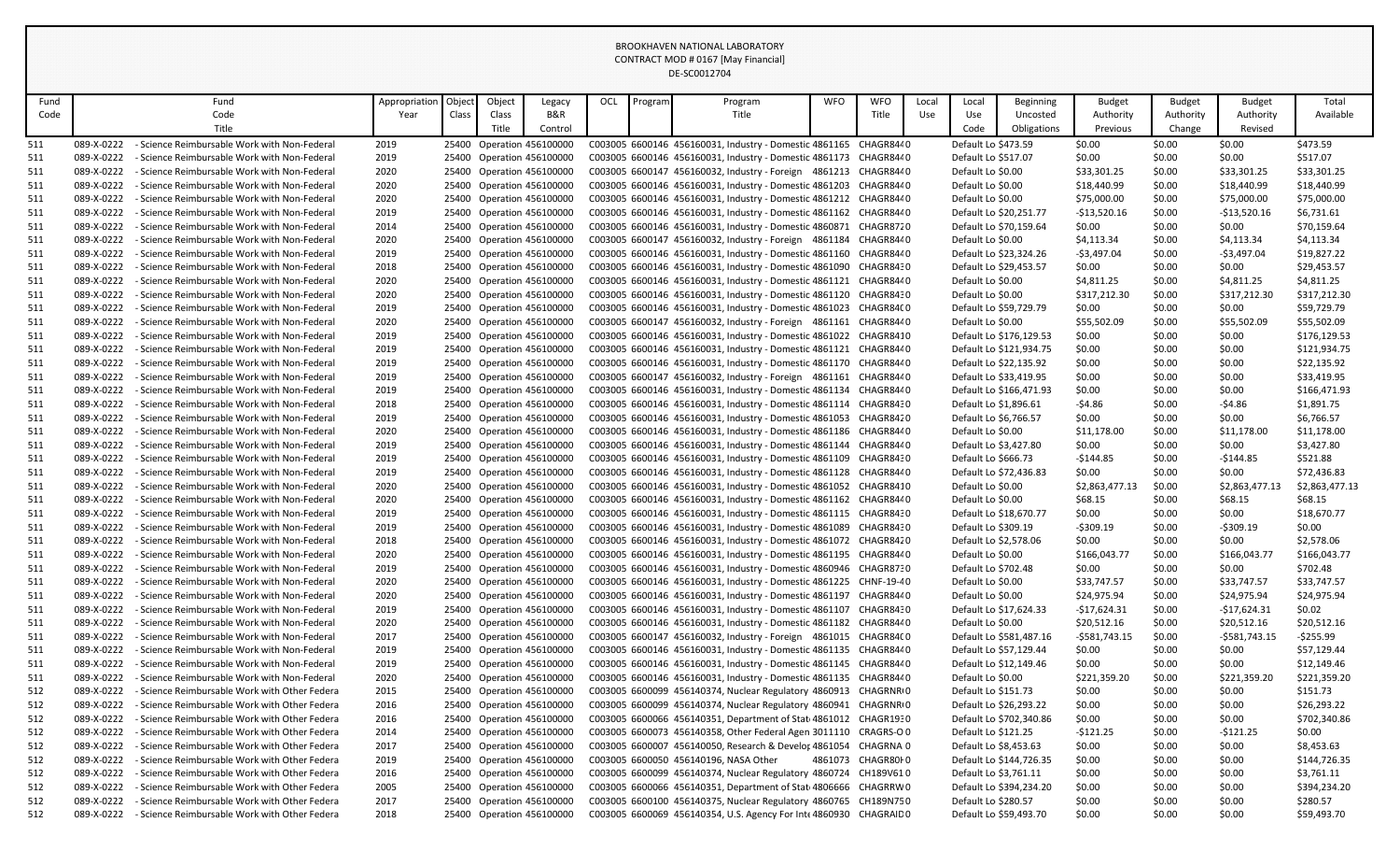| Fund |            | Fund                                          | Appropriation | Object | Object | Legacy                    | OCL | Program | Program                                                            | <b>WFO</b> | <b>WFO</b>            | Local | Local                 | <b>Beginning</b>        | <b>Budget</b>  | <b>Budget</b> | <b>Budget</b>  | Total          |
|------|------------|-----------------------------------------------|---------------|--------|--------|---------------------------|-----|---------|--------------------------------------------------------------------|------------|-----------------------|-------|-----------------------|-------------------------|----------------|---------------|----------------|----------------|
| Code |            | Code                                          | Year          | Class  | Class  | B&R                       |     |         | Title                                                              |            | Title                 | Use   | Use                   | Uncosted                | Authority      | Authority     | Authority      | Available      |
|      |            | Title                                         |               |        | Title  | Control                   |     |         |                                                                    |            |                       |       | Code                  | Obligations             | Previous       | Change        | Revised        |                |
| 511  | 089-X-0222 | - Science Reimbursable Work with Non-Federal  | 2019          |        |        | 25400 Operation 456100000 |     |         | C003005 6600146 456160031, Industry - Domestic 4861165 CHAGR844 0  |            |                       |       | Default Lo \$473.59   |                         | \$0.00         | \$0.00        | \$0.00         | \$473.59       |
| 511  | 089-X-0222 | - Science Reimbursable Work with Non-Federal  | 2019          |        |        | 25400 Operation 456100000 |     |         | C003005 6600146 456160031, Industry - Domestic 4861173             |            | CHAGR8440             |       | Default Lo \$517.07   |                         | \$0.00         | \$0.00        | \$0.00         | \$517.07       |
| 511  | 089-X-0222 | - Science Reimbursable Work with Non-Federal  | 2020          |        |        | 25400 Operation 456100000 |     |         | C003005 6600147 456160032, Industry - Foreign 4861213              |            | CHAGR8440             |       | Default Lo \$0.00     |                         | \$33,301.25    | \$0.00        | \$33,301.25    | \$33,301.25    |
| 511  | 089-X-0222 | - Science Reimbursable Work with Non-Federal  | 2020          |        |        | 25400 Operation 456100000 |     |         | C003005 6600146 456160031, Industry - Domestic 4861203             |            | CHAGR8440             |       | Default Lo \$0.00     |                         | \$18,440.99    | \$0.00        | \$18,440.99    | \$18,440.99    |
| 511  | 089-X-0222 | - Science Reimbursable Work with Non-Federal  | 2020          |        |        | 25400 Operation 456100000 |     |         | C003005 6600146 456160031, Industry - Domestic 4861212             |            | CHAGR8440             |       | Default Lo \$0.00     |                         | \$75,000.00    | \$0.00        | \$75,000.00    | \$75,000.00    |
| 511  | 089-X-0222 | - Science Reimbursable Work with Non-Federal  | 2019          |        |        | 25400 Operation 456100000 |     |         | C003005 6600146 456160031, Industry - Domestic 4861162             |            | CHAGR8440             |       |                       | Default Lo \$20,251.77  | $-$13,520.16$  | \$0.00        | $-$13,520.16$  | \$6,731.61     |
| 511  | 089-X-0222 | - Science Reimbursable Work with Non-Federal  | 2014          |        |        | 25400 Operation 456100000 |     |         | C003005 6600146 456160031, Industry - Domestic 4860871 CHAGR8720   |            |                       |       |                       | Default Lo \$70,159.64  | \$0.00         | \$0.00        | \$0.00         | \$70,159.64    |
| 511  | 089-X-0222 | - Science Reimbursable Work with Non-Federal  | 2020          |        |        | 25400 Operation 456100000 |     |         | C003005 6600147 456160032, Industry - Foreign 4861184              |            | CHAGR8440             |       | Default Lo \$0.00     |                         | \$4,113.34     | \$0.00        | \$4,113.34     | \$4,113.34     |
| 511  | 089-X-0222 | - Science Reimbursable Work with Non-Federal  | 2019          |        |        | 25400 Operation 456100000 |     |         | C003005 6600146 456160031, Industry - Domestic 4861160             |            | CHAGR8440             |       |                       | Default Lo \$23,324.26  | -\$3,497.04    | \$0.00        | $-$3,497.04$   | \$19,827.22    |
| 511  | 089-X-0222 | - Science Reimbursable Work with Non-Federal  | 2018          |        |        | 25400 Operation 456100000 |     |         | C003005 6600146 456160031, Industry - Domestic 4861090 CHAGR8430   |            |                       |       |                       | Default Lo \$29,453.57  | \$0.00         | \$0.00        | \$0.00         | \$29,453.57    |
| 511  | 089-X-0222 | - Science Reimbursable Work with Non-Federal  | 2020          |        |        | 25400 Operation 456100000 |     |         | C003005 6600146 456160031, Industry - Domestic 4861121             |            | CHAGR8440             |       | Default Lo \$0.00     |                         | \$4,811.25     | \$0.00        | \$4,811.25     | \$4,811.25     |
| 511  | 089-X-0222 | - Science Reimbursable Work with Non-Federal  | 2020          |        |        | 25400 Operation 456100000 |     |         | C003005 6600146 456160031, Industry - Domestic 4861120 CHAGR8430   |            |                       |       | Default Lo \$0.00     |                         | \$317,212.30   | \$0.00        | \$317,212.30   | \$317,212.30   |
| 511  | 089-X-0222 | - Science Reimbursable Work with Non-Federal  | 2019          |        |        | 25400 Operation 456100000 |     |         | C003005 6600146 456160031, Industry - Domestic 4861023             |            | CHAGR84(0             |       |                       | Default Lo \$59,729.79  | \$0.00         | \$0.00        | \$0.00         | \$59,729.79    |
| 511  | 089-X-0222 | - Science Reimbursable Work with Non-Federal  | 2020          |        |        | 25400 Operation 456100000 |     |         | C003005 6600147 456160032, Industry - Foreign 4861161              |            | CHAGR8440             |       | Default Lo \$0.00     |                         | \$55,502.09    | \$0.00        | \$55,502.09    | \$55,502.09    |
| 511  | 089-X-0222 | - Science Reimbursable Work with Non-Federal  | 2019          |        |        | 25400 Operation 456100000 |     |         | C003005 6600146 456160031, Industry - Domestic 4861022 CHAGR8410   |            |                       |       |                       | Default Lo \$176,129.53 | \$0.00         | \$0.00        | \$0.00         | \$176,129.53   |
| 511  | 089-X-0222 | - Science Reimbursable Work with Non-Federal  | 2019          |        |        | 25400 Operation 456100000 |     |         | C003005 6600146 456160031, Industry - Domestic 4861121             |            | CHAGR8440             |       |                       | Default Lo \$121,934.75 | \$0.00         | \$0.00        | \$0.00         | \$121,934.75   |
| 511  | 089-X-0222 | - Science Reimbursable Work with Non-Federal  | 2019          |        |        | 25400 Operation 456100000 |     |         | C003005 6600146 456160031, Industry - Domestic 4861170             |            | CHAGR8440             |       |                       | Default Lo \$22,135.92  | \$0.00         | \$0.00        | \$0.00         | \$22,135.92    |
| 511  | 089-X-0222 | - Science Reimbursable Work with Non-Federal  | 2019          |        |        | 25400 Operation 456100000 |     |         | C003005 6600147 456160032, Industry - Foreign 4861161 CHAGR8440    |            |                       |       |                       | Default Lo \$33,419.95  | \$0.00         | \$0.00        | \$0.00         | \$33,419.95    |
| 511  | 089-X-0222 | - Science Reimbursable Work with Non-Federal  | 2019          |        |        | 25400 Operation 456100000 |     |         | C003005 6600146 456160031, Industry - Domestic 4861134             |            | CHAGR8440             |       |                       | Default Lo \$166,471.93 | \$0.00         | \$0.00        | \$0.00         | \$166,471.93   |
| 511  | 089-X-0222 | - Science Reimbursable Work with Non-Federal  | 2018          |        |        | 25400 Operation 456100000 |     |         | C003005 6600146 456160031, Industry - Domestic 4861114 CHAGR8430   |            |                       |       | Default Lo \$1,896.61 |                         | $-54.86$       | \$0.00        | $-54.86$       | \$1,891.75     |
| 511  | 089-X-0222 | - Science Reimbursable Work with Non-Federal  | 2019          |        |        | 25400 Operation 456100000 |     |         | C003005 6600146 456160031, Industry - Domestic 4861053             |            | CHAGR8420             |       | Default Lo \$6,766.57 |                         | \$0.00         | \$0.00        | \$0.00         | \$6,766.57     |
| 511  | 089-X-0222 | - Science Reimbursable Work with Non-Federal  | 2020          |        |        | 25400 Operation 456100000 |     |         | C003005 6600146 456160031, Industry - Domestic 4861186             |            | CHAGR8440             |       | Default Lo \$0.00     |                         | \$11,178.00    | \$0.00        | \$11,178.00    | \$11,178.00    |
| 511  | 089-X-0222 | - Science Reimbursable Work with Non-Federal  | 2019          |        |        | 25400 Operation 456100000 |     |         | C003005 6600146 456160031, Industry - Domestic 4861144             |            | CHAGR8440             |       | Default Lo \$3,427.80 |                         | \$0.00         | \$0.00        | \$0.00         | \$3,427.80     |
| 511  | 089-X-0222 | - Science Reimbursable Work with Non-Federal  | 2019          |        |        | 25400 Operation 456100000 |     |         | C003005 6600146 456160031, Industry - Domestic 4861109             |            | CHAGR8430             |       | Default Lo \$666.73   |                         | $-5144.85$     | \$0.00        | $-5144.85$     | \$521.88       |
| 511  | 089-X-0222 | - Science Reimbursable Work with Non-Federal  | 2019          |        |        | 25400 Operation 456100000 |     |         | C003005 6600146 456160031, Industry - Domestic 4861128             |            | CHAGR8440             |       |                       | Default Lo \$72,436.83  | \$0.00         | \$0.00        | \$0.00         | \$72,436.83    |
| 511  | 089-X-0222 | - Science Reimbursable Work with Non-Federal  | 2020          |        |        | 25400 Operation 456100000 |     |         | C003005 6600146 456160031, Industry - Domestic 4861052 CHAGR8410   |            |                       |       | Default Lo \$0.00     |                         | \$2,863,477.13 | \$0.00        | \$2,863,477.13 | \$2,863,477.13 |
| 511  | 089-X-0222 | - Science Reimbursable Work with Non-Federal  | 2020          |        |        | 25400 Operation 456100000 |     |         | C003005 6600146 456160031, Industry - Domestic 4861162             |            | CHAGR8440             |       | Default Lo \$0.00     |                         | \$68.15        | \$0.00        | \$68.15        | \$68.15        |
| 511  | 089-X-0222 | - Science Reimbursable Work with Non-Federal  | 2019          |        |        | 25400 Operation 456100000 |     |         | C003005 6600146 456160031, Industry - Domestic 4861115             |            | CHAGR8430             |       |                       | Default Lo \$18,670.77  | \$0.00         | \$0.00        | \$0.00         | \$18,670.77    |
| 511  | 089-X-0222 | - Science Reimbursable Work with Non-Federal  | 2019          |        |        | 25400 Operation 456100000 |     |         | C003005 6600146 456160031, Industry - Domestic 4861089             |            | CHAGR8430             |       | Default Lo \$309.19   |                         | $-$ \$309.19   | \$0.00        | $-5309.19$     | \$0.00         |
| 511  | 089-X-0222 | - Science Reimbursable Work with Non-Federal  | 2018          |        |        | 25400 Operation 456100000 |     |         | C003005 6600146 456160031, Industry - Domestic 4861072             |            | CHAGR8420             |       | Default Lo \$2,578.06 |                         | \$0.00         | \$0.00        | \$0.00         | \$2,578.06     |
| 511  | 089-X-0222 | - Science Reimbursable Work with Non-Federal  | 2020          |        |        | 25400 Operation 456100000 |     |         | C003005 6600146 456160031, Industry - Domestic 4861195 CHAGR844 0  |            |                       |       | Default Lo \$0.00     |                         | \$166,043.77   | \$0.00        | \$166,043.77   | \$166,043.77   |
| 511  | 089-X-0222 | - Science Reimbursable Work with Non-Federal  | 2019          |        |        | 25400 Operation 456100000 |     |         | C003005 6600146 456160031, Industry - Domestic 4860946 CHAGR8730   |            |                       |       | Default Lo \$702.48   |                         | \$0.00         | \$0.00        | \$0.00         | \$702.48       |
| 511  | 089-X-0222 | - Science Reimbursable Work with Non-Federal  | 2020          |        |        | 25400 Operation 456100000 |     |         | C003005 6600146 456160031, Industry - Domestic 4861225             |            | CHNF-19-40            |       | Default Lo \$0.00     |                         | \$33,747.57    | \$0.00        | \$33,747.57    | \$33,747.57    |
| 511  | 089-X-0222 | - Science Reimbursable Work with Non-Federal  | 2020          |        |        | 25400 Operation 456100000 |     |         | C003005 6600146 456160031, Industry - Domestic 4861197             |            | CHAGR8440             |       | Default Lo \$0.00     |                         | \$24,975.94    | \$0.00        | \$24,975.94    | \$24,975.94    |
| 511  | 089-X-0222 | - Science Reimbursable Work with Non-Federal  | 2019          |        |        | 25400 Operation 456100000 |     |         | C003005 6600146 456160031, Industry - Domestic 4861107             |            | CHAGR8430             |       |                       | Default Lo \$17,624.33  | $-$17,624.31$  | \$0.00        | $-$17,624.31$  | \$0.02         |
| 511  | 089-X-0222 | - Science Reimbursable Work with Non-Federal  | 2020          |        |        | 25400 Operation 456100000 |     |         | C003005 6600146 456160031, Industry - Domestic 4861182             |            | CHAGR8440             |       | Default Lo \$0.00     |                         | \$20,512.16    | \$0.00        | \$20,512.16    | \$20,512.16    |
| 511  | 089-X-0222 | - Science Reimbursable Work with Non-Federal  | 2017          |        |        | 25400 Operation 456100000 |     |         | C003005 6600147 456160032, Industry - Foreign 4861015              |            | CHAGR84(0             |       |                       | Default Lo \$581,487.16 | $-5581,743.15$ | \$0.00        | $-5581,743.15$ | $-$255.99$     |
| 511  | 089-X-0222 | - Science Reimbursable Work with Non-Federal  | 2019          |        |        | 25400 Operation 456100000 |     |         | C003005 6600146 456160031, Industry - Domestic 4861135             |            | CHAGR8440             |       |                       | Default Lo \$57,129.44  | \$0.00         | \$0.00        | \$0.00         | \$57,129.44    |
| 511  | 089-X-0222 | - Science Reimbursable Work with Non-Federal  | 2019          |        |        | 25400 Operation 456100000 |     |         | C003005 6600146 456160031, Industry - Domestic 4861145 CHAGR844 0  |            |                       |       |                       | Default Lo \$12,149.46  | \$0.00         | \$0.00        | \$0.00         | \$12,149.46    |
| 511  | 089-X-0222 | - Science Reimbursable Work with Non-Federal  | 2020          |        |        | 25400 Operation 456100000 |     |         | C003005 6600146 456160031, Industry - Domestic 4861135 CHAGR8440   |            |                       |       | Default Lo \$0.00     |                         | \$221,359.20   | \$0.00        | \$221,359.20   | \$221,359.20   |
| 512  | 089-X-0222 | - Science Reimbursable Work with Other Federa | 2015          |        |        | 25400 Operation 456100000 |     |         | C003005 6600099 456140374, Nuclear Regulatory 4860913              |            | CHAGRNR <sub>10</sub> |       | Default Lo \$151.73   |                         | \$0.00         | \$0.00        | \$0.00         | \$151.73       |
| 512  | 089-X-0222 | - Science Reimbursable Work with Other Federa | 2016          |        |        | 25400 Operation 456100000 |     |         | C003005 6600099 456140374, Nuclear Regulatory 4860941 CHAGRNRIO    |            |                       |       |                       | Default Lo \$26,293.22  | \$0.00         | \$0.00        | \$0.00         | \$26,293.22    |
| 512  | 089-X-0222 | - Science Reimbursable Work with Other Federa | 2016          |        |        | 25400 Operation 456100000 |     |         | C003005 6600066 456140351, Department of Stat 4861012 CHAGR1930    |            |                       |       |                       | Default Lo \$702,340.86 | \$0.00         | \$0.00        | \$0.00         | \$702,340.86   |
| 512  | 089-X-0222 | - Science Reimbursable Work with Other Federa | 2014          |        |        | 25400 Operation 456100000 |     |         | C003005 6600073 456140358, Other Federal Agen 3011110 CRAGRS-OO    |            |                       |       | Default Lo \$121.25   |                         | -\$121.25      | \$0.00        | -\$121.25      | \$0.00         |
| 512  | 089-X-0222 | - Science Reimbursable Work with Other Federa | 2017          |        |        | 25400 Operation 456100000 |     |         | C003005 6600007 456140050, Research & Develor 4861054 CHAGRNA 0    |            |                       |       | Default Lo \$8,453.63 |                         | \$0.00         | \$0.00        | \$0.00         | \$8,453.63     |
| 512  | 089-X-0222 | - Science Reimbursable Work with Other Federa | 2019          |        |        | 25400 Operation 456100000 |     |         | C003005 6600050 456140196, NASA Other                              |            | 4861073 CHAGR80I0     |       |                       | Default Lo \$144,726.35 | \$0.00         | \$0.00        | \$0.00         | \$144,726.35   |
| 512  | 089-X-0222 | - Science Reimbursable Work with Other Federa | 2016          |        |        | 25400 Operation 456100000 |     |         | C003005 6600099 456140374, Nuclear Regulatory 4860724 CH189V610    |            |                       |       | Default Lo \$3,761.11 |                         | \$0.00         | \$0.00        | \$0.00         | \$3,761.11     |
| 512  | 089-X-0222 | - Science Reimbursable Work with Other Federa | 2005          |        |        | 25400 Operation 456100000 |     |         | C003005 6600066 456140351, Department of Stat 4806666 CHAGRRW0     |            |                       |       |                       | Default Lo \$394,234.20 | \$0.00         | \$0.00        | \$0.00         | \$394,234.20   |
| 512  | 089-X-0222 | - Science Reimbursable Work with Other Federa | 2017          |        |        | 25400 Operation 456100000 |     |         | C003005 6600100 456140375, Nuclear Regulatory 4860765 CH189N750    |            |                       |       | Default Lo \$280.57   |                         | \$0.00         | \$0.00        | \$0.00         | \$280.57       |
| 512  | 089-X-0222 | - Science Reimbursable Work with Other Federa | 2018          |        |        | 25400 Operation 456100000 |     |         | C003005 6600069 456140354, U.S. Agency For Inte 4860930 CHAGRAID 0 |            |                       |       |                       | Default Lo \$59,493.70  | \$0.00         | \$0.00        | \$0.00         | \$59,493.70    |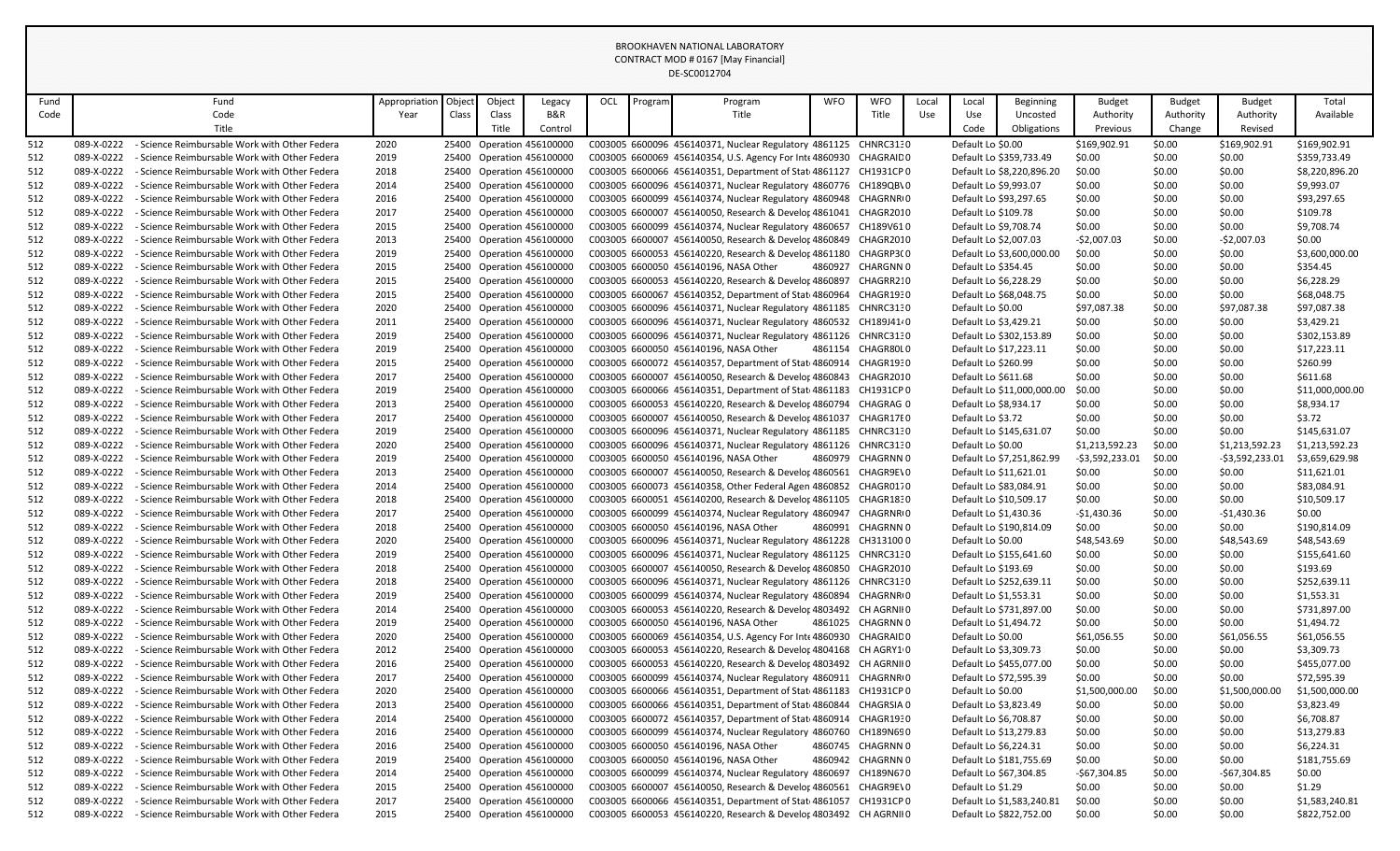| Fund |            | Fund                                          | Appropriation | Object | Object | Legacy                    | OCL | Program | Program                                                          | <b>WFO</b> | <b>WFO</b>            | Local | Local                 | Beginning                  | <b>Budget</b>    | <b>Budget</b> | Budget           | Total           |
|------|------------|-----------------------------------------------|---------------|--------|--------|---------------------------|-----|---------|------------------------------------------------------------------|------------|-----------------------|-------|-----------------------|----------------------------|------------------|---------------|------------------|-----------------|
| Code |            | Code                                          | Year          | Class  | Class  | B&R                       |     |         | Title                                                            |            | Title                 | Use   | Use                   | Uncosted                   | Authority        | Authority     | Authority        | Available       |
|      |            | Title                                         |               |        | Title  | Control                   |     |         |                                                                  |            |                       |       | Code                  | Obligations                | Previous         | Change        | Revised          |                 |
| 512  | 089-X-0222 | - Science Reimbursable Work with Other Federa | 2020          |        |        | 25400 Operation 456100000 |     |         | C003005 6600096 456140371, Nuclear Regulatory 4861125            |            | CHNRC3130             |       | Default Lo \$0.00     |                            | \$169,902.91     | \$0.00        | \$169,902.91     | \$169,902.91    |
| 512  | 089-X-0222 | - Science Reimbursable Work with Other Federa | 2019          |        |        | 25400 Operation 456100000 |     |         | C003005 6600069 456140354, U.S. Agency For Inte 4860930          |            | CHAGRAID 0            |       |                       | Default Lo \$359,733.49    | \$0.00           | \$0.00        | \$0.00           | \$359,733.49    |
| 512  | 089-X-0222 | - Science Reimbursable Work with Other Federa | 2018          |        |        | 25400 Operation 456100000 |     |         | C003005 6600066 456140351, Department of Stat 4861127            |            | CH1931CP0             |       |                       | Default Lo \$8,220,896.20  | \$0.00           | \$0.00        | \$0.00           | \$8,220,896.20  |
| 512  | 089-X-0222 | - Science Reimbursable Work with Other Federa | 2014          |        |        | 25400 Operation 456100000 |     |         | C003005 6600096 456140371, Nuclear Regulatory 4860776            |            | CH189QB\0             |       |                       | Default Lo \$9,993.07      | \$0.00           | \$0.00        | \$0.00           | \$9,993.07      |
| 512  | 089-X-0222 | - Science Reimbursable Work with Other Federa | 2016          |        |        | 25400 Operation 456100000 |     |         | C003005 6600099 456140374, Nuclear Regulatory 4860948            |            | CHAGRNR <sub>10</sub> |       |                       | Default Lo \$93,297.65     | \$0.00           | \$0.00        | \$0.00           | \$93,297.65     |
|      | 089-X-0222 |                                               |               |        |        |                           |     |         |                                                                  |            |                       |       |                       |                            |                  |               | \$0.00           | \$109.78        |
| 512  |            | - Science Reimbursable Work with Other Federa | 2017          |        |        | 25400 Operation 456100000 |     |         | C003005 6600007 456140050, Research & Develor 4861041            |            | CHAGR2010             |       | Default Lo \$109.78   |                            | \$0.00           | \$0.00        |                  |                 |
| 512  | 089-X-0222 | - Science Reimbursable Work with Other Federa | 2015          |        |        | 25400 Operation 456100000 |     |         | C003005 6600099 456140374, Nuclear Regulatory 4860657            |            | CH189V610             |       |                       | Default Lo \$9,708.74      | \$0.00           | \$0.00        | \$0.00           | \$9,708.74      |
| 512  | 089-X-0222 | - Science Reimbursable Work with Other Federa | 2013          |        |        | 25400 Operation 456100000 |     |         | C003005 6600007 456140050, Research & Develor 4860849            |            | CHAGR2010             |       |                       | Default Lo \$2,007.03      | $-$2,007.03$     | \$0.00        | $-$2,007.03$     | \$0.00          |
| 512  | 089-X-0222 | - Science Reimbursable Work with Other Federa | 2019          |        |        | 25400 Operation 456100000 |     |         | C003005 6600053 456140220, Research & Develor 4861180 CHAGRP3(0  |            |                       |       |                       | Default Lo \$3,600,000.00  | \$0.00           | \$0.00        | \$0.00           | \$3,600,000.00  |
| 512  | 089-X-0222 | - Science Reimbursable Work with Other Federa | 2015          |        |        | 25400 Operation 456100000 |     |         | C003005 6600050 456140196. NASA Other                            |            | 4860927 CHARGNN 0     |       | Default Lo \$354.45   |                            | \$0.00           | \$0.00        | \$0.00           | \$354.45        |
| 512  | 089-X-0222 | - Science Reimbursable Work with Other Federa | 2015          |        |        | 25400 Operation 456100000 |     |         | C003005 6600053 456140220, Research & Develor 4860897            |            | CHAGRR210             |       |                       | Default Lo \$6,228.29      | \$0.00           | \$0.00        | \$0.00           | \$6,228.29      |
| 512  | 089-X-0222 | - Science Reimbursable Work with Other Federa | 2015          |        |        | 25400 Operation 456100000 |     |         | C003005 6600067 456140352, Department of Stat 4860964            |            | CHAGR1930             |       |                       | Default Lo \$68,048.75     | \$0.00           | \$0.00        | \$0.00           | \$68,048.75     |
| 512  | 089-X-0222 | - Science Reimbursable Work with Other Federa | 2020          |        |        | 25400 Operation 456100000 |     |         | C003005 6600096 456140371, Nuclear Regulatory 4861185            |            | CHNRC3130             |       | Default Lo \$0.00     |                            | \$97,087.38      | \$0.00        | \$97,087.38      | \$97,087.38     |
| 512  | 089-X-0222 | - Science Reimbursable Work with Other Federa | 2011          |        |        | 25400 Operation 456100000 |     |         | C003005 6600096 456140371, Nuclear Regulatory 4860532            |            | CH189J4140            |       |                       | Default Lo \$3,429.21      | \$0.00           | \$0.00        | \$0.00           | \$3,429.21      |
| 512  | 089-X-0222 | - Science Reimbursable Work with Other Federa | 2019          |        |        | 25400 Operation 456100000 |     |         | C003005 6600096 456140371, Nuclear Regulatory 4861126 CHNRC3130  |            |                       |       |                       | Default Lo \$302,153.89    | \$0.00           | \$0.00        | \$0.00           | \$302,153.89    |
| 512  | 089-X-0222 | - Science Reimbursable Work with Other Federa | 2019          |        |        | 25400 Operation 456100000 |     |         | C003005 6600050 456140196, NASA Other                            | 4861154    | CHAGR80L0             |       |                       | Default Lo \$17,223.11     | \$0.00           | \$0.00        | \$0.00           | \$17,223.11     |
| 512  | 089-X-0222 | - Science Reimbursable Work with Other Federa | 2015          |        |        | 25400 Operation 456100000 |     |         | C003005 6600072 456140357, Department of Stat 4860914            |            | CHAGR1930             |       | Default Lo \$260.99   |                            | \$0.00           | \$0.00        | \$0.00           | \$260.99        |
| 512  | 089-X-0222 | - Science Reimbursable Work with Other Federa | 2017          |        |        | 25400 Operation 456100000 |     |         | C003005 6600007 456140050, Research & Develor 4860843            |            | CHAGR2010             |       | Default Lo \$611.68   |                            | \$0.00           | \$0.00        | \$0.00           | \$611.68        |
| 512  | 089-X-0222 | - Science Reimbursable Work with Other Federa | 2019          |        |        | 25400 Operation 456100000 |     |         | C003005 6600066 456140351, Department of Stat 4861183            |            | CH1931CP0             |       |                       | Default Lo \$11,000,000.00 | \$0.00           | \$0.00        | \$0.00           | \$11,000,000.00 |
| 512  | 089-X-0222 | - Science Reimbursable Work with Other Federa | 2013          |        |        | 25400 Operation 456100000 |     |         | C003005 6600053 456140220, Research & Develor 4860794            |            | CHAGRAG 0             |       | Default Lo \$8,934.17 |                            | \$0.00           | \$0.00        | \$0.00           | \$8,934.17      |
| 512  | 089-X-0222 | - Science Reimbursable Work with Other Federa | 2017          |        |        | 25400 Operation 456100000 |     |         | C003005 6600007 456140050, Research & Develor 4861037            |            | CHAGR17E0             |       | Default Lo \$3.72     |                            | \$0.00           | \$0.00        | \$0.00           | \$3.72          |
| 512  | 089-X-0222 | - Science Reimbursable Work with Other Federa | 2019          |        |        | 25400 Operation 456100000 |     |         | C003005 6600096 456140371, Nuclear Regulatory 4861185            |            | CHNRC3130             |       |                       | Default Lo \$145,631.07    | \$0.00           | \$0.00        | \$0.00           | \$145,631.07    |
| 512  | 089-X-0222 | - Science Reimbursable Work with Other Federa | 2020          |        |        | 25400 Operation 456100000 |     |         | C003005 6600096 456140371, Nuclear Regulatory 4861126            |            | CHNRC3130             |       | Default Lo \$0.00     |                            | \$1,213,592.23   | \$0.00        | \$1,213,592.23   | \$1,213,592.23  |
| 512  | 089-X-0222 | - Science Reimbursable Work with Other Federa | 2019          |        |        | 25400 Operation 456100000 |     |         | C003005 6600050 456140196, NASA Other                            |            | 4860979 CHAGRNN 0     |       |                       | Default Lo \$7,251,862.99  | $-53,592,233.01$ | \$0.00        | $-53,592,233.01$ | \$3,659,629.98  |
| 512  | 089-X-0222 | - Science Reimbursable Work with Other Federa | 2013          |        |        | 25400 Operation 456100000 |     |         | C003005 6600007 456140050, Research & Develor 4860561            |            | CHAGR9E\0             |       |                       | Default Lo \$11,621.01     | \$0.00           | \$0.00        | \$0.00           | \$11,621.01     |
| 512  | 089-X-0222 | - Science Reimbursable Work with Other Federa | 2014          |        |        | 25400 Operation 456100000 |     |         | C003005 6600073 456140358, Other Federal Agen 4860852            |            | CHAGR0170             |       |                       | Default Lo \$83,084.91     | \$0.00           | \$0.00        | \$0.00           | \$83,084.91     |
| 512  | 089-X-0222 | - Science Reimbursable Work with Other Federa | 2018          |        |        | 25400 Operation 456100000 |     |         | C003005 6600051 456140200, Research & Develor 4861105            |            | CHAGR1830             |       |                       | Default Lo \$10,509.17     | \$0.00           | \$0.00        | \$0.00           | \$10,509.17     |
| 512  | 089-X-0222 | - Science Reimbursable Work with Other Federa | 2017          |        |        | 25400 Operation 456100000 |     |         | C003005 6600099 456140374, Nuclear Regulatory 4860947            |            | CHAGRNR <sub>10</sub> |       |                       | Default Lo \$1,430.36      | $-$1,430.36$     | \$0.00        | $-$1,430.36$     | \$0.00          |
| 512  | 089-X-0222 | - Science Reimbursable Work with Other Federa | 2018          |        |        | 25400 Operation 456100000 |     |         | C003005 6600050 456140196, NASA Other                            | 4860991    | CHAGRNN 0             |       |                       | Default Lo \$190,814.09    | \$0.00           | \$0.00        | \$0.00           | \$190,814.09    |
| 512  | 089-X-0222 | - Science Reimbursable Work with Other Federa | 2020          |        |        | 25400 Operation 456100000 |     |         | C003005 6600096 456140371, Nuclear Regulatory 4861228            |            | CH3131000             |       | Default Lo \$0.00     |                            | \$48,543.69      | \$0.00        | \$48,543.69      | \$48,543.69     |
| 512  | 089-X-0222 | - Science Reimbursable Work with Other Federa | 2019          |        |        | 25400 Operation 456100000 |     |         | C003005 6600096 456140371, Nuclear Regulatory 4861125            |            | CHNRC3130             |       |                       | Default Lo \$155,641.60    | \$0.00           | \$0.00        | \$0.00           | \$155,641.60    |
| 512  | 089-X-0222 | - Science Reimbursable Work with Other Federa | 2018          |        |        | 25400 Operation 456100000 |     |         | C003005 6600007 456140050, Research & Develor 4860850            |            | CHAGR2010             |       | Default Lo \$193.69   |                            | \$0.00           | \$0.00        | \$0.00           | \$193.69        |
| 512  | 089-X-0222 | - Science Reimbursable Work with Other Federa | 2018          |        |        | 25400 Operation 456100000 |     |         | C003005 6600096 456140371, Nuclear Regulatory 4861126            |            | CHNRC3130             |       |                       | Default Lo \$252,639.11    | \$0.00           | \$0.00        | \$0.00           | \$252,639.11    |
| 512  | 089-X-0222 | - Science Reimbursable Work with Other Federa | 2019          |        |        | 25400 Operation 456100000 |     |         | C003005 6600099 456140374, Nuclear Regulatory 4860894            |            | CHAGRNR <sub>10</sub> |       |                       | Default Lo \$1,553.31      | \$0.00           | \$0.00        | \$0.00           | \$1,553.31      |
| 512  | 089-X-0222 | - Science Reimbursable Work with Other Federa | 2014          |        |        | 25400 Operation 456100000 |     |         | C003005 6600053 456140220, Research & Develor 4803492 CH AGRNIIO |            |                       |       |                       | Default Lo \$731,897.00    | \$0.00           | \$0.00        | \$0.00           | \$731,897.00    |
| 512  | 089-X-0222 | - Science Reimbursable Work with Other Federa | 2019          |        |        | 25400 Operation 456100000 |     |         | C003005 6600050 456140196, NASA Other                            | 4861025    | CHAGRNN 0             |       |                       | Default Lo \$1,494.72      | \$0.00           | \$0.00        | \$0.00           | \$1,494.72      |
| 512  | 089-X-0222 | - Science Reimbursable Work with Other Federa | 2020          |        |        | 25400 Operation 456100000 |     |         | C003005 6600069 456140354, U.S. Agency For Inte 4860930          |            | CHAGRAID 0            |       | Default Lo \$0.00     |                            | \$61,056.55      | \$0.00        | \$61,056.55      | \$61,056.55     |
|      | 089-X-0222 |                                               |               |        |        |                           |     |         | C003005 6600053 456140220, Research & Develor 4804168            |            | CH AGRY1 0            |       |                       | Default Lo \$3,309.73      |                  | \$0.00        |                  |                 |
| 512  |            | - Science Reimbursable Work with Other Federa | 2012          |        |        | 25400 Operation 456100000 |     |         |                                                                  |            |                       |       |                       |                            | \$0.00           |               | \$0.00           | \$3,309.73      |
| 512  | 089-X-0222 | - Science Reimbursable Work with Other Federa | 2016          |        |        | 25400 Operation 456100000 |     |         | C003005 6600053 456140220, Research & Develor 4803492 CH AGRNIIO |            |                       |       |                       | Default Lo \$455,077.00    | \$0.00           | \$0.00        | \$0.00           | \$455,077.00    |
| 512  | 089-X-0222 | - Science Reimbursable Work with Other Federa | 2017          |        |        | 25400 Operation 456100000 |     |         | C003005 6600099 456140374, Nuclear Regulatory 4860911            |            | CHAGRNR <sub>10</sub> |       |                       | Default Lo \$72,595.39     | \$0.00           | \$0.00        | \$0.00           | \$72,595.39     |
| 512  | 089-X-0222 | - Science Reimbursable Work with Other Federa | 2020          |        |        | 25400 Operation 456100000 |     |         | C003005 6600066 456140351, Department of Stat 4861183            |            | CH1931CP0             |       | Default Lo \$0.00     |                            | \$1,500,000.00   | \$0.00        | \$1,500,000.00   | \$1,500,000.00  |
| 512  | 089-X-0222 | - Science Reimbursable Work with Other Federa | 2013          |        |        | 25400 Operation 456100000 |     |         | C003005 6600066 456140351, Department of Stat 4860844 CHAGRSIA 0 |            |                       |       |                       | Default Lo \$3,823.49      | \$0.00           | \$0.00        | \$0.00           | \$3,823.49      |
| 512  | 089-X-0222 | - Science Reimbursable Work with Other Federa | 2014          |        |        | 25400 Operation 456100000 |     |         | C003005 6600072 456140357, Department of Stat 4860914 CHAGR1930  |            |                       |       | Default Lo \$6,708.87 |                            | \$0.00           | \$0.00        | \$0.00           | \$6,708.87      |
| 512  | 089-X-0222 | - Science Reimbursable Work with Other Federa | 2016          |        |        | 25400 Operation 456100000 |     |         | C003005 6600099 456140374, Nuclear Regulatory 4860760 CH189N690  |            |                       |       |                       | Default Lo \$13,279.83     | \$0.00           | \$0.00        | \$0.00           | \$13,279.83     |
| 512  | 089-X-0222 | - Science Reimbursable Work with Other Federa | 2016          |        |        | 25400 Operation 456100000 |     |         | C003005 6600050 456140196, NASA Other                            |            | 4860745 CHAGRNN 0     |       |                       | Default Lo \$6,224.31      | \$0.00           | \$0.00        | \$0.00           | \$6,224.31      |
| 512  | 089-X-0222 | - Science Reimbursable Work with Other Federa | 2019          |        |        | 25400 Operation 456100000 |     |         | C003005 6600050 456140196, NASA Other                            |            | 4860942 CHAGRNN 0     |       |                       | Default Lo \$181,755.69    | \$0.00           | \$0.00        | \$0.00           | \$181,755.69    |
| 512  | 089-X-0222 | - Science Reimbursable Work with Other Federa | 2014          |        |        | 25400 Operation 456100000 |     |         | C003005 6600099 456140374, Nuclear Regulatory 4860697 CH189N670  |            |                       |       |                       | Default Lo \$67,304.85     | -\$67,304.85     | \$0.00        | $-$67,304.85$    | \$0.00          |
| 512  | 089-X-0222 | - Science Reimbursable Work with Other Federa | 2015          |        |        | 25400 Operation 456100000 |     |         | C003005 6600007 456140050, Research & Develor 4860561 CHAGR9EVO  |            |                       |       | Default Lo \$1.29     |                            | \$0.00           | \$0.00        | \$0.00           | \$1.29          |
| 512  | 089-X-0222 | - Science Reimbursable Work with Other Federa | 2017          |        |        | 25400 Operation 456100000 |     |         | C003005 6600066 456140351, Department of Stat 4861057 CH1931CP 0 |            |                       |       |                       | Default Lo \$1,583,240.81  | \$0.00           | \$0.00        | \$0.00           | \$1,583,240.81  |
| 512  | 089-X-0222 | - Science Reimbursable Work with Other Federa | 2015          |        |        | 25400 Operation 456100000 |     |         | C003005 6600053 456140220, Research & Develor 4803492 CH AGRNIIO |            |                       |       |                       | Default Lo \$822,752.00    | \$0.00           | \$0.00        | \$0.00           | \$822,752.00    |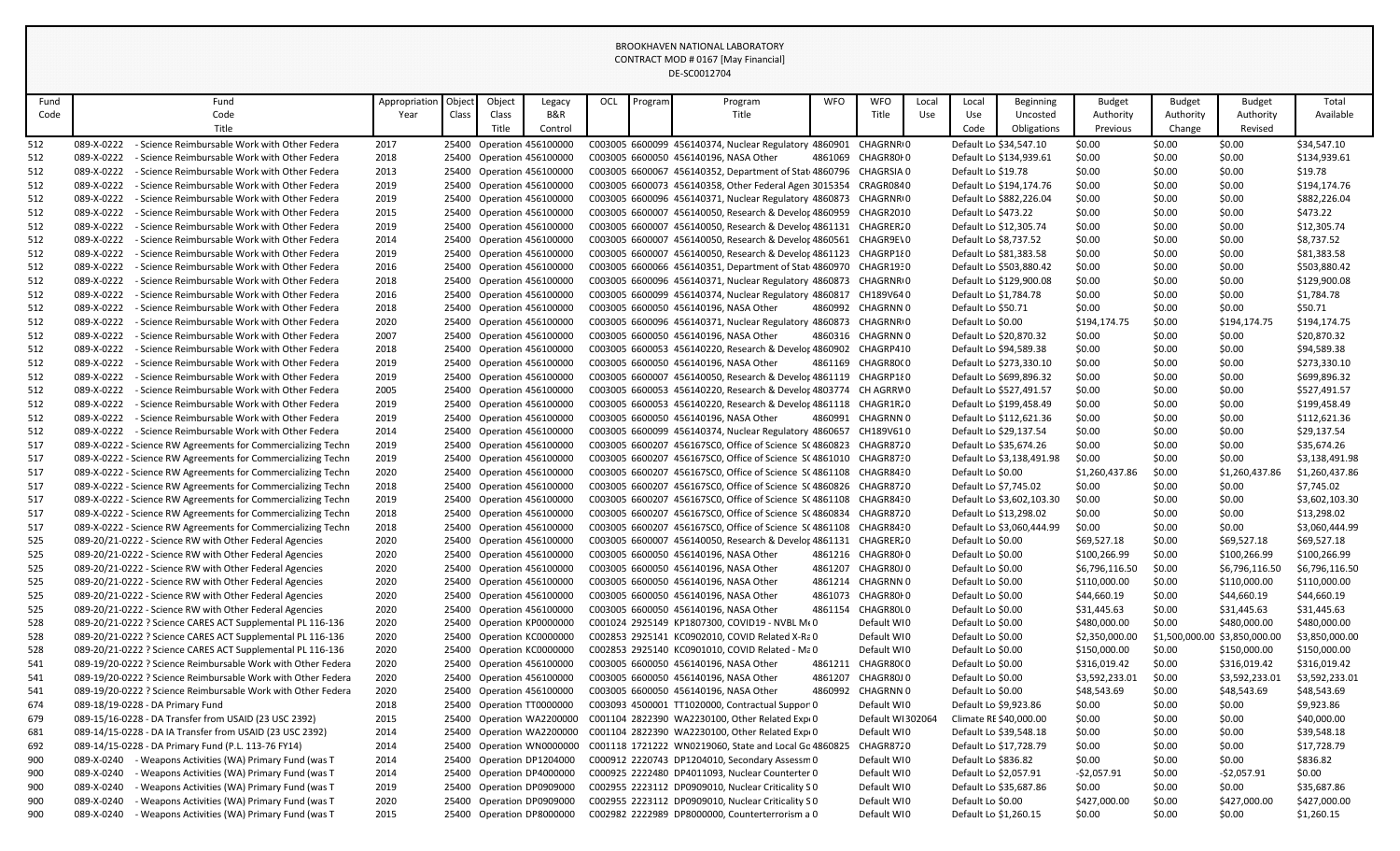| Fund | Fund                                                         | Appropriation | Object | Object | Legacy                    | OCL | Program | Program                                                                                   | <b>WFO</b> | <b>WFO</b>            | Local | Local               | Beginning                 | <b>Budget</b>  | <b>Budget</b> | <b>Budget</b>                 | Total          |
|------|--------------------------------------------------------------|---------------|--------|--------|---------------------------|-----|---------|-------------------------------------------------------------------------------------------|------------|-----------------------|-------|---------------------|---------------------------|----------------|---------------|-------------------------------|----------------|
| Code | Code                                                         | Year          | Class  | Class  | B&R                       |     |         | Title                                                                                     |            | Title                 | Use   | Use                 | Uncosted                  | Authority      | Authority     | Authority                     | Available      |
|      | Title                                                        |               |        | Title  | Control                   |     |         |                                                                                           |            |                       |       | Code                | Obligations               | Previous       | Change        | Revised                       |                |
| 512  | 089-X-0222<br>- Science Reimbursable Work with Other Federa  | 2017          |        |        | 25400 Operation 456100000 |     |         | C003005 6600099 456140374, Nuclear Regulatory 4860901                                     |            | CHAGRNR <sub>10</sub> |       |                     | Default Lo \$34,547.10    | \$0.00         | \$0.00        | \$0.00                        | \$34,547.10    |
| 512  | 089-X-0222<br>- Science Reimbursable Work with Other Federa  | 2018          |        |        | 25400 Operation 456100000 |     |         | C003005 6600050 456140196, NASA Other                                                     | 4861069    | CHAGR80I0             |       |                     | Default Lo \$134,939.61   | \$0.00         | \$0.00        | \$0.00                        | \$134,939.61   |
| 512  | 089-X-0222<br>- Science Reimbursable Work with Other Federa  | 2013          |        |        | 25400 Operation 456100000 |     |         | C003005 6600067 456140352, Department of Stat 4860796 CHAGRSIA 0                          |            |                       |       | Default Lo \$19.78  |                           | \$0.00         | \$0.00        | \$0.00                        | \$19.78        |
| 512  | 089-X-0222<br>- Science Reimbursable Work with Other Federa  | 2019          |        |        | 25400 Operation 456100000 |     |         | C003005 6600073 456140358, Other Federal Agen 3015354                                     |            | CRAGR0840             |       |                     | Default Lo \$194,174.76   | \$0.00         | \$0.00        | \$0.00                        | \$194,174.76   |
| 512  | 089-X-0222<br>- Science Reimbursable Work with Other Federa  | 2019          |        |        | 25400 Operation 456100000 |     |         | C003005 6600096 456140371, Nuclear Regulatory 4860873                                     |            | CHAGRNR <sub>10</sub> |       |                     | Default Lo \$882,226.04   | \$0.00         | \$0.00        | \$0.00                        | \$882,226.04   |
| 512  | 089-X-0222<br>- Science Reimbursable Work with Other Federa  | 2015          |        |        | 25400 Operation 456100000 |     |         | C003005 6600007 456140050, Research & Develor 4860959                                     |            | CHAGR2010             |       | Default Lo \$473.22 |                           | \$0.00         | \$0.00        | \$0.00                        | \$473.22       |
| 512  | 089-X-0222<br>- Science Reimbursable Work with Other Federa  | 2019          |        |        | 25400 Operation 456100000 |     |         | C003005 6600007 456140050, Research & Develor 4861131 CHAGRER20                           |            |                       |       |                     | Default Lo \$12,305.74    | \$0.00         | \$0.00        | \$0.00                        | \$12,305.74    |
| 512  | 089-X-0222<br>- Science Reimbursable Work with Other Federa  | 2014          |        |        | 25400 Operation 456100000 |     |         | C003005 6600007 456140050, Research & Develor 4860561                                     |            | CHAGR9E\0             |       |                     | Default Lo \$8,737.52     | \$0.00         | \$0.00        | \$0.00                        | \$8,737.52     |
| 512  | 089-X-0222<br>- Science Reimbursable Work with Other Federa  | 2019          |        |        | 25400 Operation 456100000 |     |         | C003005 6600007 456140050, Research & Develor 4861123 CHAGRP180                           |            |                       |       |                     | Default Lo \$81,383.58    | \$0.00         | \$0.00        | \$0.00                        | \$81,383.58    |
| 512  | 089-X-0222<br>- Science Reimbursable Work with Other Federa  | 2016          |        |        | 25400 Operation 456100000 |     |         | C003005 6600066 456140351, Department of Stat 4860970 CHAGR1930                           |            |                       |       |                     | Default Lo \$503,880.42   | \$0.00         | \$0.00        | \$0.00                        | \$503,880.42   |
| 512  | 089-X-0222<br>- Science Reimbursable Work with Other Federa  | 2018          |        |        | 25400 Operation 456100000 |     |         | C003005 6600096 456140371, Nuclear Regulatory 4860873                                     |            | CHAGRNR <sub>10</sub> |       |                     | Default Lo \$129,900.08   | \$0.00         | \$0.00        | \$0.00                        | \$129,900.08   |
| 512  | 089-X-0222<br>- Science Reimbursable Work with Other Federa  | 2016          |        |        | 25400 Operation 456100000 |     |         | C003005 6600099 456140374, Nuclear Regulatory 4860817 CH189V640                           |            |                       |       |                     | Default Lo \$1,784.78     | \$0.00         | \$0.00        | \$0.00                        | \$1,784.78     |
| 512  | 089-X-0222<br>- Science Reimbursable Work with Other Federa  | 2018          |        |        | 25400 Operation 456100000 |     |         | C003005 6600050 456140196, NASA Other                                                     |            | 4860992 CHAGRNN 0     |       | Default Lo \$50.71  |                           | \$0.00         | \$0.00        | \$0.00                        | \$50.71        |
| 512  | 089-X-0222<br>- Science Reimbursable Work with Other Federa  | 2020          |        |        | 25400 Operation 456100000 |     |         | C003005 6600096 456140371, Nuclear Regulatory 4860873 CHAGRNRIO                           |            |                       |       | Default Lo \$0.00   |                           | \$194,174.75   | \$0.00        | \$194,174.75                  | \$194,174.75   |
| 512  | 089-X-0222<br>- Science Reimbursable Work with Other Federa  | 2007          |        |        | 25400 Operation 456100000 |     |         | C003005 6600050 456140196, NASA Other                                                     |            | 4860316 CHAGRNN 0     |       |                     | Default Lo \$20,870.32    | \$0.00         | \$0.00        | \$0.00                        | \$20,870.32    |
| 512  | 089-X-0222<br>- Science Reimbursable Work with Other Federa  | 2018          |        |        | 25400 Operation 456100000 |     |         | C003005 6600053 456140220, Research & Develor 4860902                                     |            | CHAGRP410             |       |                     | Default Lo \$94,589.38    | \$0.00         | \$0.00        | \$0.00                        | \$94,589.38    |
| 512  | 089-X-0222<br>- Science Reimbursable Work with Other Federa  | 2019          |        |        | 25400 Operation 456100000 |     |         | C003005 6600050 456140196, NASA Other                                                     |            | 4861169 CHAGR8000     |       |                     | Default Lo \$273,330.10   | \$0.00         | \$0.00        | \$0.00                        | \$273,330.10   |
| 512  | 089-X-0222<br>- Science Reimbursable Work with Other Federa  | 2019          |        |        | 25400 Operation 456100000 |     |         | C003005 6600007 456140050, Research & Develor 4861119 CHAGRP180                           |            |                       |       |                     | Default Lo \$699,896.32   | \$0.00         | \$0.00        | \$0.00                        | \$699,896.32   |
| 512  | 089-X-0222<br>- Science Reimbursable Work with Other Federa  | 2005          |        |        | 25400 Operation 456100000 |     |         | C003005 6600053 456140220, Research & Develor 4803774 CH AGRRW0                           |            |                       |       |                     | Default Lo \$527,491.57   | \$0.00         | \$0.00        | \$0.00                        | \$527,491.57   |
| 512  | 089-X-0222<br>- Science Reimbursable Work with Other Federa  | 2019          |        |        | 25400 Operation 456100000 |     |         | C003005 6600053 456140220, Research & Develor 4861118 CHAGR1R20                           |            |                       |       |                     | Default Lo \$199,458.49   | \$0.00         | \$0.00        | \$0.00                        | \$199,458.49   |
| 512  | 089-X-0222<br>- Science Reimbursable Work with Other Federa  | 2019          |        |        | 25400 Operation 456100000 |     |         | C003005 6600050 456140196, NASA Other                                                     |            | 4860991 CHAGRNN 0     |       |                     | Default Lo \$112,621.36   | \$0.00         | \$0.00        | \$0.00                        | \$112,621.36   |
| 512  | 089-X-0222<br>- Science Reimbursable Work with Other Federa  | 2014          |        |        | 25400 Operation 456100000 |     |         | C003005 6600099 456140374, Nuclear Regulatory 4860657 CH189V610                           |            |                       |       |                     | Default Lo \$29,137.54    | \$0.00         | \$0.00        | \$0.00                        | \$29,137.54    |
| 517  | 089-X-0222 - Science RW Agreements for Commercializing Techn | 2019          |        |        | 25400 Operation 456100000 |     |         | C003005 6600207 456167SC0, Office of Science SC4860823                                    |            | CHAGR8720             |       |                     | Default Lo \$35,674.26    | \$0.00         | \$0.00        | \$0.00                        | \$35,674.26    |
| 517  | 089-X-0222 - Science RW Agreements for Commercializing Techn | 2019          |        |        | 25400 Operation 456100000 |     |         | C003005 6600207 456167SC0, Office of Science S(4861010 CHAGR8730                          |            |                       |       |                     | Default Lo \$3,138,491.98 | \$0.00         | \$0.00        | \$0.00                        | \$3,138,491.98 |
| 517  | 089-X-0222 - Science RW Agreements for Commercializing Techn | 2020          |        |        | 25400 Operation 456100000 |     |         | C003005 6600207 456167SC0, Office of Science S(4861108 CHAGR8430                          |            |                       |       | Default Lo \$0.00   |                           | \$1,260,437.86 | \$0.00        | \$1,260,437.86                | \$1,260,437.86 |
| 517  | 089-X-0222 - Science RW Agreements for Commercializing Techn | 2018          |        |        | 25400 Operation 456100000 |     |         | C003005 6600207 456167SC0, Office of Science S(4860826 CHAGR8720                          |            |                       |       |                     | Default Lo \$7,745.02     | \$0.00         | \$0.00        | \$0.00                        | \$7,745.02     |
| 517  | 089-X-0222 - Science RW Agreements for Commercializing Techn | 2019          |        |        | 25400 Operation 456100000 |     |         | C003005 6600207 456167SC0, Office of Science SC4861108                                    |            | CHAGR8430             |       |                     | Default Lo \$3,602,103.30 | \$0.00         | \$0.00        | \$0.00                        | \$3,602,103.30 |
| 517  | 089-X-0222 - Science RW Agreements for Commercializing Techn | 2018          |        |        | 25400 Operation 456100000 |     |         | C003005 6600207 456167SC0, Office of Science S(4860834 CHAGR8720                          |            |                       |       |                     | Default Lo \$13,298.02    | \$0.00         | \$0.00        | \$0.00                        | \$13,298.02    |
| 517  | 089-X-0222 - Science RW Agreements for Commercializing Techn | 2018          |        |        | 25400 Operation 456100000 |     |         | C003005 6600207 456167SC0, Office of Science SC4861108                                    |            | CHAGR8430             |       |                     | Default Lo \$3,060,444.99 | \$0.00         | \$0.00        | \$0.00                        | \$3,060,444.99 |
| 525  | 089-20/21-0222 - Science RW with Other Federal Agencies      | 2020          |        |        | 25400 Operation 456100000 |     |         | C003005 6600007 456140050, Research & Develor 4861131 CHAGRER20                           |            |                       |       | Default Lo \$0.00   |                           | \$69,527.18    | \$0.00        | \$69,527.18                   | \$69,527.18    |
| 525  | 089-20/21-0222 - Science RW with Other Federal Agencies      | 2020          |        |        | 25400 Operation 456100000 |     |         | C003005 6600050 456140196, NASA Other                                                     |            | 4861216 CHAGR80I0     |       | Default Lo \$0.00   |                           | \$100,266.99   | \$0.00        | \$100,266.99                  | \$100,266.99   |
| 525  | 089-20/21-0222 - Science RW with Other Federal Agencies      | 2020          |        |        | 25400 Operation 456100000 |     |         | C003005 6600050 456140196, NASA Other                                                     |            | 4861207 CHAGR80J0     |       | Default Lo \$0.00   |                           | \$6,796,116.50 | \$0.00        | \$6,796,116.50                | \$6,796,116.50 |
| 525  | 089-20/21-0222 - Science RW with Other Federal Agencies      | 2020          |        |        | 25400 Operation 456100000 |     |         | C003005 6600050 456140196, NASA Other                                                     |            | 4861214 CHAGRNN 0     |       | Default Lo \$0.00   |                           | \$110,000.00   | \$0.00        | \$110,000.00                  | \$110,000.00   |
| 525  | 089-20/21-0222 - Science RW with Other Federal Agencies      | 2020          |        |        | 25400 Operation 456100000 |     |         | C003005 6600050 456140196, NASA Other                                                     |            | 4861073 CHAGR80I0     |       | Default Lo \$0.00   |                           | \$44,660.19    | \$0.00        | \$44,660.19                   | \$44,660.19    |
| 525  | 089-20/21-0222 - Science RW with Other Federal Agencies      | 2020          |        |        | 25400 Operation 456100000 |     |         | C003005 6600050 456140196, NASA Other                                                     |            | 4861154 CHAGR80L0     |       | Default Lo \$0.00   |                           | \$31,445.63    | \$0.00        | \$31,445.63                   | \$31,445.63    |
| 528  | 089-20/21-0222 ? Science CARES ACT Supplemental PL 116-136   | 2020          |        |        | 25400 Operation KP0000000 |     |         | C001024 2925149 KP1807300, COVID19 - NVBL M(0                                             |            | Default WI0           |       | Default Lo \$0.00   |                           | \$480,000.00   | \$0.00        | \$480,000.00                  | \$480,000.00   |
| 528  | 089-20/21-0222 ? Science CARES ACT Supplemental PL 116-136   | 2020          |        |        | 25400 Operation KC0000000 |     |         | C002853 2925141 KC0902010, COVID Related X-Ra 0                                           |            | Default WI0           |       | Default Lo \$0.00   |                           | \$2,350,000.00 |               | \$1,500,000.00 \$3,850,000.00 | \$3,850,000.00 |
| 528  | 089-20/21-0222 ? Science CARES ACT Supplemental PL 116-136   | 2020          |        |        | 25400 Operation KC0000000 |     |         | C002853 2925140 KC0901010, COVID Related - Ma 0                                           |            | Default WI0           |       | Default Lo \$0.00   |                           | \$150,000.00   | \$0.00        | \$150,000.00                  | \$150,000.00   |
| 541  | 089-19/20-0222 ? Science Reimbursable Work with Other Federa | 2020          |        |        | 25400 Operation 456100000 |     |         | C003005 6600050 456140196, NASA Other                                                     |            | 4861211 CHAGR8000     |       | Default Lo \$0.00   |                           | \$316,019.42   | \$0.00        | \$316,019.42                  | \$316,019.42   |
| 541  | 089-19/20-0222 ? Science Reimbursable Work with Other Federa | 2020          |        |        | 25400 Operation 456100000 |     |         | C003005 6600050 456140196, NASA Other                                                     |            | 4861207 CHAGR80J0     |       | Default Lo \$0.00   |                           | \$3,592,233.01 | \$0.00        | \$3,592,233.01                | \$3,592,233.01 |
| 541  | 089-19/20-0222 ? Science Reimbursable Work with Other Federa | 2020          |        |        | 25400 Operation 456100000 |     |         | C003005 6600050 456140196, NASA Other                                                     | 4860992    | CHAGRNN 0             |       | Default Lo \$0.00   |                           | \$48,543.69    | \$0.00        | \$48,543.69                   | \$48,543.69    |
| 674  | 089-18/19-0228 - DA Primary Fund                             | 2018          |        |        | 25400 Operation TT0000000 |     |         | C003093 4500001 TT1020000, Contractual Suppor 0                                           |            | Default WI0           |       |                     | Default Lo \$9,923.86     | \$0.00         | \$0.00        | \$0.00                        | \$9,923.86     |
| 679  | 089-15/16-0228 - DA Transfer from USAID (23 USC 2392)        | 2015          |        |        |                           |     |         | 25400 Operation WA2200000 C001104 2822390 WA2230100, Other Related Expi 0                 |            | Default WI302064      |       |                     | Climate RE \$40,000.00    | \$0.00         | \$0.00        | \$0.00                        | \$40,000.00    |
| 681  | 089-14/15-0228 - DA IA Transfer from USAID (23 USC 2392)     | 2014          |        |        | 25400 Operation WA2200000 |     |         | C001104 2822390 WA2230100, Other Related Exp(0                                            |            | Default WI0           |       |                     | Default Lo \$39,548.18    | \$0.00         | \$0.00        | \$0.00                        | \$39,548.18    |
| 692  | 089-14/15-0228 - DA Primary Fund (P.L. 113-76 FY14)          | 2014          |        |        |                           |     |         | 25400 Operation WN0000000 C001118 1721222 WN0219060, State and Local Gc 4860825 CHAGR8720 |            |                       |       |                     | Default Lo \$17,728.79    | \$0.00         | \$0.00        | \$0.00                        | \$17,728.79    |
| 900  | - Weapons Activities (WA) Primary Fund (was T<br>089-X-0240  | 2014          |        |        | 25400 Operation DP1204000 |     |         | C000912 2220743 DP1204010, Secondary Assessm 0                                            |            | Default WI0           |       | Default Lo \$836.82 |                           | \$0.00         | \$0.00        | \$0.00                        | \$836.82       |
| 900  | 089-X-0240<br>- Weapons Activities (WA) Primary Fund (was T  | 2014          |        |        | 25400 Operation DP4000000 |     |         | C000925 2222480 DP4011093, Nuclear Counterter 0                                           |            | Default WIO           |       |                     | Default Lo \$2,057.91     | -\$2,057.91    | \$0.00        | $-$ \$2,057.91                | \$0.00         |
| 900  | 089-X-0240<br>- Weapons Activities (WA) Primary Fund (was T  | 2019          |        |        | 25400 Operation DP0909000 |     |         | C002955 2223112 DP0909010, Nuclear Criticality SO                                         |            | Default WIO           |       |                     | Default Lo \$35,687.86    | \$0.00         | \$0.00        | \$0.00                        | \$35,687.86    |
| 900  | 089-X-0240<br>- Weapons Activities (WA) Primary Fund (was T  | 2020          |        |        | 25400 Operation DP0909000 |     |         | C002955 2223112 DP0909010, Nuclear Criticality SO                                         |            | Default WI0           |       | Default Lo \$0.00   |                           | \$427,000.00   | \$0.00        | \$427,000.00                  | \$427,000.00   |
| 900  | 089-X-0240<br>- Weapons Activities (WA) Primary Fund (was T  | 2015          |        |        | 25400 Operation DP8000000 |     |         | C002982 2222989 DP8000000, Counterterrorism a 0                                           |            | Default WI0           |       |                     | Default Lo \$1,260.15     | \$0.00         | \$0.00        | \$0.00                        | \$1,260.15     |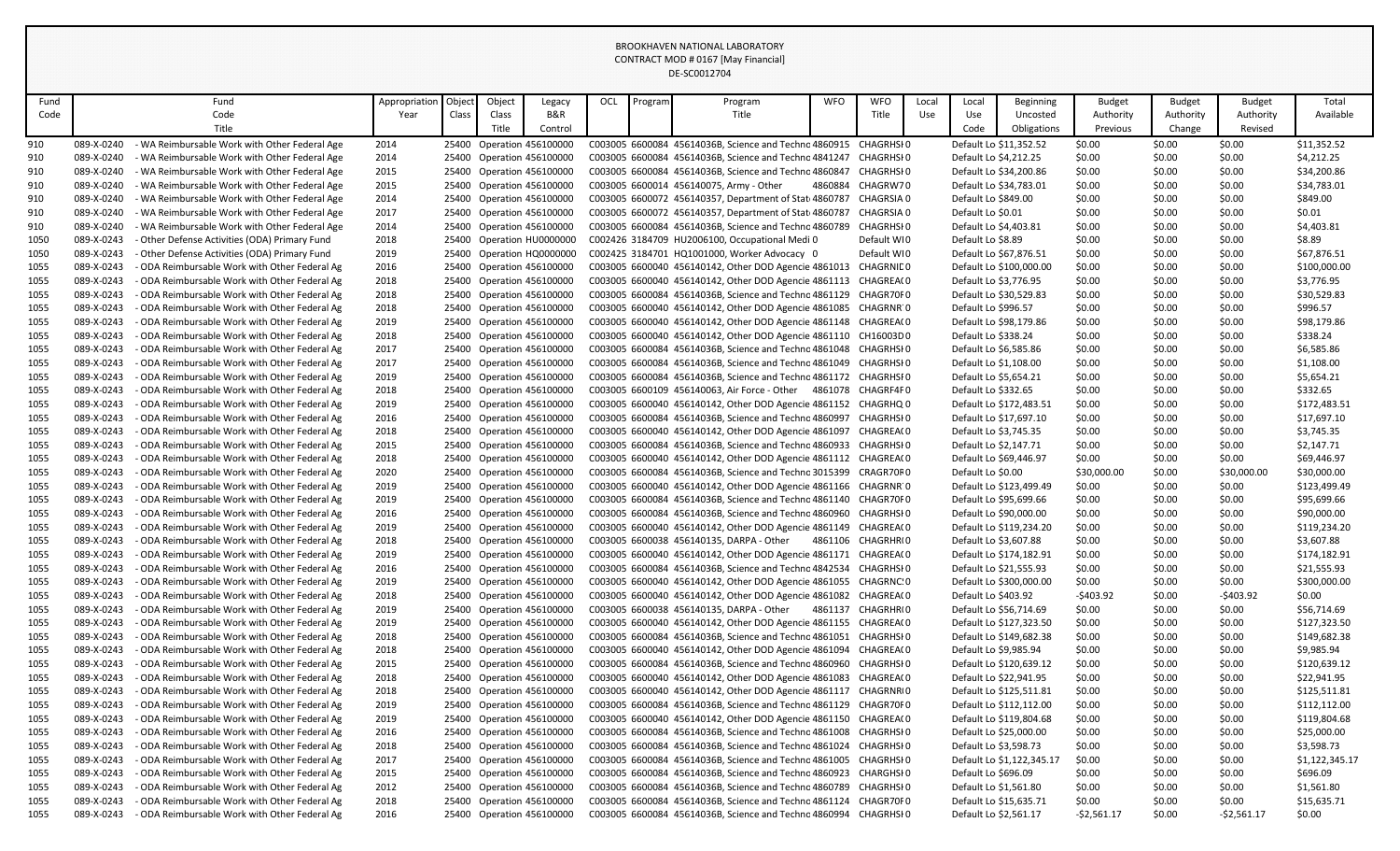| Fund |            | Fund                                          | Appropriation | Object | Object | Legacy                    | OCL | Program | Program                                                                                                                 | <b>WFO</b> | <b>WFO</b>        | Local | Local                 | <b>Beginning</b>          | Budget         | Budget    | Budget       | Total          |
|------|------------|-----------------------------------------------|---------------|--------|--------|---------------------------|-----|---------|-------------------------------------------------------------------------------------------------------------------------|------------|-------------------|-------|-----------------------|---------------------------|----------------|-----------|--------------|----------------|
| Code |            | Code                                          | Year          | Class  | Class  | B&R                       |     |         | Title                                                                                                                   |            | Title             | Use   | Use                   | Uncosted                  | Authority      | Authority | Authority    | Available      |
|      |            | Title                                         |               |        | Title  | Control                   |     |         |                                                                                                                         |            |                   |       | Code                  | Obligations               | Previous       | Change    | Revised      |                |
| 910  | 089-X-0240 | - WA Reimbursable Work with Other Federal Age | 2014          |        |        | 25400 Operation 456100000 |     |         | C003005 6600084 45614036B, Science and Technc 4860915 CHAGRHSI 0                                                        |            |                   |       |                       | Default Lo \$11,352.52    | \$0.00         | \$0.00    | \$0.00       | \$11,352.52    |
| 910  | 089-X-0240 | - WA Reimbursable Work with Other Federal Age | 2014          |        |        | 25400 Operation 456100000 |     |         | C003005 6600084 45614036B, Science and Technc 4841247                                                                   |            | CHAGRHSI 0        |       | Default Lo \$4,212.25 |                           | \$0.00         | \$0.00    | \$0.00       | \$4,212.25     |
| 910  | 089-X-0240 | - WA Reimbursable Work with Other Federal Age | 2015          |        |        | 25400 Operation 456100000 |     |         | C003005 6600084 45614036B, Science and Technc 4860847 CHAGRHSI 0                                                        |            |                   |       |                       | Default Lo \$34,200.86    | \$0.00         | \$0.00    | \$0.00       | \$34,200.86    |
| 910  | 089-X-0240 | - WA Reimbursable Work with Other Federal Age | 2015          |        |        |                           |     |         | C003005 6600014 456140075, Army - Other                                                                                 |            | 4860884 CHAGRW70  |       |                       | Default Lo \$34,783.01    | \$0.00         | \$0.00    | \$0.00       | \$34,783.01    |
|      | 089-X-0240 |                                               |               |        |        | 25400 Operation 456100000 |     |         |                                                                                                                         |            |                   |       |                       |                           | \$0.00         | \$0.00    | \$0.00       |                |
| 910  |            | - WA Reimbursable Work with Other Federal Age | 2014          |        |        | 25400 Operation 456100000 |     |         | C003005 6600072 456140357, Department of Stat 4860787                                                                   |            | CHAGRSIA 0        |       | Default Lo \$849.00   |                           |                |           |              | \$849.00       |
| 910  | 089-X-0240 | - WA Reimbursable Work with Other Federal Age | 2017          |        |        | 25400 Operation 456100000 |     |         | C003005 6600072 456140357, Department of Stat 4860787 CHAGRSIA 0                                                        |            |                   |       | Default Lo \$0.01     |                           | \$0.00         | \$0.00    | \$0.00       | \$0.01         |
| 910  | 089-X-0240 | - WA Reimbursable Work with Other Federal Age | 2014          |        |        | 25400 Operation 456100000 |     |         | C003005 6600084 45614036B, Science and Techno 4860789 CHAGRHSI 0                                                        |            |                   |       | Default Lo \$4,403.81 |                           | \$0.00         | \$0.00    | \$0.00       | \$4,403.81     |
| 1050 | 089-X-0243 | - Other Defense Activities (ODA) Primary Fund | 2018          |        |        | 25400 Operation HU0000000 |     |         | C002426 3184709 HU2006100, Occupational Medi 0                                                                          |            | Default WI0       |       | Default Lo \$8.89     |                           | \$0.00         | \$0.00    | \$0.00       | \$8.89         |
| 1050 | 089-X-0243 | - Other Defense Activities (ODA) Primary Fund | 2019          |        |        | 25400 Operation HQ0000000 |     |         | C002425 3184701 HQ1001000, Worker Advocacy 0                                                                            |            | Default WI0       |       |                       | Default Lo \$67,876.51    | \$0.00         | \$0.00    | \$0.00       | \$67,876.51    |
| 1055 | 089-X-0243 | - ODA Reimbursable Work with Other Federal Ag | 2016          |        |        | 25400 Operation 456100000 |     |         | C003005 6600040 456140142, Other DOD Agencie 4861013 CHAGRNIE 0                                                         |            |                   |       |                       | Default Lo \$100,000.00   | \$0.00         | \$0.00    | \$0.00       | \$100,000.00   |
| 1055 | 089-X-0243 | - ODA Reimbursable Work with Other Federal Ag | 2018          |        |        | 25400 Operation 456100000 |     |         | C003005 6600040 456140142, Other DOD Agencie 4861113                                                                    |            | CHAGREA(0         |       | Default Lo \$3,776.95 |                           | \$0.00         | \$0.00    | \$0.00       | \$3,776.95     |
| 1055 | 089-X-0243 | - ODA Reimbursable Work with Other Federal Ag | 2018          |        |        | 25400 Operation 456100000 |     |         | C003005 6600084 45614036B, Science and Technc 4861129                                                                   |            | CHAGR70F0         |       |                       | Default Lo \$30,529.83    | \$0.00         | \$0.00    | \$0.00       | \$30,529.83    |
| 1055 | 089-X-0243 | - ODA Reimbursable Work with Other Federal Ag | 2018          |        |        | 25400 Operation 456100000 |     |         | C003005 6600040 456140142, Other DOD Agencie 4861085                                                                    |            | CHAGRNR 0         |       | Default Lo \$996.57   |                           | \$0.00         | \$0.00    | \$0.00       | \$996.57       |
| 1055 | 089-X-0243 | - ODA Reimbursable Work with Other Federal Ag | 2019          |        |        | 25400 Operation 456100000 |     |         | C003005 6600040 456140142, Other DOD Agencie 4861148 CHAGREA(0                                                          |            |                   |       |                       | Default Lo \$98,179.86    | \$0.00         | \$0.00    | \$0.00       | \$98,179.86    |
| 1055 | 089-X-0243 | - ODA Reimbursable Work with Other Federal Ag | 2018          |        |        | 25400 Operation 456100000 |     |         | C003005 6600040 456140142, Other DOD Agencie 4861110 CH16003D0                                                          |            |                   |       | Default Lo \$338.24   |                           | \$0.00         | \$0.00    | \$0.00       | \$338.24       |
| 1055 | 089-X-0243 | - ODA Reimbursable Work with Other Federal Ag | 2017          |        |        | 25400 Operation 456100000 |     |         | C003005 6600084 45614036B, Science and Technc 4861048                                                                   |            | CHAGRHSI 0        |       | Default Lo \$6,585.86 |                           | \$0.00         | \$0.00    | \$0.00       | \$6,585.86     |
| 1055 | 089-X-0243 | - ODA Reimbursable Work with Other Federal Ag | 2017          |        |        | 25400 Operation 456100000 |     |         | C003005 6600084 45614036B, Science and Technc 4861049 CHAGRHSI0                                                         |            |                   |       | Default Lo \$1,108.00 |                           | \$0.00         | \$0.00    | \$0.00       | \$1,108.00     |
| 1055 | 089-X-0243 | - ODA Reimbursable Work with Other Federal Ag | 2019          |        |        | 25400 Operation 456100000 |     |         | C003005 6600084 45614036B, Science and Technc 4861172 CHAGRHSI0                                                         |            |                   |       | Default Lo \$5,654.21 |                           | \$0.00         | \$0.00    | \$0.00       | \$5,654.21     |
| 1055 | 089-X-0243 | - ODA Reimbursable Work with Other Federal Ag | 2018          |        |        | 25400 Operation 456100000 |     |         | C003005 6600109 456140063. Air Force - Other 4861078                                                                    |            | CHAGRF4F0         |       | Default Lo \$332.65   |                           | \$0.00         | \$0.00    | \$0.00       | \$332.65       |
| 1055 | 089-X-0243 | - ODA Reimbursable Work with Other Federal Ag | 2019          |        |        | 25400 Operation 456100000 |     |         | C003005 6600040 456140142, Other DOD Agencie 4861152 CHAGRHQ 0                                                          |            |                   |       |                       | Default Lo \$172,483.51   | \$0.00         | \$0.00    | \$0.00       | \$172,483.51   |
| 1055 | 089-X-0243 | - ODA Reimbursable Work with Other Federal Ag | 2016          |        |        | 25400 Operation 456100000 |     |         | C003005 6600084 45614036B, Science and Techno 4860997                                                                   |            | CHAGRHSI 0        |       |                       | Default Lo \$17,697.10    | \$0.00         | \$0.00    | \$0.00       | \$17,697.10    |
| 1055 | 089-X-0243 | - ODA Reimbursable Work with Other Federal Ag | 2018          |        |        | 25400 Operation 456100000 |     |         | C003005 6600040 456140142, Other DOD Agencie 4861097 CHAGREA(0                                                          |            |                   |       | Default Lo \$3,745.35 |                           | \$0.00         | \$0.00    | \$0.00       | \$3,745.35     |
| 1055 | 089-X-0243 | - ODA Reimbursable Work with Other Federal Ag | 2015          |        |        | 25400 Operation 456100000 |     |         | C003005 6600084 45614036B, Science and Technc 4860933 CHAGRHSI 0                                                        |            |                   |       | Default Lo \$2,147.71 |                           | \$0.00         | \$0.00    | \$0.00       | \$2,147.71     |
| 1055 | 089-X-0243 | - ODA Reimbursable Work with Other Federal Ag | 2018          |        |        | 25400 Operation 456100000 |     |         | C003005 6600040 456140142, Other DOD Agencie 4861112 CHAGREA(0                                                          |            |                   |       |                       | Default Lo \$69,446.97    | \$0.00         | \$0.00    | \$0.00       | \$69,446.97    |
| 1055 | 089-X-0243 | - ODA Reimbursable Work with Other Federal Ag | 2020          |        |        | 25400 Operation 456100000 |     |         | C003005 6600084 45614036B, Science and Techno 3015399 CRAGR70F0                                                         |            |                   |       | Default Lo \$0.00     |                           | \$30,000.00    | \$0.00    | \$30,000.00  | \$30,000.00    |
| 1055 | 089-X-0243 | - ODA Reimbursable Work with Other Federal Ag | 2019          |        |        | 25400 Operation 456100000 |     |         | C003005 6600040 456140142, Other DOD Agencie 4861166 CHAGRNR 0                                                          |            |                   |       |                       | Default Lo \$123,499.49   | \$0.00         | \$0.00    | \$0.00       | \$123,499.49   |
| 1055 | 089-X-0243 | - ODA Reimbursable Work with Other Federal Ag | 2019          |        |        | 25400 Operation 456100000 |     |         | C003005 6600084 45614036B, Science and Technc 4861140                                                                   |            | CHAGR70F0         |       |                       | Default Lo \$95,699.66    | \$0.00         | \$0.00    | \$0.00       | \$95,699.66    |
| 1055 | 089-X-0243 | - ODA Reimbursable Work with Other Federal Ag | 2016          |        |        | 25400 Operation 456100000 |     |         | C003005 6600084 45614036B, Science and Technc 4860960                                                                   |            | CHAGRHSI 0        |       |                       | Default Lo \$90,000.00    | \$0.00         | \$0.00    | \$0.00       | \$90,000.00    |
| 1055 | 089-X-0243 | - ODA Reimbursable Work with Other Federal Ag | 2019          |        |        | 25400 Operation 456100000 |     |         | C003005 6600040 456140142, Other DOD Agencie 4861149 CHAGREA(0                                                          |            |                   |       |                       | Default Lo \$119,234.20   | \$0.00         | \$0.00    | \$0.00       | \$119,234.20   |
| 1055 | 089-X-0243 | - ODA Reimbursable Work with Other Federal Ag | 2018          |        |        | 25400 Operation 456100000 |     |         | C003005 6600038 456140135, DARPA - Other                                                                                | 4861106    | CHAGRHRI 0        |       | Default Lo \$3,607.88 |                           | \$0.00         | \$0.00    | \$0.00       | \$3,607.88     |
| 1055 | 089-X-0243 | - ODA Reimbursable Work with Other Federal Ag | 2019          |        |        | 25400 Operation 456100000 |     |         | C003005 6600040 456140142, Other DOD Agencie 4861171 CHAGREA(0                                                          |            |                   |       |                       | Default Lo \$174,182.91   | \$0.00         | \$0.00    | \$0.00       | \$174,182.91   |
| 1055 | 089-X-0243 | - ODA Reimbursable Work with Other Federal Ag | 2016          |        |        | 25400 Operation 456100000 |     |         | C003005 6600084 45614036B, Science and Technc 4842534 CHAGRHSI 0                                                        |            |                   |       |                       | Default Lo \$21,555.93    | \$0.00         | \$0.00    | \$0.00       | \$21,555.93    |
| 1055 | 089-X-0243 | - ODA Reimbursable Work with Other Federal Ag | 2019          |        |        | 25400 Operation 456100000 |     |         | C003005 6600040 456140142, Other DOD Agencie 4861055 CHAGRNC: 0                                                         |            |                   |       |                       | Default Lo \$300,000.00   | \$0.00         | \$0.00    | \$0.00       | \$300,000.00   |
| 1055 | 089-X-0243 | - ODA Reimbursable Work with Other Federal Ag | 2018          |        |        | 25400 Operation 456100000 |     |         | C003005 6600040 456140142, Other DOD Agencie 4861082 CHAGREA(0                                                          |            |                   |       | Default Lo \$403.92   |                           | $-5403.92$     | \$0.00    | $-$403.92$   | \$0.00         |
| 1055 | 089-X-0243 | - ODA Reimbursable Work with Other Federal Ag | 2019          |        |        | 25400 Operation 456100000 |     |         | C003005 6600038 456140135, DARPA - Other                                                                                |            | 4861137 CHAGRHRIO |       |                       | Default Lo \$56,714.69    | \$0.00         | \$0.00    | \$0.00       | \$56,714.69    |
| 1055 | 089-X-0243 | - ODA Reimbursable Work with Other Federal Ag | 2019          |        |        | 25400 Operation 456100000 |     |         | C003005 6600040 456140142, Other DOD Agencie 4861155 CHAGREA(0                                                          |            |                   |       |                       | Default Lo \$127,323.50   | \$0.00         | \$0.00    | \$0.00       | \$127,323.50   |
| 1055 | 089-X-0243 | - ODA Reimbursable Work with Other Federal Ag | 2018          |        |        | 25400 Operation 456100000 |     |         | C003005 6600084 45614036B, Science and Technc 4861051 CHAGRHSI 0                                                        |            |                   |       |                       | Default Lo \$149,682.38   | \$0.00         | \$0.00    | \$0.00       | \$149,682.38   |
| 1055 | 089-X-0243 | - ODA Reimbursable Work with Other Federal Ag | 2018          |        |        | 25400 Operation 456100000 |     |         | C003005 6600040 456140142, Other DOD Agencie 4861094                                                                    |            | CHAGREA(0         |       | Default Lo \$9,985.94 |                           | \$0.00         | \$0.00    | \$0.00       | \$9,985.94     |
| 1055 | 089-X-0243 | - ODA Reimbursable Work with Other Federal Ag | 2015          |        |        | 25400 Operation 456100000 |     |         | C003005 6600084 45614036B, Science and Technc 4860960                                                                   |            | CHAGRHSI 0        |       |                       | Default Lo \$120,639.12   | \$0.00         | \$0.00    | \$0.00       | \$120,639.12   |
|      | 089-X-0243 | - ODA Reimbursable Work with Other Federal Ag |               |        |        | 25400 Operation 456100000 |     |         | C003005 6600040 456140142, Other DOD Agencie 4861083                                                                    |            | CHAGREA(0         |       |                       | Default Lo \$22,941.95    | \$0.00         | \$0.00    | \$0.00       | \$22,941.95    |
| 1055 | 089-X-0243 |                                               | 2018<br>2018  |        |        |                           |     |         |                                                                                                                         |            |                   |       |                       |                           | \$0.00         |           |              |                |
| 1055 |            | - ODA Reimbursable Work with Other Federal Ag |               |        |        | 25400 Operation 456100000 |     |         | C003005 6600040 456140142, Other DOD Agencie 4861117<br>C003005 6600084 45614036B, Science and Technc 4861129 CHAGR70F0 |            | CHAGRNRI 0        |       |                       | Default Lo \$125,511.81   |                | \$0.00    | \$0.00       | \$125,511.81   |
| 1055 | 089-X-0243 | - ODA Reimbursable Work with Other Federal Ag | 2019          |        |        | 25400 Operation 456100000 |     |         |                                                                                                                         |            |                   |       |                       | Default Lo \$112,112.00   | \$0.00         | \$0.00    | \$0.00       | \$112,112.00   |
| 1055 | 089-X-0243 | - ODA Reimbursable Work with Other Federal Ag | 2019          |        |        | 25400 Operation 456100000 |     |         | C003005 6600040 456140142, Other DOD Agencie 4861150 CHAGREA(0                                                          |            |                   |       |                       | Default Lo \$119,804.68   | \$0.00         | \$0.00    | \$0.00       | \$119,804.68   |
| 1055 | 089-X-0243 | - ODA Reimbursable Work with Other Federal Ag | 2016          |        |        | 25400 Operation 456100000 |     |         | C003005 6600084 45614036B, Science and Technc 4861008 CHAGRHSI0                                                         |            |                   |       |                       | Default Lo \$25,000.00    | \$0.00         | \$0.00    | \$0.00       | \$25,000.00    |
| 1055 | 089-X-0243 | - ODA Reimbursable Work with Other Federal Ag | 2018          |        |        | 25400 Operation 456100000 |     |         | C003005 6600084 45614036B, Science and Technc 4861024 CHAGRHSI 0                                                        |            |                   |       | Default Lo \$3,598.73 |                           | \$0.00         | \$0.00    | \$0.00       | \$3,598.73     |
| 1055 | 089-X-0243 | - ODA Reimbursable Work with Other Federal Ag | 2017          |        |        | 25400 Operation 456100000 |     |         | C003005 6600084 45614036B, Science and Technc 4861005 CHAGRHSI0                                                         |            |                   |       |                       | Default Lo \$1,122,345.17 | \$0.00         | \$0.00    | \$0.00       | \$1,122,345.17 |
| 1055 | 089-X-0243 | - ODA Reimbursable Work with Other Federal Ag | 2015          |        |        | 25400 Operation 456100000 |     |         | C003005 6600084 45614036B, Science and Technc 4860923 CHARGHSI 0                                                        |            |                   |       | Default Lo \$696.09   |                           | \$0.00         | \$0.00    | \$0.00       | \$696.09       |
| 1055 | 089-X-0243 | - ODA Reimbursable Work with Other Federal Ag | 2012          |        |        | 25400 Operation 456100000 |     |         | C003005 6600084 45614036B, Science and Technc 4860789 CHAGRHSI 0                                                        |            |                   |       | Default Lo \$1,561.80 |                           | \$0.00         | \$0.00    | \$0.00       | \$1,561.80     |
| 1055 | 089-X-0243 | - ODA Reimbursable Work with Other Federal Ag | 2018          |        |        | 25400 Operation 456100000 |     |         | C003005 6600084 45614036B, Science and Technc 4861124 CHAGR70F0                                                         |            |                   |       |                       | Default Lo \$15,635.71    | \$0.00         | \$0.00    | \$0.00       | \$15,635.71    |
| 1055 | 089-X-0243 | - ODA Reimbursable Work with Other Federal Ag | 2016          |        |        | 25400 Operation 456100000 |     |         | C003005 6600084 45614036B, Science and Technc 4860994 CHAGRHSI 0                                                        |            |                   |       | Default Lo \$2,561.17 |                           | $-$ \$2,561.17 | \$0.00    | $-52,561.17$ | \$0.00         |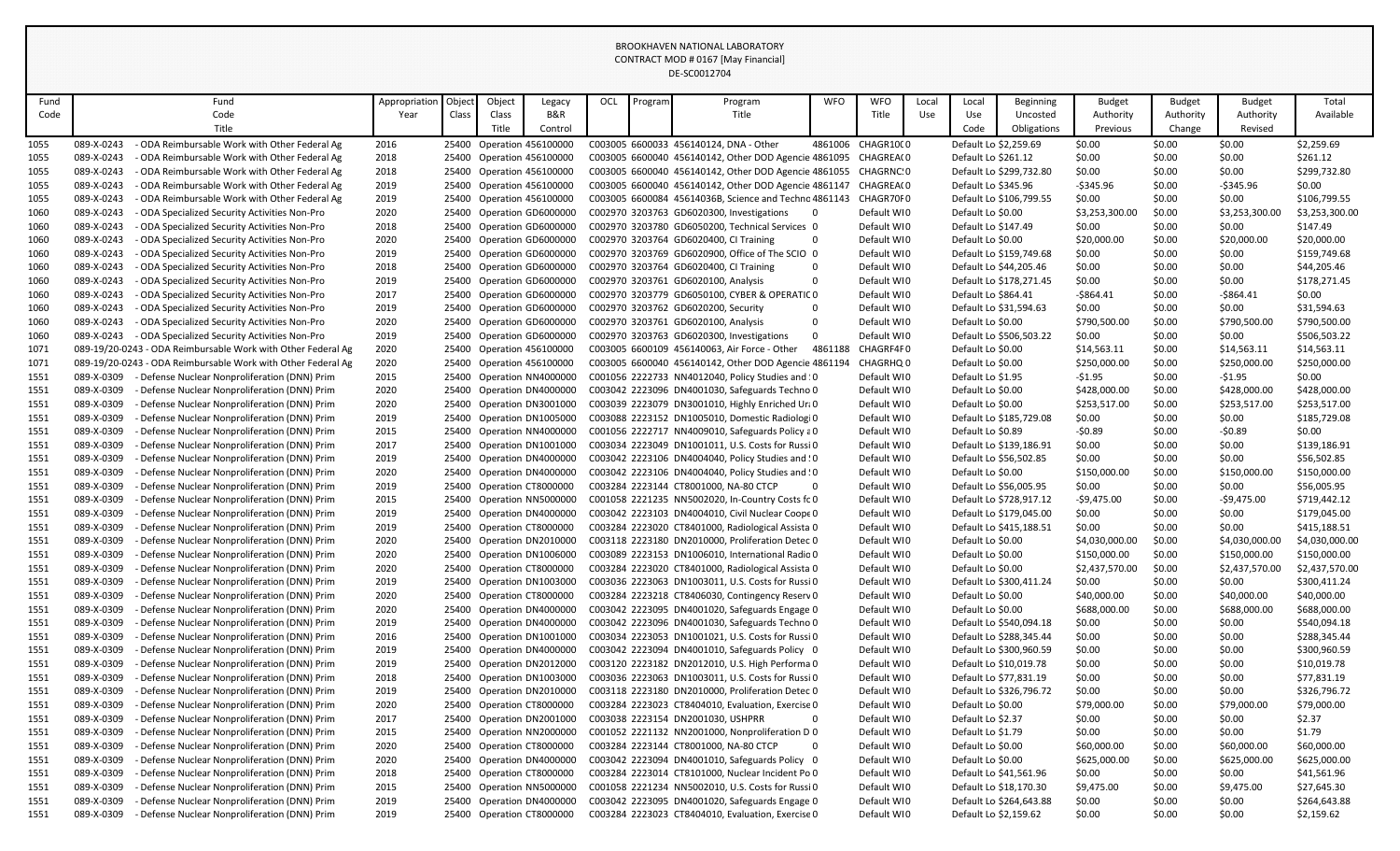| Fund         |                          | Fund                                                                                           | Appropriation | Object | Object | Legacy                                                 | OCL | Program | Program                                                                                                | <b>WFO</b>   | <b>WFO</b>                 | Local | Local                 | Beginning                                          | <b>Budget</b>    | Budget           | Budget         | Total                        |
|--------------|--------------------------|------------------------------------------------------------------------------------------------|---------------|--------|--------|--------------------------------------------------------|-----|---------|--------------------------------------------------------------------------------------------------------|--------------|----------------------------|-------|-----------------------|----------------------------------------------------|------------------|------------------|----------------|------------------------------|
| Code         |                          | Code                                                                                           | Year          | Class  | Class  | <b>B&amp;R</b>                                         |     |         | Title                                                                                                  |              | Title                      | Use   | Use                   | Uncosted                                           | Authority        | Authority        | Authority      | Available                    |
|              |                          | Title                                                                                          |               |        | Title  | Control                                                |     |         |                                                                                                        |              |                            |       | Code                  | Obligations                                        | Previous         | Change           | Revised        |                              |
| 1055         | 089-X-0243               | - ODA Reimbursable Work with Other Federal Ag                                                  | 2016          |        |        | 25400 Operation 456100000                              |     |         | C003005 6600033 456140124, DNA - Other                                                                 |              | 4861006 CHAGR1000          |       | Default Lo \$2,259.69 |                                                    | \$0.00           | \$0.00           | \$0.00         | \$2,259.69                   |
| 1055         | 089-X-0243               | - ODA Reimbursable Work with Other Federal Ag                                                  | 2018          |        |        | 25400 Operation 456100000                              |     |         | C003005 6600040 456140142, Other DOD Agencie 4861095                                                   |              | CHAGREA(0                  |       | Default Lo \$261.12   |                                                    | \$0.00           | \$0.00           | \$0.00         | \$261.12                     |
| 1055         | 089-X-0243               | - ODA Reimbursable Work with Other Federal Ag                                                  | 2018          |        |        | 25400 Operation 456100000                              |     |         | C003005 6600040 456140142, Other DOD Agencie 4861055 CHAGRNC: 0                                        |              |                            |       |                       | Default Lo \$299,732.80                            | \$0.00           | \$0.00           | \$0.00         | \$299,732.80                 |
| 1055         | 089-X-0243               | - ODA Reimbursable Work with Other Federal Ag                                                  | 2019          |        |        | 25400 Operation 456100000                              |     |         | C003005 6600040 456140142, Other DOD Agencie 4861147 CHAGREA(0                                         |              |                            |       | Default Lo \$345.96   |                                                    | -\$345.96        | \$0.00           | $-$345.96$     | \$0.00                       |
| 1055         | 089-X-0243               | - ODA Reimbursable Work with Other Federal Ag                                                  | 2019          |        |        | 25400 Operation 456100000                              |     |         | C003005 6600084 45614036B, Science and Techno 4861143                                                  |              | CHAGR70F0                  |       |                       | Default Lo \$106,799.55                            | \$0.00           | \$0.00           | \$0.00         | \$106,799.55                 |
| 1060         | 089-X-0243               | - ODA Specialized Security Activities Non-Pro                                                  | 2020          |        |        | 25400 Operation GD6000000                              |     |         | C002970 3203763 GD6020300, Investigations                                                              | $\mathbf{0}$ | Default WI0                |       | Default Lo \$0.00     |                                                    | \$3,253,300.00   | \$0.00           | \$3,253,300.00 | \$3,253,300.00               |
| 1060         | 089-X-0243               | - ODA Specialized Security Activities Non-Pro                                                  | 2018          |        |        | 25400 Operation GD6000000                              |     |         | C002970 3203780 GD6050200, Technical Services 0                                                        |              | Default WI0                |       | Default Lo \$147.49   |                                                    | \$0.00           | \$0.00           | \$0.00         | \$147.49                     |
| 1060         | 089-X-0243               | - ODA Specialized Security Activities Non-Pro                                                  | 2020          |        |        | 25400 Operation GD6000000                              |     |         | C002970 3203764 GD6020400, CI Training                                                                 | 0            | Default WI0                |       | Default Lo \$0.00     |                                                    | \$20,000.00      | \$0.00           | \$20,000.00    | \$20,000.00                  |
| 1060         | 089-X-0243               | - ODA Specialized Security Activities Non-Pro                                                  | 2019          |        |        | 25400 Operation GD6000000                              |     |         | C002970 3203769 GD6020900, Office of The SCIO 0                                                        |              | Default WI0                |       |                       | Default Lo \$159,749.68                            | \$0.00           | \$0.00           | \$0.00         | \$159,749.68                 |
| 1060         | 089-X-0243               | - ODA Specialized Security Activities Non-Pro                                                  | 2018          |        |        | 25400 Operation GD6000000                              |     |         | C002970 3203764 GD6020400, CI Training                                                                 | $\Omega$     | Default WI0                |       |                       | Default Lo \$44,205.46                             | \$0.00           | \$0.00           | \$0.00         | \$44,205.46                  |
| 1060         | 089-X-0243               | - ODA Specialized Security Activities Non-Pro                                                  | 2019          |        |        | 25400 Operation GD6000000                              |     |         | C002970 3203761 GD6020100, Analysis                                                                    | $\Omega$     | Default WI0                |       |                       | Default Lo \$178,271.45                            | \$0.00           | \$0.00           | \$0.00         | \$178,271.45                 |
| 1060         | 089-X-0243               | - ODA Specialized Security Activities Non-Pro                                                  | 2017          |        |        | 25400 Operation GD6000000                              |     |         | C002970 3203779 GD6050100, CYBER & OPERATIC 0                                                          |              | Default WI0                |       | Default Lo \$864.41   |                                                    | $-$ \$864.41     | \$0.00           | $-$ \$864.41   | \$0.00                       |
| 1060         | 089-X-0243               | ODA Specialized Security Activities Non-Pro                                                    | 2019          |        |        | 25400 Operation GD6000000                              |     |         | C002970 3203762 GD6020200, Security                                                                    | $\Omega$     | Default WI0                |       |                       | Default Lo \$31,594.63                             | \$0.00           | \$0.00           | \$0.00         | \$31,594.63                  |
|              | 089-X-0243               |                                                                                                | 2020          |        |        | 25400 Operation GD6000000                              |     |         | C002970 3203761 GD6020100, Analysis                                                                    | $\Omega$     | Default WI0                |       | Default Lo \$0.00     |                                                    | \$790,500.00     | \$0.00           | \$790,500.00   | \$790,500.00                 |
| 1060         | 089-X-0243               | - ODA Specialized Security Activities Non-Pro<br>- ODA Specialized Security Activities Non-Pro | 2019          |        |        |                                                        |     |         | C002970 3203763 GD6020300, Investigations                                                              | $\Omega$     | Default WI0                |       |                       | Default Lo \$506,503.22                            | \$0.00           | \$0.00           | \$0.00         | \$506,503.22                 |
| 1060<br>1071 |                          | 089-19/20-0243 - ODA Reimbursable Work with Other Federal Ag                                   | 2020          |        |        | 25400 Operation GD6000000<br>25400 Operation 456100000 |     |         | C003005 6600109 456140063, Air Force - Other                                                           | 4861188      | CHAGRF4F0                  |       | Default Lo \$0.00     |                                                    | \$14,563.11      | \$0.00           | \$14,563.11    | \$14,563.11                  |
| 1071         |                          | 089-19/20-0243 - ODA Reimbursable Work with Other Federal Ag                                   | 2020          |        |        | 25400 Operation 456100000                              |     |         | C003005 6600040 456140142, Other DOD Agencie 4861194                                                   |              | CHAGRHQ 0                  |       | Default Lo \$0.00     |                                                    | \$250,000.00     | \$0.00           | \$250,000.00   | \$250,000.00                 |
| 1551         | 089-X-0309               | - Defense Nuclear Nonproliferation (DNN) Prim                                                  | 2015          |        |        | 25400 Operation NN4000000                              |     |         | C001056 2222733 NN4012040, Policy Studies and 10                                                       |              | Default WI0                |       | Default Lo \$1.95     |                                                    | $-51.95$         | \$0.00           | $-51.95$       | \$0.00                       |
| 1551         | 089-X-0309               | - Defense Nuclear Nonproliferation (DNN) Prim                                                  | 2020          |        |        | 25400 Operation DN4000000                              |     |         | C003042 2223096 DN4001030, Safeguards Techno 0                                                         |              | Default WI0                |       | Default Lo \$0.00     |                                                    | \$428,000.00     | \$0.00           | \$428,000.00   | \$428,000.00                 |
| 1551         | 089-X-0309               | - Defense Nuclear Nonproliferation (DNN) Prim                                                  | 2020          |        |        | 25400 Operation DN3001000                              |     |         | C003039 2223079 DN3001010, Highly Enriched Uri 0                                                       |              | Default WI0                |       | Default Lo \$0.00     |                                                    | \$253,517.00     | \$0.00           | \$253,517.00   | \$253,517.00                 |
| 1551         | 089-X-0309               | - Defense Nuclear Nonproliferation (DNN) Prim                                                  | 2019          |        |        | 25400 Operation DN1005000                              |     |         | C003088 2223152 DN1005010, Domestic Radiologi 0                                                        |              | Default WI0                |       |                       | Default Lo \$185,729.08                            | \$0.00           | \$0.00           | \$0.00         | \$185,729.08                 |
| 1551         | 089-X-0309               | - Defense Nuclear Nonproliferation (DNN) Prim                                                  | 2015          |        |        |                                                        |     |         | C001056 2222717 NN4009010, Safeguards Policy a 0                                                       |              | Default WI0                |       | Default Lo \$0.89     |                                                    | $-50.89$         | \$0.00           | $-50.89$       | \$0.00                       |
|              | 089-X-0309               |                                                                                                |               |        |        | 25400 Operation NN4000000                              |     |         |                                                                                                        |              |                            |       |                       |                                                    |                  |                  | \$0.00         |                              |
| 1551<br>1551 | 089-X-0309               | - Defense Nuclear Nonproliferation (DNN) Prim<br>- Defense Nuclear Nonproliferation (DNN) Prim | 2017<br>2019  |        |        | 25400 Operation DN1001000<br>25400 Operation DN4000000 |     |         | C003034 2223049 DN1001011, U.S. Costs for Russi 0<br>C003042 2223106 DN4004040, Policy Studies and ! 0 |              | Default WI0<br>Default WI0 |       |                       | Default Lo \$139,186.91<br>Default Lo \$56,502.85  | \$0.00<br>\$0.00 | \$0.00<br>\$0.00 | \$0.00         | \$139,186.91<br>\$56,502.85  |
| 1551         | 089-X-0309               | - Defense Nuclear Nonproliferation (DNN) Prim                                                  | 2020          |        |        | 25400 Operation DN4000000                              |     |         | C003042 2223106 DN4004040, Policy Studies and ! 0                                                      |              | Default WI0                |       | Default Lo \$0.00     |                                                    | \$150,000.00     | \$0.00           | \$150,000.00   | \$150,000.00                 |
| 1551         | 089-X-0309               | - Defense Nuclear Nonproliferation (DNN) Prim                                                  | 2019          |        |        | 25400 Operation CT8000000                              |     |         | C003284 2223144 CT8001000, NA-80 CTCP                                                                  |              | Default WI0                |       |                       | Default Lo \$56,005.95                             | \$0.00           | \$0.00           | \$0.00         | \$56,005.95                  |
| 1551         | 089-X-0309               | - Defense Nuclear Nonproliferation (DNN) Prim                                                  | 2015          |        |        | 25400 Operation NN5000000                              |     |         | C001058 2221235 NN5002020, In-Country Costs fc 0                                                       |              | Default WI0                |       |                       | Default Lo \$728,917.12                            | $-$9,475.00$     | \$0.00           | $-$9,475.00$   | \$719,442.12                 |
| 1551         | 089-X-0309               | - Defense Nuclear Nonproliferation (DNN) Prim                                                  | 2019          |        |        | 25400 Operation DN4000000                              |     |         | C003042 2223103 DN4004010, Civil Nuclear Coope 0                                                       |              | Default WI0                |       |                       | Default Lo \$179,045.00                            | \$0.00           | \$0.00           | \$0.00         | \$179,045.00                 |
| 1551         | 089-X-0309               | Defense Nuclear Nonproliferation (DNN) Prim                                                    | 2019          |        |        |                                                        |     |         | C003284 2223020 CT8401000, Radiological Assista 0                                                      |              | Default WI0                |       |                       | Default Lo \$415,188.51                            | \$0.00           | \$0.00           | \$0.00         | \$415,188.51                 |
| 1551         | 089-X-0309               | - Defense Nuclear Nonproliferation (DNN) Prim                                                  | 2020          |        |        | 25400 Operation CT8000000<br>25400 Operation DN2010000 |     |         | C003118 2223180 DN2010000, Proliferation Detec 0                                                       |              | Default WI0                |       | Default Lo \$0.00     |                                                    | \$4,030,000.00   | \$0.00           | \$4,030,000.00 | \$4,030,000.00               |
| 1551         | 089-X-0309               | - Defense Nuclear Nonproliferation (DNN) Prim                                                  | 2020          |        |        | 25400 Operation DN1006000                              |     |         | C003089 2223153 DN1006010, International Radio 0                                                       |              | Default WI0                |       | Default Lo \$0.00     |                                                    | \$150,000.00     | \$0.00           | \$150,000.00   | \$150,000.00                 |
| 1551         | 089-X-0309               | - Defense Nuclear Nonproliferation (DNN) Prim                                                  | 2020          |        |        |                                                        |     |         | C003284 2223020 CT8401000, Radiological Assista 0                                                      |              | Default WI0                |       | Default Lo \$0.00     |                                                    | \$2,437,570.00   | \$0.00           | \$2,437,570.00 | \$2,437,570.00               |
| 1551         | 089-X-0309               | - Defense Nuclear Nonproliferation (DNN) Prim                                                  | 2019          |        |        | 25400 Operation CT8000000                              |     |         | C003036 2223063 DN1003011, U.S. Costs for Russi 0                                                      |              | Default WI0                |       |                       | Default Lo \$300,411.24                            | \$0.00           | \$0.00           | \$0.00         | \$300,411.24                 |
| 1551         | 089-X-0309               | - Defense Nuclear Nonproliferation (DNN) Prim                                                  | 2020          |        |        | 25400 Operation DN1003000<br>25400 Operation CT8000000 |     |         | C003284 2223218 CT8406030, Contingency Reserv 0                                                        |              | Default WI0                |       | Default Lo \$0.00     |                                                    | \$40,000.00      | \$0.00           | \$40,000.00    | \$40,000.00                  |
|              | 089-X-0309               | - Defense Nuclear Nonproliferation (DNN) Prim                                                  |               |        |        |                                                        |     |         | C003042 2223095 DN4001020, Safeguards Engage 0                                                         |              |                            |       | Default Lo \$0.00     |                                                    | \$688,000.00     | \$0.00           | \$688,000.00   | \$688,000.00                 |
| 1551         | 089-X-0309               |                                                                                                | 2020          |        |        | 25400 Operation DN4000000                              |     |         |                                                                                                        |              | Default WI0                |       |                       |                                                    |                  | \$0.00           | \$0.00         |                              |
| 1551         | 089-X-0309               | - Defense Nuclear Nonproliferation (DNN) Prim                                                  | 2019          |        |        | 25400 Operation DN4000000                              |     |         | C003042 2223096 DN4001030, Safeguards Techno 0<br>C003034 2223053 DN1001021, U.S. Costs for Russi 0    |              | Default WI0                |       |                       | Default Lo \$540,094.18                            | \$0.00<br>\$0.00 | \$0.00           | \$0.00         | \$540,094.18                 |
| 1551<br>1551 | 089-X-0309               | - Defense Nuclear Nonproliferation (DNN) Prim<br>- Defense Nuclear Nonproliferation (DNN) Prim | 2016<br>2019  |        |        | 25400 Operation DN1001000                              |     |         | C003042 2223094 DN4001010, Safeguards Policy 0                                                         |              | Default WI0<br>Default WI0 |       |                       | Default Lo \$288,345.44<br>Default Lo \$300,960.59 | \$0.00           | \$0.00           | \$0.00         | \$288,345.44<br>\$300,960.59 |
|              | 089-X-0309               | - Defense Nuclear Nonproliferation (DNN) Prim                                                  |               |        |        | 25400 Operation DN4000000                              |     |         |                                                                                                        |              |                            |       |                       |                                                    |                  |                  |                |                              |
| 1551         |                          |                                                                                                | 2019          |        |        | 25400 Operation DN2012000                              |     |         | C003120 2223182 DN2012010, U.S. High Performa 0                                                        |              | Default WI0                |       |                       | Default Lo \$10,019.78                             | \$0.00           | \$0.00           | \$0.00         | \$10,019.78                  |
| 1551         | 089-X-0309<br>089-X-0309 | - Defense Nuclear Nonproliferation (DNN) Prim                                                  | 2018          |        |        | 25400 Operation DN1003000                              |     |         | C003036 2223063 DN1003011, U.S. Costs for Russi 0                                                      |              | Default WI0                |       |                       | Default Lo \$77,831.19<br>Default Lo \$326,796.72  | \$0.00           | \$0.00           | \$0.00         | \$77,831.19                  |
| 1551         | 089-X-0309               | - Defense Nuclear Nonproliferation (DNN) Prim<br>- Defense Nuclear Nonproliferation (DNN) Prim | 2019          |        |        | 25400 Operation DN2010000                              |     |         | C003118 2223180 DN2010000, Proliferation Detec 0                                                       |              | Default WI0                |       |                       |                                                    | \$0.00           | \$0.00<br>\$0.00 | \$0.00         | \$326,796.72                 |
| 1551         |                          |                                                                                                | 2020          |        |        | 25400 Operation CT8000000                              |     |         | C003284 2223023 CT8404010, Evaluation, Exercise 0                                                      |              | Default WI0                |       | Default Lo \$0.00     |                                                    | \$79,000.00      |                  | \$79,000.00    | \$79,000.00                  |
| 1551         | 089-X-0309               | - Defense Nuclear Nonproliferation (DNN) Prim                                                  | 2017          |        |        | 25400 Operation DN2001000                              |     |         | C003038 2223154 DN2001030, USHPRR                                                                      | $\bf{0}$     | Default WI0                |       | Default Lo \$2.37     |                                                    | \$0.00           | \$0.00           | \$0.00         | \$2.37                       |
| 1551         | 089-X-0309               | - Defense Nuclear Nonproliferation (DNN) Prim                                                  | 2015          |        |        | 25400 Operation NN2000000                              |     |         | C001052 2221132 NN2001000, Nonproliferation D 0                                                        | $\Omega$     | Default WI0                |       | Default Lo \$1.79     |                                                    | \$0.00           | \$0.00           | \$0.00         | \$1.79                       |
| 1551         | 089-X-0309               | - Defense Nuclear Nonproliferation (DNN) Prim                                                  | 2020          |        |        | 25400 Operation CT8000000                              |     |         | C003284 2223144 CT8001000, NA-80 CTCP                                                                  |              | Default WI0                |       | Default Lo \$0.00     |                                                    | \$60,000.00      | \$0.00           | \$60,000.00    | \$60,000.00                  |
| 1551         | 089-X-0309               | - Defense Nuclear Nonproliferation (DNN) Prim                                                  | 2020          |        |        | 25400 Operation DN4000000                              |     |         | C003042 2223094 DN4001010, Safeguards Policy 0                                                         |              | Default WIO                |       | Default Lo \$0.00     |                                                    | \$625,000.00     | \$0.00           | \$625,000.00   | \$625,000.00                 |
| 1551         | 089-X-0309               | - Defense Nuclear Nonproliferation (DNN) Prim                                                  | 2018          |        |        | 25400 Operation CT8000000                              |     |         | C003284 2223014 CT8101000, Nuclear Incident Po 0                                                       |              | Default WI0                |       |                       | Default Lo \$41,561.96                             | \$0.00           | \$0.00           | \$0.00         | \$41,561.96                  |
| 1551         | 089-X-0309               | - Defense Nuclear Nonproliferation (DNN) Prim                                                  | 2015          |        |        | 25400 Operation NN5000000                              |     |         | C001058 2221234 NN5002010, U.S. Costs for Russi 0                                                      |              | Default WIO                |       |                       | Default Lo \$18,170.30                             | \$9,475.00       | \$0.00           | \$9,475.00     | \$27,645.30                  |
| 1551         | 089-X-0309               | - Defense Nuclear Nonproliferation (DNN) Prim                                                  | 2019          |        |        | 25400 Operation DN4000000                              |     |         | C003042 2223095 DN4001020, Safeguards Engage 0                                                         |              | Default WI0                |       |                       | Default Lo \$264,643.88                            | \$0.00           | \$0.00           | \$0.00         | \$264,643.88                 |
| 1551         | 089-X-0309               | - Defense Nuclear Nonproliferation (DNN) Prim                                                  | 2019          |        |        | 25400 Operation CT8000000                              |     |         | C003284 2223023 CT8404010, Evaluation, Exercise 0                                                      |              | Default WI0                |       | Default Lo \$2,159.62 |                                                    | \$0.00           | \$0.00           | \$0.00         | \$2,159.62                   |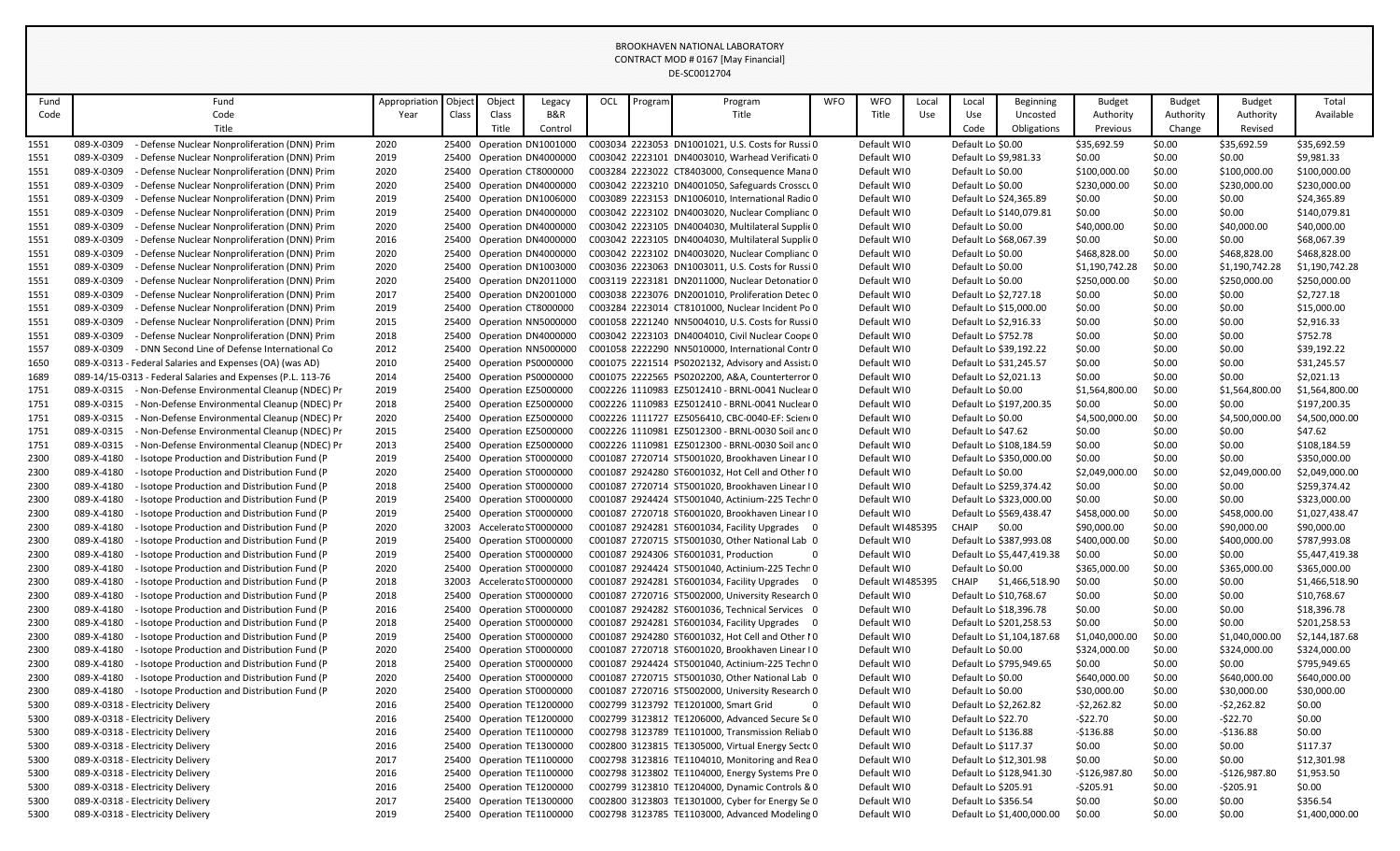| Fund |            | Fund                                                        | Appropriation | Object | Object | Legacy                     | OCL | Program | Program                                           | <b>WFO</b> | <b>WFO</b>       | Local | Local                 | <b>Beginning</b>          | <b>Budget</b>  | <b>Budget</b> | <b>Budget</b>  | Total          |
|------|------------|-------------------------------------------------------------|---------------|--------|--------|----------------------------|-----|---------|---------------------------------------------------|------------|------------------|-------|-----------------------|---------------------------|----------------|---------------|----------------|----------------|
| Code |            | Code                                                        | Year          | Class  | Class  | B&R                        |     |         | Title                                             |            | Title            | Use   | Use                   | Uncosted                  | Authority      | Authority     | Authority      | Available      |
|      |            | Title                                                       |               |        | Title  | Control                    |     |         |                                                   |            |                  |       | Code                  | Obligations               | Previous       | Change        | Revised        |                |
| 1551 | 089-X-0309 | - Defense Nuclear Nonproliferation (DNN) Prim               | 2020          |        |        | 25400 Operation DN1001000  |     |         | C003034 2223053 DN1001021, U.S. Costs for Russi 0 |            | Default WI0      |       | Default Lo \$0.00     |                           | \$35,692.59    | \$0.00        | \$35,692.59    | \$35,692.59    |
| 1551 | 089-X-0309 | Defense Nuclear Nonproliferation (DNN) Prim                 | 2019          |        |        | 25400 Operation DN4000000  |     |         | C003042 2223101 DN4003010, Warhead Verificati 0   |            | Default WI0      |       |                       | Default Lo \$9,981.33     | \$0.00         | \$0.00        | \$0.00         | \$9,981.33     |
| 1551 | 089-X-0309 | - Defense Nuclear Nonproliferation (DNN) Prim               | 2020          |        |        | 25400 Operation CT8000000  |     |         | C003284 2223022 CT8403000, Consequence Mana 0     |            | Default WI0      |       | Default Lo \$0.00     |                           | \$100,000.00   | \$0.00        | \$100,000.00   | \$100,000.00   |
| 1551 | 089-X-0309 | - Defense Nuclear Nonproliferation (DNN) Prim               | 2020          |        |        | 25400 Operation DN4000000  |     |         | C003042 2223210 DN4001050, Safeguards Crosscu 0   |            | Default WI0      |       | Default Lo \$0.00     |                           | \$230,000.00   | \$0.00        | \$230,000.00   | \$230,000.00   |
| 1551 | 089-X-0309 | - Defense Nuclear Nonproliferation (DNN) Prim               | 2019          |        |        | 25400 Operation DN1006000  |     |         | C003089 2223153 DN1006010, International Radio 0  |            | Default WI0      |       |                       | Default Lo \$24,365.89    | \$0.00         | \$0.00        | \$0.00         | \$24,365.89    |
| 1551 | 089-X-0309 | - Defense Nuclear Nonproliferation (DNN) Prim               | 2019          |        |        | 25400 Operation DN4000000  |     |         | C003042 2223102 DN4003020, Nuclear Complianc 0    |            | Default WI0      |       |                       | Default Lo \$140,079.81   | \$0.00         | \$0.00        | \$0.00         | \$140,079.81   |
| 1551 | 089-X-0309 | - Defense Nuclear Nonproliferation (DNN) Prim               | 2020          |        |        | 25400 Operation DN4000000  |     |         | C003042 2223105 DN4004030, Multilateral Supplic 0 |            | Default WI0      |       | Default Lo \$0.00     |                           | \$40,000.00    | \$0.00        | \$40,000.00    | \$40,000.00    |
| 1551 | 089-X-0309 | - Defense Nuclear Nonproliferation (DNN) Prim               | 2016          |        |        | 25400 Operation DN4000000  |     |         | C003042 2223105 DN4004030, Multilateral Supplic 0 |            | Default WI0      |       |                       | Default Lo \$68,067.39    | \$0.00         | \$0.00        | \$0.00         | \$68,067.39    |
| 1551 | 089-X-0309 | - Defense Nuclear Nonproliferation (DNN) Prim               | 2020          |        |        | 25400 Operation DN4000000  |     |         | C003042 2223102 DN4003020, Nuclear Complianc 0    |            | Default WI0      |       | Default Lo \$0.00     |                           | \$468,828.00   | \$0.00        | \$468,828.00   | \$468,828.00   |
| 1551 | 089-X-0309 | - Defense Nuclear Nonproliferation (DNN) Prim               | 2020          |        |        | 25400 Operation DN1003000  |     |         | C003036 2223063 DN1003011, U.S. Costs for Russi 0 |            | Default WI0      |       | Default Lo \$0.00     |                           | \$1,190,742.28 | \$0.00        | \$1,190,742.28 | \$1,190,742.28 |
| 1551 | 089-X-0309 | Defense Nuclear Nonproliferation (DNN) Prim                 | 2020          |        |        | 25400 Operation DN2011000  |     |         | C003119 2223181 DN2011000, Nuclear Detonation 0   |            | Default WI0      |       | Default Lo \$0.00     |                           | \$250,000.00   | \$0.00        | \$250,000.00   | \$250,000.00   |
| 1551 | 089-X-0309 | - Defense Nuclear Nonproliferation (DNN) Prim               | 2017          |        |        | 25400 Operation DN2001000  |     |         | C003038 2223076 DN2001010, Proliferation Detec 0  |            | Default WI0      |       |                       | Default Lo \$2,727.18     | \$0.00         | \$0.00        | \$0.00         | \$2,727.18     |
| 1551 | 089-X-0309 | - Defense Nuclear Nonproliferation (DNN) Prim               | 2019          |        |        | 25400 Operation CT8000000  |     |         | C003284 2223014 CT8101000, Nuclear Incident Po 0  |            | Default WI0      |       |                       | Default Lo \$15,000.00    | \$0.00         | \$0.00        | \$0.00         | \$15,000.00    |
| 1551 | 089-X-0309 | - Defense Nuclear Nonproliferation (DNN) Prim               | 2015          |        |        | 25400 Operation NN5000000  |     |         | C001058 2221240 NN5004010, U.S. Costs for Russi 0 |            | Default WI0      |       | Default Lo \$2,916.33 |                           | \$0.00         | \$0.00        | \$0.00         | \$2,916.33     |
| 1551 | 089-X-0309 | - Defense Nuclear Nonproliferation (DNN) Prim               | 2018          |        |        | 25400 Operation DN4000000  |     |         | C003042 2223103 DN4004010, Civil Nuclear Coope 0  |            | Default WI0      |       | Default Lo \$752.78   |                           | \$0.00         | \$0.00        | \$0.00         | \$752.78       |
| 1557 | 089-X-0309 | - DNN Second Line of Defense International Co               | 2012          |        |        | 25400 Operation NN5000000  |     |         | C001058 2222290 NN5010000, International Contr 0  |            | Default WI0      |       |                       | Default Lo \$39,192.22    | \$0.00         | \$0.00        | \$0.00         | \$39,192.22    |
| 1650 |            | 089-X-0313 - Federal Salaries and Expenses (OA) (was AD)    | 2010          |        |        | 25400 Operation PS0000000  |     |         | C001075 2221514 PS0202132, Advisory and Assist: 0 |            | Default WI0      |       |                       | Default Lo \$31,245.57    | \$0.00         | \$0.00        | \$0.00         | \$31,245.57    |
| 1689 |            | 089-14/15-0313 - Federal Salaries and Expenses (P.L. 113-76 | 2014          |        |        | 25400 Operation PS0000000  |     |         | C001075 2222565 PS0202200, A&A, Counterterror 0   |            | Default WI0      |       |                       | Default Lo \$2,021.13     | \$0.00         | \$0.00        | \$0.00         | \$2,021.13     |
| 1751 | 089-X-0315 | - Non-Defense Environmental Cleanup (NDEC) Pr               | 2019          |        |        | 25400 Operation EZ5000000  |     |         | C002226 1110983 EZ5012410 - BRNL-0041 Nuclear 0   |            | Default WI0      |       | Default Lo \$0.00     |                           | \$1,564,800.00 | \$0.00        | \$1,564,800.00 | \$1,564,800.00 |
| 1751 | 089-X-0315 | - Non-Defense Environmental Cleanup (NDEC) Pr               | 2018          |        |        | 25400 Operation EZ5000000  |     |         | C002226 1110983 EZ5012410 - BRNL-0041 Nuclear 0   |            | Default WI0      |       |                       | Default Lo \$197,200.35   | \$0.00         | \$0.00        | \$0.00         | \$197,200.35   |
| 1751 | 089-X-0315 | - Non-Defense Environmental Cleanup (NDEC) Pr               | 2020          |        |        | 25400 Operation EZ5000000  |     |         | C002226 1111727 EZ5056410, CBC-0040-EF: Scien(0   |            | Default WI0      |       | Default Lo \$0.00     |                           | \$4,500,000.00 | \$0.00        | \$4,500,000.00 | \$4,500,000.00 |
| 1751 | 089-X-0315 | - Non-Defense Environmental Cleanup (NDEC) Pr               | 2015          |        |        | 25400 Operation EZ5000000  |     |         | C002226 1110981 EZ5012300 - BRNL-0030 Soil and 0  |            | Default WI0      |       | Default Lo \$47.62    |                           | \$0.00         | \$0.00        | \$0.00         | \$47.62        |
| 1751 | 089-X-0315 | - Non-Defense Environmental Cleanup (NDEC) Pr               | 2013          |        |        | 25400 Operation EZ5000000  |     |         | C002226 1110981 EZ5012300 - BRNL-0030 Soil and 0  |            | Default WI0      |       |                       | Default Lo \$108.184.59   | \$0.00         | \$0.00        | \$0.00         | \$108,184.59   |
| 2300 | 089-X-4180 | - Isotope Production and Distribution Fund (P               | 2019          |        |        | 25400 Operation ST0000000  |     |         | C001087 2720714 ST5001020, Brookhaven Linear IO   |            | Default WI0      |       |                       | Default Lo \$350,000.00   | \$0.00         | \$0.00        | \$0.00         | \$350,000.00   |
| 2300 | 089-X-4180 | - Isotope Production and Distribution Fund (P               | 2020          |        |        | 25400 Operation ST0000000  |     |         | C001087 2924280 ST6001032, Hot Cell and Other I 0 |            | Default WI0      |       | Default Lo \$0.00     |                           | \$2,049,000.00 | \$0.00        | \$2.049.000.00 | \$2,049,000.00 |
| 2300 | 089-X-4180 | - Isotope Production and Distribution Fund (P)              | 2018          |        |        | 25400 Operation ST0000000  |     |         | C001087 2720714 ST5001020, Brookhaven Linear IO   |            | Default WI0      |       |                       | Default Lo \$259,374.42   | \$0.00         | \$0.00        | \$0.00         | \$259,374.42   |
| 2300 | 089-X-4180 | - Isotope Production and Distribution Fund (P               | 2019          |        |        | 25400 Operation ST0000000  |     |         | C001087 2924424 ST5001040, Actinium-225 Techr 0   |            | Default WI0      |       |                       | Default Lo \$323,000.00   | \$0.00         | \$0.00        | \$0.00         | \$323,000.00   |
| 2300 | 089-X-4180 | - Isotope Production and Distribution Fund (P               | 2019          |        |        | 25400 Operation ST0000000  |     |         | C001087 2720718 ST6001020, Brookhaven Linear IO   |            | Default WI0      |       |                       | Default Lo \$569,438.47   | \$458,000.00   | \$0.00        | \$458,000.00   | \$1,027,438.47 |
| 2300 | 089-X-4180 | - Isotope Production and Distribution Fund (P)              | 2020          |        |        | 32003 Accelerato ST0000000 |     |         | C001087 2924281 ST6001034, Facility Upgrades 0    |            | Default WI485395 |       | CHAIP                 | \$0.00                    | \$90,000.00    | \$0.00        | \$90,000.00    | \$90,000.00    |
| 2300 | 089-X-4180 | - Isotope Production and Distribution Fund (P               | 2019          |        |        | 25400 Operation ST0000000  |     |         | C001087 2720715 ST5001030, Other National Lab 0   |            | Default WI0      |       |                       | Default Lo \$387,993.08   | \$400,000.00   | \$0.00        | \$400,000.00   | \$787,993.08   |
| 2300 | 089-X-4180 | - Isotope Production and Distribution Fund (P               | 2019          |        |        | 25400 Operation ST0000000  |     |         | C001087 2924306 ST6001031, Production<br>$\Omega$ |            | Default WI0      |       |                       | Default Lo \$5,447,419.38 | \$0.00         | \$0.00        | \$0.00         | \$5,447,419.38 |
| 2300 | 089-X-4180 | - Isotope Production and Distribution Fund (P               | 2020          |        |        | 25400 Operation ST0000000  |     |         | C001087 2924424 ST5001040, Actinium-225 Techn 0   |            | Default WI0      |       | Default Lo \$0.00     |                           | \$365,000.00   | \$0.00        | \$365,000.00   | \$365,000.00   |
| 2300 | 089-X-4180 | - Isotope Production and Distribution Fund (P               | 2018          |        |        | 32003 Accelerato ST0000000 |     |         | C001087 2924281 ST6001034, Facility Upgrades 0    |            | Default WI485395 |       | CHAIP                 | \$1,466,518.90            | \$0.00         | \$0.00        | \$0.00         | \$1,466,518.90 |
| 2300 | 089-X-4180 | - Isotope Production and Distribution Fund (P               | 2018          |        |        | 25400 Operation ST0000000  |     |         | C001087 2720716 ST5002000, University Research 0  |            | Default WI0      |       |                       | Default Lo \$10,768.67    | \$0.00         | \$0.00        | \$0.00         | \$10,768.67    |
| 2300 | 089-X-4180 | - Isotope Production and Distribution Fund (P               | 2016          |        |        | 25400 Operation ST0000000  |     |         | C001087 2924282 ST6001036, Technical Services 0   |            | Default WI0      |       |                       | Default Lo \$18,396.78    | \$0.00         | \$0.00        | \$0.00         | \$18,396.78    |
| 2300 | 089-X-4180 | - Isotope Production and Distribution Fund (P               | 2018          |        |        | 25400 Operation ST0000000  |     |         | C001087 2924281 ST6001034, Facility Upgrades 0    |            | Default WI0      |       |                       | Default Lo \$201,258.53   | \$0.00         | \$0.00        | \$0.00         | \$201,258.53   |
| 2300 | 089-X-4180 | - Isotope Production and Distribution Fund (P               | 2019          |        |        | 25400 Operation ST0000000  |     |         | C001087 2924280 ST6001032, Hot Cell and Other I 0 |            | Default WI0      |       |                       | Default Lo \$1,104,187.68 | \$1,040,000.00 | \$0.00        | \$1,040,000.00 | \$2,144,187.68 |
| 2300 | 089-X-4180 | - Isotope Production and Distribution Fund (P               | 2020          |        |        | 25400 Operation ST0000000  |     |         | C001087 2720718 ST6001020, Brookhaven Linear IO   |            | Default WI0      |       | Default Lo \$0.00     |                           | \$324,000.00   | \$0.00        | \$324,000.00   | \$324,000.00   |
| 2300 | 089-X-4180 | - Isotope Production and Distribution Fund (P               | 2018          |        |        | 25400 Operation ST0000000  |     |         | C001087 2924424 ST5001040. Actinium-225 Techr 0   |            | Default WI0      |       |                       | Default Lo \$795,949.65   | \$0.00         | \$0.00        | \$0.00         | \$795,949.65   |
| 2300 | 089-X-4180 | - Isotope Production and Distribution Fund (P               | 2020          |        |        | 25400 Operation ST0000000  |     |         | C001087 2720715 ST5001030, Other National Lab 0   |            | Default WI0      |       | Default Lo \$0.00     |                           | \$640,000.00   | \$0.00        | \$640,000.00   | \$640,000.00   |
| 2300 | 089-X-4180 | - Isotope Production and Distribution Fund (P               | 2020          |        |        | 25400 Operation ST0000000  |     |         | C001087 2720716 ST5002000, University Research 0  |            | Default WI0      |       | Default Lo \$0.00     |                           | \$30,000.00    | \$0.00        | \$30,000.00    | \$30,000.00    |
| 5300 |            | 089-X-0318 - Electricity Delivery                           | 2016          |        |        | 25400 Operation TE1200000  |     |         | C002799 3123792 TE1201000, Smart Grid<br>$\Omega$ |            | Default WI0      |       |                       | Default Lo \$2,262.82     | $-52,262.82$   | \$0.00        | $-52,262.82$   | \$0.00         |
| 5300 |            | 089-X-0318 - Electricity Delivery                           | 2016          |        |        | 25400 Operation TE1200000  |     |         | C002799 3123812 TE1206000, Advanced Secure Se 0   |            | Default WIO      |       | Default Lo \$22.70    |                           | $-$22.70$      | \$0.00        | $-$22.70$      | \$0.00         |
| 5300 |            | 089-X-0318 - Electricity Delivery                           | 2016          |        |        | 25400 Operation TE1100000  |     |         | C002798 3123789 TE1101000, Transmission Reliab 0  |            | Default WI0      |       | Default Lo \$136.88   |                           | $-$136.88$     | \$0.00        | $-$136.88$     | \$0.00         |
| 5300 |            | 089-X-0318 - Electricity Delivery                           | 2016          |        |        | 25400 Operation TE1300000  |     |         | C002800 3123815 TE1305000, Virtual Energy Secto 0 |            | Default WI0      |       | Default Lo \$117.37   |                           | \$0.00         | \$0.00        | \$0.00         | \$117.37       |
| 5300 |            | 089-X-0318 - Electricity Delivery                           | 2017          |        |        | 25400 Operation TE1100000  |     |         | C002798 3123816 TE1104010, Monitoring and Rea 0   |            | Default WI0      |       |                       | Default Lo \$12,301.98    | \$0.00         | \$0.00        | \$0.00         | \$12,301.98    |
| 5300 |            | 089-X-0318 - Electricity Delivery                           | 2016          |        |        | 25400 Operation TE1100000  |     |         | C002798 3123802 TE1104000, Energy Systems Pre 0   |            | Default WI0      |       |                       | Default Lo \$128,941.30   | $-$126,987.80$ | \$0.00        | -\$126,987.80  | \$1,953.50     |
| 5300 |            | 089-X-0318 - Electricity Delivery                           | 2016          |        |        | 25400 Operation TE1200000  |     |         | C002799 3123810 TE1204000, Dynamic Controls & 0   |            | Default WI0      |       | Default Lo \$205.91   |                           | $-5205.91$     | \$0.00        | $-5205.91$     | \$0.00         |
| 5300 |            | 089-X-0318 - Electricity Delivery                           | 2017          |        |        | 25400 Operation TE1300000  |     |         | C002800 3123803 TE1301000, Cyber for Energy Se 0  |            | Default WI0      |       | Default Lo \$356.54   |                           | \$0.00         | \$0.00        | \$0.00         | \$356.54       |
| 5300 |            | 089-X-0318 - Electricity Delivery                           | 2019          |        |        | 25400 Operation TE1100000  |     |         | C002798 3123785 TE1103000, Advanced Modeling 0    |            | Default WI0      |       |                       | Default Lo \$1,400,000.00 | \$0.00         | \$0.00        | \$0.00         | \$1,400,000.00 |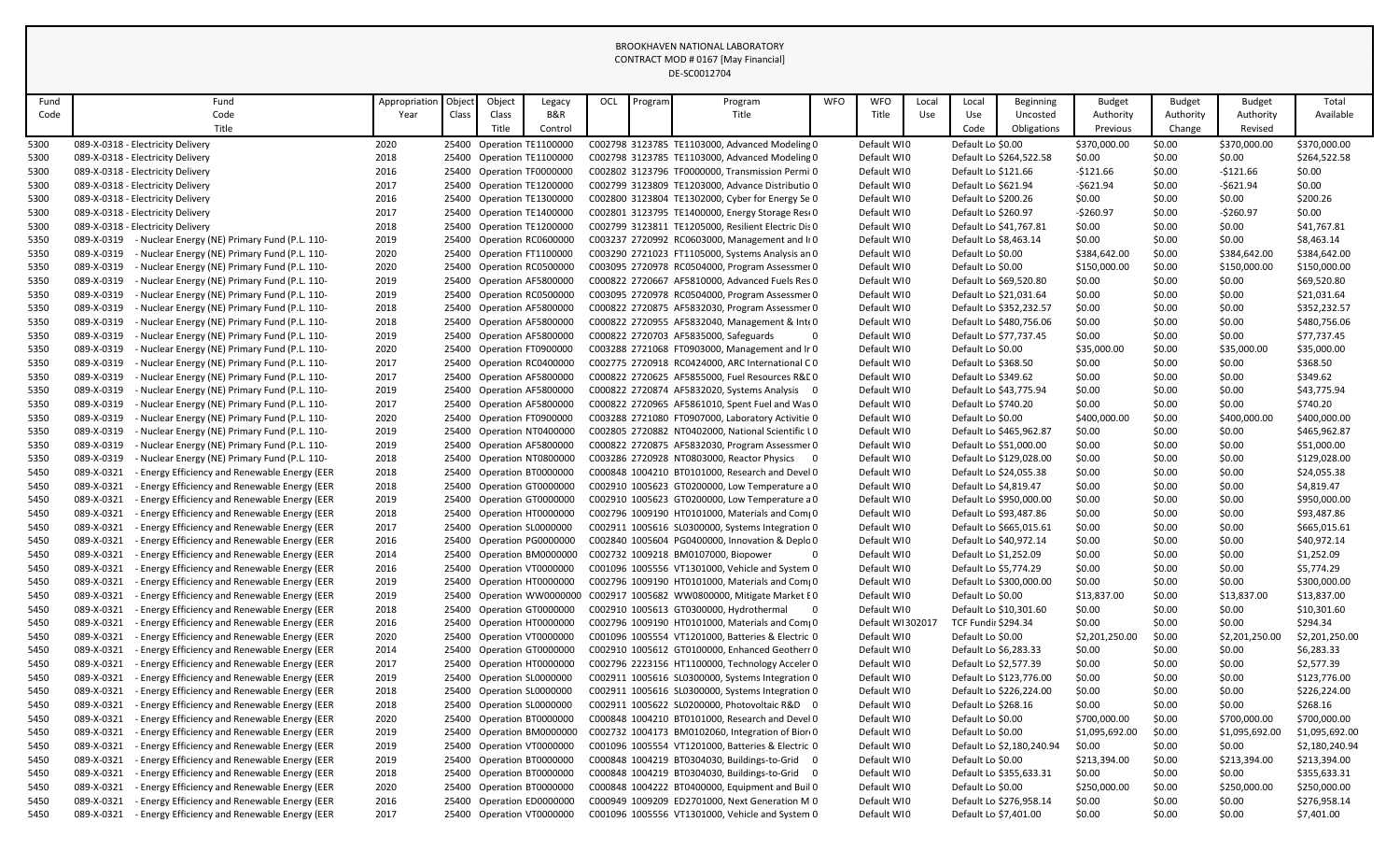| Fund | Fund                                                        | Appropriation | Object | Object | Legacy                    | OCL | Program | Program                                             | <b>WFO</b> | <b>WFO</b>       | Local | Local                      | Beginning                 | <b>Budget</b>  | <b>Budget</b> | <b>Budget</b>  | Total          |
|------|-------------------------------------------------------------|---------------|--------|--------|---------------------------|-----|---------|-----------------------------------------------------|------------|------------------|-------|----------------------------|---------------------------|----------------|---------------|----------------|----------------|
| Code | Code                                                        | Year          | Class  | Class  | B&R                       |     |         | Title                                               |            | Title            | Use   | Use                        | Uncosted                  | Authority      | Authority     | Authority      | Available      |
|      | Title                                                       |               |        | Title  | Control                   |     |         |                                                     |            |                  |       | Code                       | Obligations               | Previous       | Change        | Revised        |                |
| 5300 | 089-X-0318 - Electricity Delivery                           | 2020          |        |        | 25400 Operation TE1100000 |     |         | C002798 3123785 TE1103000, Advanced Modeling 0      |            | Default WI0      |       | Default Lo \$0.00          |                           | \$370,000.00   | \$0.00        | \$370,000.00   | \$370,000.00   |
| 5300 | 089-X-0318 - Electricity Delivery                           | 2018          |        |        | 25400 Operation TE1100000 |     |         | C002798 3123785 TE1103000, Advanced Modeling 0      |            | Default WI0      |       |                            | Default Lo \$264,522.58   | \$0.00         | \$0.00        | \$0.00         | \$264,522.58   |
| 5300 | 089-X-0318 - Electricity Delivery                           | 2016          |        |        | 25400 Operation TF0000000 |     |         | C002802 3123796 TF0000000, Transmission Permi 0     |            | Default WI0      |       | Default Lo \$121.66        |                           | $-$121.66$     | \$0.00        | $-$121.66$     | \$0.00         |
| 5300 | 089-X-0318 - Electricity Delivery                           | 2017          |        |        | 25400 Operation TE1200000 |     |         | C002799 3123809 TE1203000, Advance Distributio 0    |            | Default WI0      |       | Default Lo \$621.94        |                           | $-$621.94$     | \$0.00        | $-$621.94$     | \$0.00         |
| 5300 | 089-X-0318 - Electricity Delivery                           | 2016          |        |        | 25400 Operation TE1300000 |     |         | C002800 3123804 TE1302000, Cyber for Energy Se 0    |            | Default WIO      |       | Default Lo \$200.26        |                           | \$0.00         | \$0.00        | \$0.00         | \$200.26       |
| 5300 | 089-X-0318 - Electricity Delivery                           | 2017          |        |        | 25400 Operation TE1400000 |     |         | C002801 3123795 TE1400000, Energy Storage Resi 0    |            | Default WIO      |       | Default Lo \$260.97        |                           | $-$260.97$     | \$0.00        | $-$260.97$     | \$0.00         |
| 5300 | 089-X-0318 - Electricity Delivery                           | 2018          |        |        | 25400 Operation TE1200000 |     |         | C002799 3123811 TE1205000, Resilient Electric Dis 0 |            | Default WIO      |       |                            | Default Lo \$41,767.81    | \$0.00         | \$0.00        | \$0.00         | \$41,767.81    |
| 5350 | 089-X-0319<br>- Nuclear Energy (NE) Primary Fund (P.L. 110- | 2019          |        |        | 25400 Operation RC0600000 |     |         | C003237 2720992 RC0603000, Management and II 0      |            | Default WIO      |       | Default Lo \$8,463.14      |                           | \$0.00         | \$0.00        | \$0.00         | \$8,463.14     |
| 5350 | 089-X-0319<br>- Nuclear Energy (NE) Primary Fund (P.L. 110- | 2020          |        |        | 25400 Operation FT1100000 |     |         | C003290 2721023 FT1105000, Systems Analysis an 0    |            | Default WIO      |       | Default Lo \$0.00          |                           | \$384,642.00   | \$0.00        | \$384,642.00   | \$384,642.00   |
| 5350 | 089-X-0319<br>- Nuclear Energy (NE) Primary Fund (P.L. 110- | 2020          |        |        | 25400 Operation RC0500000 |     |         | C003095 2720978 RC0504000, Program Assessmer 0      |            | Default WIO      |       | Default Lo \$0.00          |                           | \$150,000.00   | \$0.00        | \$150,000.00   | \$150,000.00   |
| 5350 | 089-X-0319<br>- Nuclear Energy (NE) Primary Fund (P.L. 110- | 2019          |        |        | 25400 Operation AF5800000 |     |         | C000822 2720667 AF5810000, Advanced Fuels Res 0     |            | Default WIO      |       |                            | Default Lo \$69,520.80    | \$0.00         | \$0.00        | \$0.00         | \$69,520.80    |
| 5350 | 089-X-0319<br>- Nuclear Energy (NE) Primary Fund (P.L. 110- | 2019          |        |        | 25400 Operation RC0500000 |     |         | C003095 2720978 RC0504000, Program Assessmer 0      |            | Default WIO      |       |                            | Default Lo \$21,031.64    | \$0.00         | \$0.00        | \$0.00         | \$21,031.64    |
| 5350 | 089-X-0319<br>- Nuclear Energy (NE) Primary Fund (P.L. 110- | 2018          |        |        | 25400 Operation AF5800000 |     |         | C000822 2720875 AF5832030, Program Assessmer 0      |            | Default WIO      |       |                            | Default Lo \$352,232.57   | \$0.00         | \$0.00        | \$0.00         | \$352,232.57   |
| 5350 | 089-X-0319<br>- Nuclear Energy (NE) Primary Fund (P.L. 110- | 2018          |        |        | 25400 Operation AF5800000 |     |         | C000822 2720955 AF5832040, Management & Inte 0      |            | Default WI0      |       |                            | Default Lo \$480,756.06   | \$0.00         | \$0.00        | \$0.00         | \$480,756.06   |
| 5350 | 089-X-0319<br>- Nuclear Energy (NE) Primary Fund (P.L. 110- | 2019          |        |        | 25400 Operation AF5800000 |     |         | C000822 2720703 AF5835000, Safeguards<br>$\Omega$   |            | Default WIO      |       |                            | Default Lo \$77,737.45    | \$0.00         | \$0.00        | \$0.00         | \$77,737.45    |
| 5350 | 089-X-0319<br>- Nuclear Energy (NE) Primary Fund (P.L. 110- | 2020          |        |        | 25400 Operation FT0900000 |     |         | C003288 2721068 FT0903000, Management and Ir 0      |            | Default WIO      |       | Default Lo \$0.00          |                           | \$35,000.00    | \$0.00        | \$35,000.00    | \$35,000.00    |
| 5350 | 089-X-0319<br>- Nuclear Energy (NE) Primary Fund (P.L. 110- | 2017          |        |        | 25400 Operation RC0400000 |     |         | C002775 2720918 RC0424000, ARC International CO     |            | Default WIO      |       | Default Lo \$368.50        |                           | \$0.00         | \$0.00        | \$0.00         | \$368.50       |
| 5350 | 089-X-0319<br>- Nuclear Energy (NE) Primary Fund (P.L. 110- | 2017          |        |        | 25400 Operation AF5800000 |     |         | C000822 2720625 AF5855000, Fuel Resources R&L 0     |            | Default WIO      |       | Default Lo \$349.62        |                           | \$0.00         | \$0.00        | \$0.00         | \$349.62       |
| 5350 | 089-X-0319<br>- Nuclear Energy (NE) Primary Fund (P.L. 110- | 2019          |        |        | 25400 Operation AF5800000 |     |         | C000822 2720874 AF5832020, Systems Analysis 0       |            | Default WIO      |       |                            | Default Lo \$43,775.94    | \$0.00         | \$0.00        | \$0.00         | \$43,775.94    |
| 5350 | 089-X-0319<br>- Nuclear Energy (NE) Primary Fund (P.L. 110- | 2017          |        |        | 25400 Operation AF5800000 |     |         | C000822 2720965 AF5861010, Spent Fuel and Was 0     |            | Default WIO      |       | Default Lo \$740.20        |                           | \$0.00         | \$0.00        | \$0.00         | \$740.20       |
| 5350 | 089-X-0319<br>- Nuclear Energy (NE) Primary Fund (P.L. 110- | 2020          |        |        | 25400 Operation FT0900000 |     |         | C003288 2721080 FT0907000, Laboratory Activitie 0   |            | Default WIO      |       | Default Lo \$0.00          |                           | \$400,000.00   | \$0.00        | \$400,000.00   | \$400,000.00   |
| 5350 | 089-X-0319<br>- Nuclear Energy (NE) Primary Fund (P.L. 110- | 2019          |        |        | 25400 Operation NT0400000 |     |         | C002805 2720882 NT0402000, National Scientific LO   |            | Default WI0      |       |                            | Default Lo \$465,962.87   | \$0.00         | \$0.00        | \$0.00         | \$465,962.87   |
| 5350 | 089-X-0319<br>- Nuclear Energy (NE) Primary Fund (P.L. 110- | 2019          |        |        | 25400 Operation AF5800000 |     |         | C000822 2720875 AF5832030, Program Assessmer 0      |            | Default WIO      |       |                            | Default Lo \$51,000.00    | \$0.00         | \$0.00        | \$0.00         | \$51,000.00    |
| 5350 | 089-X-0319<br>- Nuclear Energy (NE) Primary Fund (P.L. 110- | 2018          |        |        | 25400 Operation NT0800000 |     |         | C003286 2720928 NT0803000, Reactor Physics 0        |            | Default WIO      |       |                            | Default Lo \$129,028.00   | \$0.00         | \$0.00        | \$0.00         | \$129,028.00   |
| 5450 | 089-X-0321<br>- Energy Efficiency and Renewable Energy (EER | 2018          |        |        | 25400 Operation BT0000000 |     |         | C000848 1004210 BT0101000, Research and Devel 0     |            | Default WI0      |       |                            | Default Lo \$24,055.38    | \$0.00         | \$0.00        | \$0.00         | \$24,055.38    |
| 5450 | 089-X-0321<br>- Energy Efficiency and Renewable Energy (EER | 2018          |        |        | 25400 Operation GT0000000 |     |         | C002910 1005623 GT0200000, Low Temperature a 0      |            | Default WI0      |       |                            | Default Lo \$4,819.47     | \$0.00         | \$0.00        | \$0.00         | \$4,819.47     |
| 5450 | 089-X-0321<br>- Energy Efficiency and Renewable Energy (EER | 2019          |        |        | 25400 Operation GT0000000 |     |         | C002910 1005623 GT0200000, Low Temperature a 0      |            | Default WIO      |       |                            | Default Lo \$950,000.00   | \$0.00         | \$0.00        | \$0.00         | \$950,000.00   |
| 5450 | 089-X-0321<br>- Energy Efficiency and Renewable Energy (EER | 2018          |        |        | 25400 Operation HT0000000 |     |         | C002796 1009190 HT0101000, Materials and Com(0      |            | Default WIO      |       |                            | Default Lo \$93,487.86    | \$0.00         | \$0.00        | \$0.00         | \$93,487.86    |
| 5450 | 089-X-0321<br>Energy Efficiency and Renewable Energy (EER   | 2017          |        |        | 25400 Operation SL0000000 |     |         | C002911 1005616 SL0300000, Systems Integration 0    |            | Default WIO      |       |                            | Default Lo \$665,015.61   | \$0.00         | \$0.00        | \$0.00         | \$665,015.61   |
| 5450 | 089-X-0321<br>- Energy Efficiency and Renewable Energy (EER | 2016          |        |        | 25400 Operation PG0000000 |     |         | C002840 1005604 PG0400000, Innovation & Deplo 0     |            | Default WIO      |       |                            | Default Lo \$40,972.14    | \$0.00         | \$0.00        | \$0.00         | \$40,972.14    |
| 5450 | 089-X-0321<br>- Energy Efficiency and Renewable Energy (EER | 2014          |        |        | 25400 Operation BM0000000 |     |         | C002732 1009218 BM0107000, Biopower<br>$\Omega$     |            | Default WIO      |       |                            | Default Lo \$1,252.09     | \$0.00         | \$0.00        | \$0.00         | \$1,252.09     |
| 5450 | 089-X-0321<br>Energy Efficiency and Renewable Energy (EER   | 2016          |        |        | 25400 Operation VT0000000 |     |         | C001096 1005556 VT1301000, Vehicle and System 0     |            | Default WI0      |       |                            | Default Lo \$5,774.29     | \$0.00         | \$0.00        | \$0.00         | \$5,774.29     |
| 5450 | 089-X-0321<br>- Energy Efficiency and Renewable Energy (EER | 2019          |        |        | 25400 Operation HT0000000 |     |         | C002796 1009190 HT0101000, Materials and Com 0      |            | Default WI0      |       |                            | Default Lo \$300,000.00   | \$0.00         | \$0.00        | \$0.00         | \$300,000.00   |
| 5450 | 089-X-0321<br>- Energy Efficiency and Renewable Energy (EER | 2019          |        |        | 25400 Operation WW0000000 |     |         | C002917 1005682 WW0800000, Mitigate Market E0       |            | Default WIO      |       | Default Lo \$0.00          |                           | \$13,837.00    | \$0.00        | \$13,837.00    | \$13,837.00    |
| 5450 | Energy Efficiency and Renewable Energy (EER<br>089-X-0321   | 2018          |        |        | 25400 Operation GT0000000 |     |         | C002910 1005613 GT0300000, Hydrothermal<br>- 0      |            | Default WIO      |       |                            | Default Lo \$10,301.60    | \$0.00         | \$0.00        | \$0.00         | \$10,301.60    |
| 5450 | 089-X-0321<br>Energy Efficiency and Renewable Energy (EER   | 2016          |        |        | 25400 Operation HT0000000 |     |         | C002796 1009190 HT0101000, Materials and Com(0      |            | Default WI302017 |       | <b>TCF Fundir \$294.34</b> |                           | \$0.00         | \$0.00        | \$0.00         | \$294.34       |
| 5450 | 089-X-0321<br>- Energy Efficiency and Renewable Energy (EER | 2020          |        |        | 25400 Operation VT0000000 |     |         | C001096 1005554 VT1201000, Batteries & Electric 0   |            | Default WIO      |       | Default Lo \$0.00          |                           | \$2,201,250.00 | \$0.00        | \$2,201,250.00 | \$2,201,250.00 |
| 5450 | 089-X-0321<br>- Energy Efficiency and Renewable Energy (EER | 2014          |        |        | 25400 Operation GT0000000 |     |         | C002910 1005612 GT0100000, Enhanced Geotherr 0      |            | Default WIO      |       | Default Lo \$6,283.33      |                           | \$0.00         | \$0.00        | \$0.00         | \$6,283.33     |
| 5450 | 089-X-0321<br>- Energy Efficiency and Renewable Energy (EER | 2017          |        |        | 25400 Operation HT0000000 |     |         | C002796 2223156 HT1100000, Technology Acceler 0     |            | Default WI0      |       | Default Lo \$2,577.39      |                           | \$0.00         | \$0.00        | \$0.00         | \$2,577.39     |
| 5450 | 089-X-0321<br>- Energy Efficiency and Renewable Energy (EER | 2019          |        |        | 25400 Operation SL0000000 |     |         | C002911 1005616 SL0300000, Systems Integration 0    |            | Default WI0      |       |                            | Default Lo \$123,776.00   | \$0.00         | \$0.00        | \$0.00         | \$123,776.00   |
| 5450 | 089-X-0321<br>- Energy Efficiency and Renewable Energy (EER | 2018          |        |        | 25400 Operation SL0000000 |     |         | C002911 1005616 SL0300000, Systems Integration 0    |            | Default WI0      |       |                            | Default Lo \$226,224.00   | \$0.00         | \$0.00        | \$0.00         | \$226,224.00   |
| 5450 | 089-X-0321<br>- Energy Efficiency and Renewable Energy (EER | 2018          |        |        | 25400 Operation SL0000000 |     |         | C002911 1005622 SL0200000, Photovoltaic R&D 0       |            | Default WI0      |       | Default Lo \$268.16        |                           | \$0.00         | \$0.00        | \$0.00         | \$268.16       |
| 5450 | - Energy Efficiency and Renewable Energy (EER<br>089-X-0321 | 2020          |        |        | 25400 Operation BT0000000 |     |         | C000848 1004210 BT0101000, Research and Devel 0     |            | Default WI0      |       | Default Lo \$0.00          |                           | \$700,000.00   | \$0.00        | \$700,000.00   | \$700,000.00   |
| 5450 | 089-X-0321<br>- Energy Efficiency and Renewable Energy (EER | 2019          |        |        | 25400 Operation BM0000000 |     |         | C002732 1004173 BM0102060, Integration of Bior 0    |            | Default WI0      |       | Default Lo \$0.00          |                           | \$1,095,692.00 | \$0.00        | \$1,095,692.00 | \$1,095,692.00 |
| 5450 | 089-X-0321<br>- Energy Efficiency and Renewable Energy (EER | 2019          |        |        | 25400 Operation VT0000000 |     |         | C001096 1005554 VT1201000, Batteries & Electric 0   |            | Default WI0      |       |                            | Default Lo \$2,180,240.94 | \$0.00         | \$0.00        | \$0.00         | \$2,180,240.94 |
| 5450 | 089-X-0321<br>- Energy Efficiency and Renewable Energy (EER | 2019          |        |        | 25400 Operation BT0000000 |     |         | C000848 1004219 BT0304030, Buildings-to-Grid 0      |            | Default WIO      |       | Default Lo \$0.00          |                           | \$213,394.00   | \$0.00        | \$213,394.00   | \$213,394.00   |
| 5450 | 089-X-0321<br>Energy Efficiency and Renewable Energy (EER   | 2018          |        |        | 25400 Operation BT0000000 |     |         | C000848 1004219 BT0304030, Buildings-to-Grid 0      |            | Default WI0      |       |                            | Default Lo \$355,633.31   | \$0.00         | \$0.00        | \$0.00         | \$355,633.31   |
| 5450 | 089-X-0321<br>- Energy Efficiency and Renewable Energy (EER | 2020          |        |        | 25400 Operation BT0000000 |     |         | C000848 1004222 BT0400000, Equipment and Buil 0     |            | Default WI0      |       | Default Lo \$0.00          |                           | \$250,000.00   | \$0.00        | \$250,000.00   | \$250,000.00   |
| 5450 | 089-X-0321<br>- Energy Efficiency and Renewable Energy (EER | 2016          |        |        | 25400 Operation ED0000000 |     |         | C000949 1009209 ED2701000, Next Generation M 0      |            | Default WI0      |       |                            | Default Lo \$276,958.14   | \$0.00         | \$0.00        | \$0.00         | \$276,958.14   |
| 5450 | - Energy Efficiency and Renewable Energy (EER<br>089-X-0321 | 2017          |        |        | 25400 Operation VT0000000 |     |         | C001096 1005556 VT1301000, Vehicle and System 0     |            | Default WI0      |       | Default Lo \$7,401.00      |                           | \$0.00         | \$0.00        | \$0.00         | \$7,401.00     |
|      |                                                             |               |        |        |                           |     |         |                                                     |            |                  |       |                            |                           |                |               |                |                |